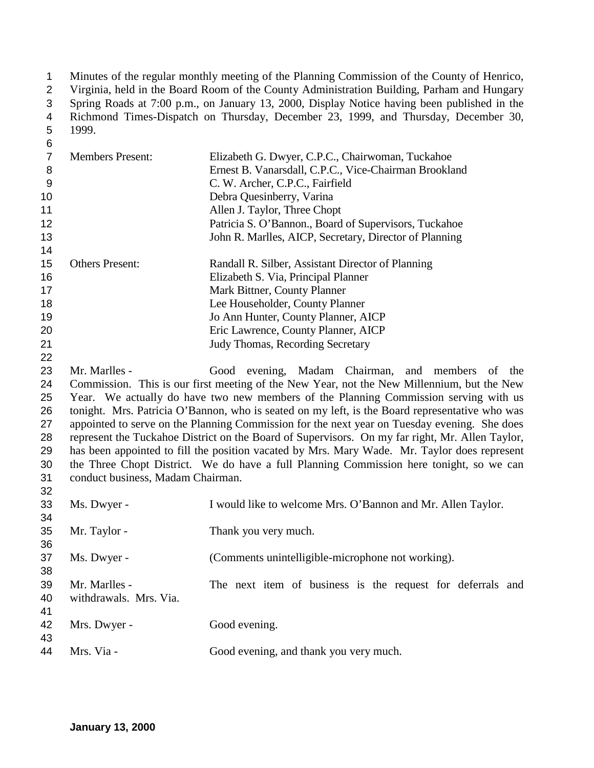Minutes of the regular monthly meeting of the Planning Commission of the County of Henrico,

Virginia, held in the Board Room of the County Administration Building, Parham and Hungary

- Spring Roads at 7:00 p.m., on January 13, 2000, Display Notice having been published in the
- Richmond Times-Dispatch on Thursday, December 23, 1999, and Thursday, December 30, 1999.
- 

| 7             | <b>Members Present:</b> | Elizabeth G. Dwyer, C.P.C., Chairwoman, Tuckahoe         |
|---------------|-------------------------|----------------------------------------------------------|
| 8             |                         | Ernest B. Vanarsdall, C.P.C., Vice-Chairman Brookland    |
| 9             |                         | C. W. Archer, C.P.C., Fairfield                          |
| 10            |                         | Debra Quesinberry, Varina                                |
| 11            |                         | Allen J. Taylor, Three Chopt                             |
| 12            |                         | Patricia S. O'Bannon., Board of Supervisors, Tuckahoe    |
| 13            |                         | John R. Marlles, AICP, Secretary, Director of Planning   |
| 14            |                         |                                                          |
| 15            | <b>Others Present:</b>  | Randall R. Silber, Assistant Director of Planning        |
| 16            |                         | Elizabeth S. Via, Principal Planner                      |
| 17            |                         | Mark Bittner, County Planner                             |
| 18            |                         | Lee Householder, County Planner                          |
| 19            |                         | Jo Ann Hunter, County Planner, AICP                      |
| 20            |                         | Eric Lawrence, County Planner, AICP                      |
| 21            |                         | <b>Judy Thomas, Recording Secretary</b>                  |
| 22            |                         |                                                          |
| 23            | Mr. Marlles -           | Good evening, Madam Chairman, and members of the         |
| $\sim$ $\sim$ |                         | ות היוויות המודג היוויות היוויות היוויות היוויות היוויות |

 Commission. This is our first meeting of the New Year, not the New Millennium, but the New Year. We actually do have two new members of the Planning Commission serving with us tonight. Mrs. Patricia O'Bannon, who is seated on my left, is the Board representative who was appointed to serve on the Planning Commission for the next year on Tuesday evening. She does represent the Tuckahoe District on the Board of Supervisors. On my far right, Mr. Allen Taylor, has been appointed to fill the position vacated by Mrs. Mary Wade. Mr. Taylor does represent the Three Chopt District. We do have a full Planning Commission here tonight, so we can conduct business, Madam Chairman. 

| 33<br>34       | Ms. Dwyer -                             | I would like to welcome Mrs. O'Bannon and Mr. Allen Taylor. |
|----------------|-----------------------------------------|-------------------------------------------------------------|
| 35<br>36       | Mr. Taylor -                            | Thank you very much.                                        |
| 37<br>38       | Ms. Dwyer -                             | (Comments unintelligible-microphone not working).           |
| 39<br>40<br>41 | Mr. Marlles -<br>withdrawals. Mrs. Via. | The next item of business is the request for deferrals and  |
| 42<br>43       | Mrs. Dwyer -                            | Good evening.                                               |
| 44             | Mrs. Via -                              | Good evening, and thank you very much.                      |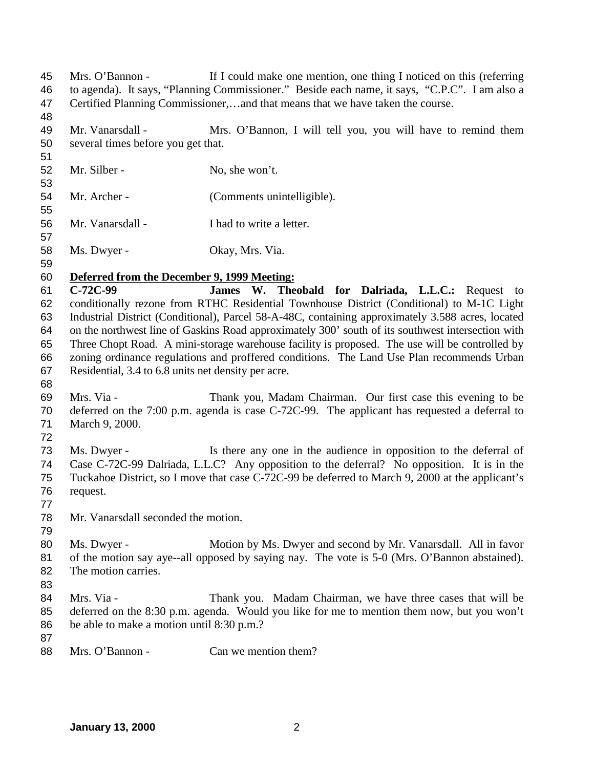Mr. Vanarsdall - Mrs. O'Bannon, I will tell you, you will have to remind them several times before you get that. 52 Mr. Silber - No, she won't. 54 Mr. Archer - (Comments unintelligible). Mr. Vanarsdall - I had to write a letter. Ms. Dwyer - Okay, Mrs. Via. **Deferred from the December 9, 1999 Meeting: C-72C-99 James W. Theobald for Dalriada, L.L.C.:** Request to conditionally rezone from RTHC Residential Townhouse District (Conditional) to M-1C Light Industrial District (Conditional), Parcel 58-A-48C, containing approximately 3.588 acres, located on the northwest line of Gaskins Road approximately 300' south of its southwest intersection with Three Chopt Road. A mini-storage warehouse facility is proposed. The use will be controlled by zoning ordinance regulations and proffered conditions. The Land Use Plan recommends Urban Residential, 3.4 to 6.8 units net density per acre. Mrs. Via - Thank you, Madam Chairman. Our first case this evening to be deferred on the 7:00 p.m. agenda is case C-72C-99. The applicant has requested a deferral to March 9, 2000. Ms. Dwyer - Is there any one in the audience in opposition to the deferral of Case C-72C-99 Dalriada, L.L.C? Any opposition to the deferral? No opposition. It is in the Tuckahoe District, so I move that case C-72C-99 be deferred to March 9, 2000 at the applicant's request. Mr. Vanarsdall seconded the motion. Ms. Dwyer - Motion by Ms. Dwyer and second by Mr. Vanarsdall. All in favor of the motion say aye--all opposed by saying nay. The vote is 5-0 (Mrs. O'Bannon abstained). The motion carries. 84 Mrs. Via - Thank you. Madam Chairman, we have three cases that will be deferred on the 8:30 p.m. agenda. Would you like for me to mention them now, but you won't be able to make a motion until 8:30 p.m.? 88 Mrs. O'Bannon - Can we mention them?

 Mrs. O'Bannon - If I could make one mention, one thing I noticed on this (referring to agenda). It says, "Planning Commissioner." Beside each name, it says, "C.P.C". I am also a

Certified Planning Commissioner,…and that means that we have taken the course.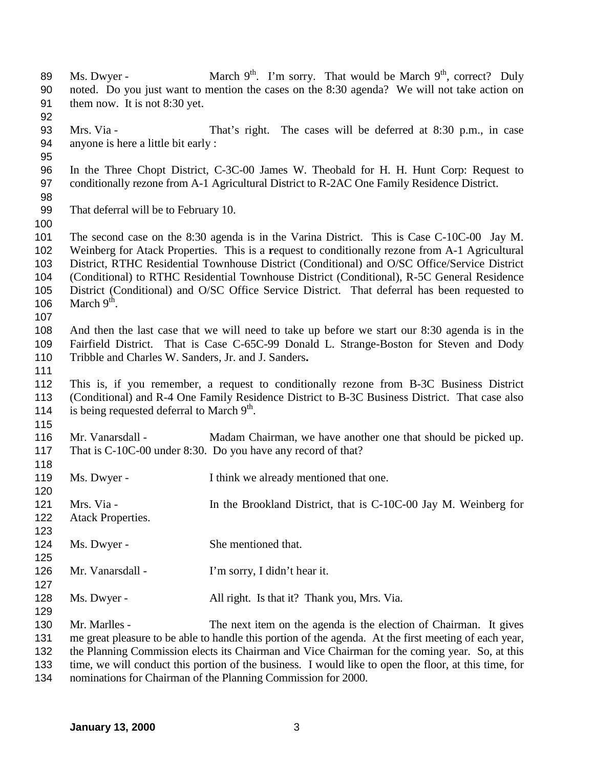- 89 Ms. Dwyer March 9<sup>th</sup>. I'm sorry. That would be March 9<sup>th</sup>, correct? Duly noted. Do you just want to mention the cases on the 8:30 agenda? We will not take action on them now. It is not 8:30 yet. Mrs. Via - That's right. The cases will be deferred at 8:30 p.m., in case anyone is here a little bit early : In the Three Chopt District, C-3C-00 James W. Theobald for H. H. Hunt Corp: Request to 97 conditionally rezone from A-1 Agricultural District to R-2AC One Family Residence District. That deferral will be to February 10. The second case on the 8:30 agenda is in the Varina District. This is Case C-10C-00 Jay M. Weinberg for Atack Properties. This is a **r**equest to conditionally rezone from A-1 Agricultural District, RTHC Residential Townhouse District (Conditional) and O/SC Office/Service District (Conditional) to RTHC Residential Townhouse District (Conditional), R-5C General Residence District (Conditional) and O/SC Office Service District. That deferral has been requested to 106 March  $9<sup>th</sup>$ . And then the last case that we will need to take up before we start our 8:30 agenda is in the Fairfield District. That is Case C-65C-99 Donald L. Strange-Boston for Steven and Dody Tribble and Charles W. Sanders, Jr. and J. Sanders**.** This is, if you remember, a request to conditionally rezone from B-3C Business District (Conditional) and R-4 One Family Residence District to B-3C Business District. That case also 114 is being requested deferral to March  $9<sup>th</sup>$ . 116 Mr. Vanarsdall - Madam Chairman, we have another one that should be picked up. That is C-10C-00 under 8:30. Do you have any record of that? 119 Ms. Dwyer - I think we already mentioned that one. 121 Mrs. Via - In the Brookland District, that is C-10C-00 Jay M. Weinberg for Atack Properties. 124 Ms. Dwyer - She mentioned that. Mr. Vanarsdall - I'm sorry, I didn't hear it. 128 Ms. Dwyer - All right. Is that it? Thank you, Mrs. Via. Mr. Marlles - The next item on the agenda is the election of Chairman. It gives me great pleasure to be able to handle this portion of the agenda. At the first meeting of each year, the Planning Commission elects its Chairman and Vice Chairman for the coming year. So, at this time, we will conduct this portion of the business. I would like to open the floor, at this time, for
- nominations for Chairman of the Planning Commission for 2000.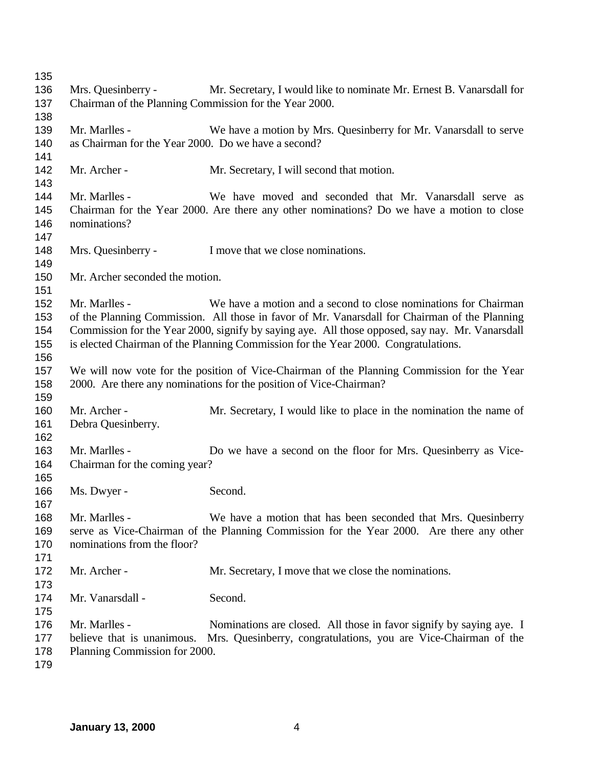Mrs. Quesinberry - Mr. Secretary, I would like to nominate Mr. Ernest B. Vanarsdall for Chairman of the Planning Commission for the Year 2000. Mr. Marlles - We have a motion by Mrs. Quesinberry for Mr. Vanarsdall to serve as Chairman for the Year 2000. Do we have a second? 142 Mr. Archer - Mr. Secretary, I will second that motion. Mr. Marlles - We have moved and seconded that Mr. Vanarsdall serve as Chairman for the Year 2000. Are there any other nominations? Do we have a motion to close nominations? 148 Mrs. Quesinberry - I move that we close nominations. Mr. Archer seconded the motion. Mr. Marlles - We have a motion and a second to close nominations for Chairman of the Planning Commission. All those in favor of Mr. Vanarsdall for Chairman of the Planning Commission for the Year 2000, signify by saying aye. All those opposed, say nay. Mr. Vanarsdall is elected Chairman of the Planning Commission for the Year 2000. Congratulations. We will now vote for the position of Vice-Chairman of the Planning Commission for the Year 2000. Are there any nominations for the position of Vice-Chairman? 160 Mr. Archer - Mr. Secretary, I would like to place in the nomination the name of Debra Quesinberry. Mr. Marlles - Do we have a second on the floor for Mrs. Quesinberry as Vice- Chairman for the coming year? 166 Ms. Dwyer - Second. Mr. Marlles - We have a motion that has been seconded that Mrs. Quesinberry serve as Vice-Chairman of the Planning Commission for the Year 2000. Are there any other nominations from the floor? 172 Mr. Archer - Mr. Secretary, I move that we close the nominations. 174 Mr. Vanarsdall - Second. 176 Mr. Marlles - Nominations are closed. All those in favor signify by saying aye. I believe that is unanimous. Mrs. Quesinberry, congratulations, you are Vice-Chairman of the Planning Commission for 2000.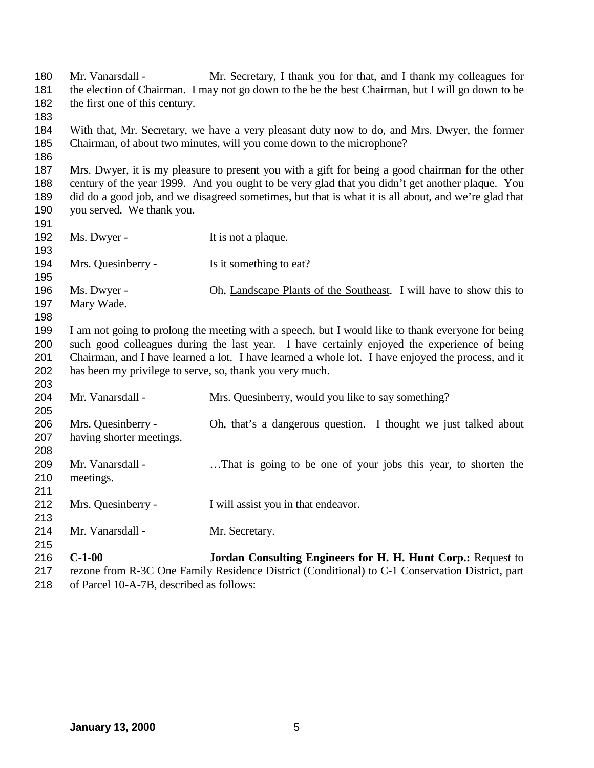| 180<br>181<br>182<br>183        | Mr. Vanarsdall -<br>the first one of this century.                                                                                                                                                                                                                                                                                                                 | Mr. Secretary, I thank you for that, and I thank my colleagues for<br>the election of Chairman. I may not go down to the best best Chairman, but I will go down to be |
|---------------------------------|--------------------------------------------------------------------------------------------------------------------------------------------------------------------------------------------------------------------------------------------------------------------------------------------------------------------------------------------------------------------|-----------------------------------------------------------------------------------------------------------------------------------------------------------------------|
| 184<br>185<br>186               |                                                                                                                                                                                                                                                                                                                                                                    | With that, Mr. Secretary, we have a very pleasant duty now to do, and Mrs. Dwyer, the former<br>Chairman, of about two minutes, will you come down to the microphone? |
| 187<br>188<br>189<br>190<br>191 | Mrs. Dwyer, it is my pleasure to present you with a gift for being a good chairman for the other<br>century of the year 1999. And you ought to be very glad that you didn't get another plaque. You<br>did do a good job, and we disagreed sometimes, but that is what it is all about, and we're glad that<br>you served. We thank you.                           |                                                                                                                                                                       |
| 192<br>193                      | Ms. Dwyer -                                                                                                                                                                                                                                                                                                                                                        | It is not a plaque.                                                                                                                                                   |
| 194<br>195                      | Mrs. Quesinberry -                                                                                                                                                                                                                                                                                                                                                 | Is it something to eat?                                                                                                                                               |
| 196<br>197<br>198               | Ms. Dwyer -<br>Mary Wade.                                                                                                                                                                                                                                                                                                                                          | Oh, Landscape Plants of the Southeast. I will have to show this to                                                                                                    |
| 199<br>200<br>201<br>202<br>203 | I am not going to prolong the meeting with a speech, but I would like to thank everyone for being<br>such good colleagues during the last year. I have certainly enjoyed the experience of being<br>Chairman, and I have learned a lot. I have learned a whole lot. I have enjoyed the process, and it<br>has been my privilege to serve, so, thank you very much. |                                                                                                                                                                       |
| 204<br>205                      | Mr. Vanarsdall -                                                                                                                                                                                                                                                                                                                                                   | Mrs. Quesinberry, would you like to say something?                                                                                                                    |
| 206<br>207<br>208               | Mrs. Quesinberry -<br>having shorter meetings.                                                                                                                                                                                                                                                                                                                     | Oh, that's a dangerous question. I thought we just talked about                                                                                                       |
| 209<br>210<br>211               | Mr. Vanarsdall -<br>meetings.                                                                                                                                                                                                                                                                                                                                      | That is going to be one of your jobs this year, to shorten the                                                                                                        |
| 212<br>213                      | Mrs. Quesinberry -                                                                                                                                                                                                                                                                                                                                                 | I will assist you in that endeavor.                                                                                                                                   |
| 214<br>215                      | Mr. Vanarsdall -                                                                                                                                                                                                                                                                                                                                                   | Mr. Secretary.                                                                                                                                                        |
| 216<br>217                      | $C-1-00$                                                                                                                                                                                                                                                                                                                                                           | Jordan Consulting Engineers for H. H. Hunt Corp.: Request to<br>rezone from R-3C One Family Residence District (Conditional) to C-1 Conservation District, part       |

of Parcel 10-A-7B, described as follows: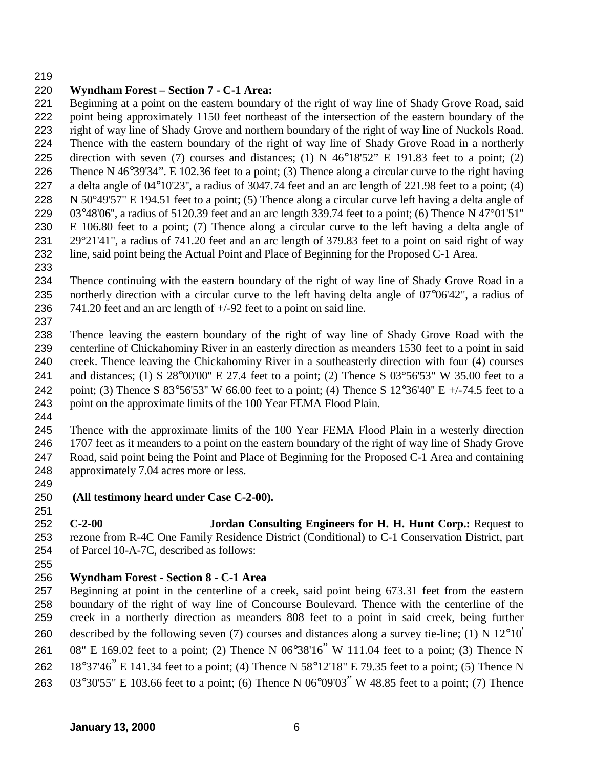## **Wyndham Forest – Section 7 - C-1 Area:**

 Beginning at a point on the eastern boundary of the right of way line of Shady Grove Road, said point being approximately 1150 feet northeast of the intersection of the eastern boundary of the right of way line of Shady Grove and northern boundary of the right of way line of Nuckols Road. Thence with the eastern boundary of the right of way line of Shady Grove Road in a northerly direction with seven (7) courses and distances; (1) N 46°18'52" E 191.83 feet to a point; (2) Thence N 46°39'34". E 102.36 feet to a point; (3) Thence along a circular curve to the right having a delta angle of 04°10'23'', a radius of 3047.74 feet and an arc length of 221.98 feet to a point; (4) N 50°49'57" E 194.51 feet to a point; (5) Thence along a circular curve left having a delta angle of 03°48'06'', a radius of 5120.39 feet and an arc length 339.74 feet to a point; (6) Thence N 47°01'51'' E 106.80 feet to a point; (7) Thence along a circular curve to the left having a delta angle of 29°21'41", a radius of 741.20 feet and an arc length of 379.83 feet to a point on said right of way line, said point being the Actual Point and Place of Beginning for the Proposed C-1 Area.

 Thence continuing with the eastern boundary of the right of way line of Shady Grove Road in a northerly direction with a circular curve to the left having delta angle of 07°06'42", a radius of 741.20 feet and an arc length of +/-92 feet to a point on said line.

 Thence leaving the eastern boundary of the right of way line of Shady Grove Road with the centerline of Chickahominy River in an easterly direction as meanders 1530 feet to a point in said creek. Thence leaving the Chickahominy River in a southeasterly direction with four (4) courses and distances; (1) S 28°00'00'' E 27.4 feet to a point; (2) Thence S 03°56'53" W 35.00 feet to a point; (3) Thence S 83°56'53'' W 66.00 feet to a point; (4) Thence S 12°36'40'' E +/-74.5 feet to a point on the approximate limits of the 100 Year FEMA Flood Plain.

 Thence with the approximate limits of the 100 Year FEMA Flood Plain in a westerly direction 1707 feet as it meanders to a point on the eastern boundary of the right of way line of Shady Grove Road, said point being the Point and Place of Beginning for the Proposed C-1 Area and containing approximately 7.04 acres more or less.

 **(All testimony heard under Case C-2-00).**

 **C-2-00 Jordan Consulting Engineers for H. H. Hunt Corp.:** Request to rezone from R-4C One Family Residence District (Conditional) to C-1 Conservation District, part of Parcel 10-A-7C, described as follows:

## **Wyndham Forest - Section 8 - C-1 Area**

 Beginning at point in the centerline of a creek, said point being 673.31 feet from the eastern boundary of the right of way line of Concourse Boulevard. Thence with the centerline of the creek in a northerly direction as meanders 808 feet to a point in said creek, being further 260 described by the following seven (7) courses and distances along a survey tie-line; (1) N  $12^{\circ}10'$  08" E 169.02 feet to a point; (2) Thence N 06°38'16" W 111.04 feet to a point; (3) Thence N 18°37'46" E 141.34 feet to a point; (4) Thence N 58°12'18" E 79.35 feet to a point; (5) Thence N 03°30'55" E 103.66 feet to a point; (6) Thence N 06°09'03" W 48.85 feet to a point; (7) Thence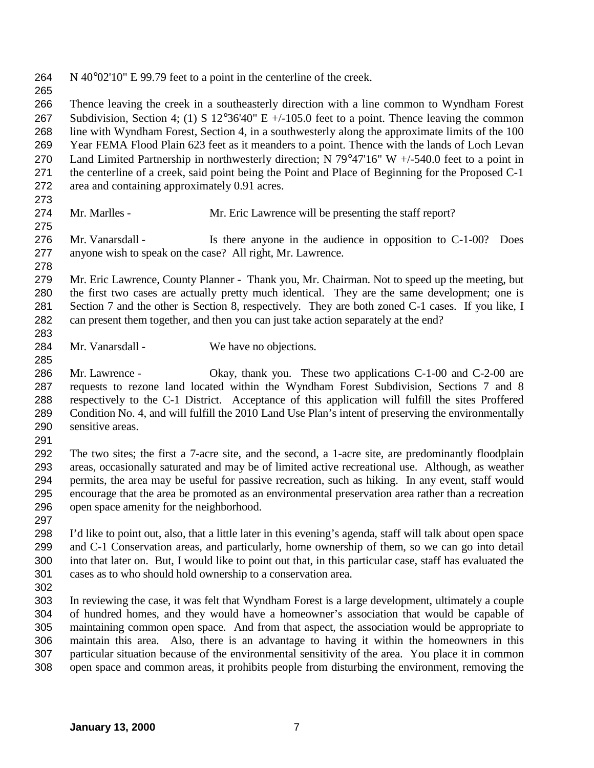N 40°02'10" E 99.79 feet to a point in the centerline of the creek.

 Thence leaving the creek in a southeasterly direction with a line common to Wyndham Forest Subdivision, Section 4; (1) S 12°36'40" E +/-105.0 feet to a point. Thence leaving the common line with Wyndham Forest, Section 4, in a southwesterly along the approximate limits of the 100 Year FEMA Flood Plain 623 feet as it meanders to a point. Thence with the lands of Loch Levan 270 Land Limited Partnership in northwesterly direction; N 79°47'16" W +/-540.0 feet to a point in the centerline of a creek, said point being the Point and Place of Beginning for the Proposed C-1 area and containing approximately 0.91 acres.

- Mr. Marlles Mr. Eric Lawrence will be presenting the staff report?
- Mr. Vanarsdall Is there anyone in the audience in opposition to C-1-00? Does anyone wish to speak on the case? All right, Mr. Lawrence.
- 

 Mr. Eric Lawrence, County Planner - Thank you, Mr. Chairman. Not to speed up the meeting, but the first two cases are actually pretty much identical. They are the same development; one is Section 7 and the other is Section 8, respectively. They are both zoned C-1 cases. If you like, I can present them together, and then you can just take action separately at the end? 

- 284 Mr. Vanarsdall We have no objections.
- 286 Mr. Lawrence Okay, thank you. These two applications C-1-00 and C-2-00 are requests to rezone land located within the Wyndham Forest Subdivision, Sections 7 and 8 respectively to the C-1 District. Acceptance of this application will fulfill the sites Proffered Condition No. 4, and will fulfill the 2010 Land Use Plan's intent of preserving the environmentally sensitive areas.
- 

 The two sites; the first a 7-acre site, and the second, a 1-acre site, are predominantly floodplain areas, occasionally saturated and may be of limited active recreational use. Although, as weather permits, the area may be useful for passive recreation, such as hiking. In any event, staff would encourage that the area be promoted as an environmental preservation area rather than a recreation open space amenity for the neighborhood.

 I'd like to point out, also, that a little later in this evening's agenda, staff will talk about open space and C-1 Conservation areas, and particularly, home ownership of them, so we can go into detail into that later on. But, I would like to point out that, in this particular case, staff has evaluated the cases as to who should hold ownership to a conservation area.

 In reviewing the case, it was felt that Wyndham Forest is a large development, ultimately a couple of hundred homes, and they would have a homeowner's association that would be capable of maintaining common open space. And from that aspect, the association would be appropriate to maintain this area. Also, there is an advantage to having it within the homeowners in this particular situation because of the environmental sensitivity of the area. You place it in common open space and common areas, it prohibits people from disturbing the environment, removing the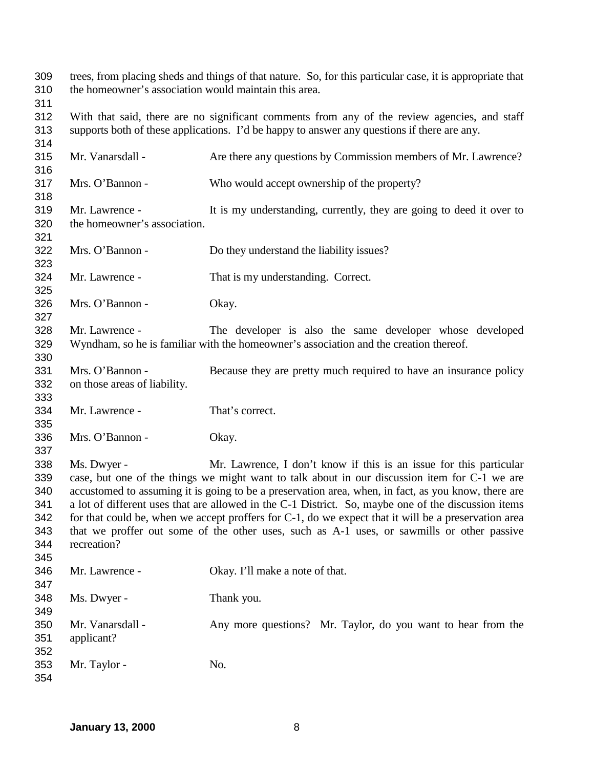trees, from placing sheds and things of that nature. So, for this particular case, it is appropriate that the homeowner's association would maintain this area. With that said, there are no significant comments from any of the review agencies, and staff supports both of these applications. I'd be happy to answer any questions if there are any. Mr. Vanarsdall - Are there any questions by Commission members of Mr. Lawrence? Mrs. O'Bannon - Who would accept ownership of the property? Mr. Lawrence - It is my understanding, currently, they are going to deed it over to the homeowner's association. Mrs. O'Bannon - Do they understand the liability issues? Mr. Lawrence - That is my understanding. Correct. Mrs. O'Bannon - Okay. Mr. Lawrence - The developer is also the same developer whose developed Wyndham, so he is familiar with the homeowner's association and the creation thereof. Mrs. O'Bannon - Because they are pretty much required to have an insurance policy on those areas of liability. Mr. Lawrence - That's correct. Mrs. O'Bannon - Okay. Ms. Dwyer - Mr. Lawrence, I don't know if this is an issue for this particular case, but one of the things we might want to talk about in our discussion item for C-1 we are accustomed to assuming it is going to be a preservation area, when, in fact, as you know, there are a lot of different uses that are allowed in the C-1 District. So, maybe one of the discussion items for that could be, when we accept proffers for C-1, do we expect that it will be a preservation area that we proffer out some of the other uses, such as A-1 uses, or sawmills or other passive recreation? Mr. Lawrence - Okay. I'll make a note of that. Ms. Dwyer - Thank you. Mr. Vanarsdall - Any more questions? Mr. Taylor, do you want to hear from the applicant? 353 Mr. Taylor - No.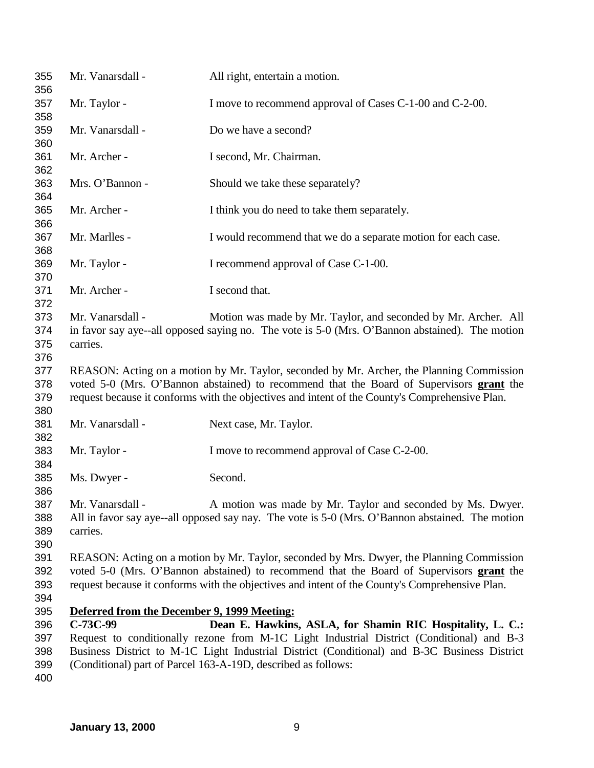| 355<br>356                      | Mr. Vanarsdall -                            | All right, entertain a motion.                                                                                                                                                                                                                                                          |
|---------------------------------|---------------------------------------------|-----------------------------------------------------------------------------------------------------------------------------------------------------------------------------------------------------------------------------------------------------------------------------------------|
| 357                             | Mr. Taylor -                                | I move to recommend approval of Cases C-1-00 and C-2-00.                                                                                                                                                                                                                                |
| 358<br>359                      | Mr. Vanarsdall -                            | Do we have a second?                                                                                                                                                                                                                                                                    |
| 360<br>361                      | Mr. Archer -                                | I second, Mr. Chairman.                                                                                                                                                                                                                                                                 |
| 362<br>363                      | Mrs. O'Bannon -                             | Should we take these separately?                                                                                                                                                                                                                                                        |
| 364<br>365                      | Mr. Archer -                                | I think you do need to take them separately.                                                                                                                                                                                                                                            |
| 366<br>367                      | Mr. Marlles -                               | I would recommend that we do a separate motion for each case.                                                                                                                                                                                                                           |
| 368<br>369                      | Mr. Taylor -                                | I recommend approval of Case C-1-00.                                                                                                                                                                                                                                                    |
| 370<br>371                      | Mr. Archer -                                | I second that.                                                                                                                                                                                                                                                                          |
| 372<br>373                      | Mr. Vanarsdall -                            | Motion was made by Mr. Taylor, and seconded by Mr. Archer. All                                                                                                                                                                                                                          |
| 374<br>375                      | carries.                                    | in favor say aye--all opposed saying no. The vote is 5-0 (Mrs. O'Bannon abstained). The motion                                                                                                                                                                                          |
| 376<br>377<br>378<br>379<br>380 |                                             | REASON: Acting on a motion by Mr. Taylor, seconded by Mr. Archer, the Planning Commission<br>voted 5-0 (Mrs. O'Bannon abstained) to recommend that the Board of Supervisors grant the<br>request because it conforms with the objectives and intent of the County's Comprehensive Plan. |
| 381<br>382                      | Mr. Vanarsdall -                            | Next case, Mr. Taylor.                                                                                                                                                                                                                                                                  |
| 383<br>384                      | Mr. Taylor -                                | I move to recommend approval of Case C-2-00.                                                                                                                                                                                                                                            |
| 385<br>386                      | Ms. Dwyer -                                 | Second.                                                                                                                                                                                                                                                                                 |
| 387<br>388<br>389               | Mr. Vanarsdall -<br>carries.                | A motion was made by Mr. Taylor and seconded by Ms. Dwyer.<br>All in favor say aye--all opposed say nay. The vote is 5-0 (Mrs. O'Bannon abstained. The motion                                                                                                                           |
| 390<br>391<br>392<br>393<br>394 |                                             | REASON: Acting on a motion by Mr. Taylor, seconded by Mrs. Dwyer, the Planning Commission<br>voted 5-0 (Mrs. O'Bannon abstained) to recommend that the Board of Supervisors grant the<br>request because it conforms with the objectives and intent of the County's Comprehensive Plan. |
| 395                             | Deferred from the December 9, 1999 Meeting: |                                                                                                                                                                                                                                                                                         |
| 396                             | C-73C-99                                    | Dean E. Hawkins, ASLA, for Shamin RIC Hospitality, L. C.:                                                                                                                                                                                                                               |
| 397                             |                                             | Request to conditionally rezone from M-1C Light Industrial District (Conditional) and B-3                                                                                                                                                                                               |
| 398                             |                                             | Business District to M-1C Light Industrial District (Conditional) and B-3C Business District                                                                                                                                                                                            |
| 399                             |                                             | (Conditional) part of Parcel 163-A-19D, described as follows:                                                                                                                                                                                                                           |
| 400                             |                                             |                                                                                                                                                                                                                                                                                         |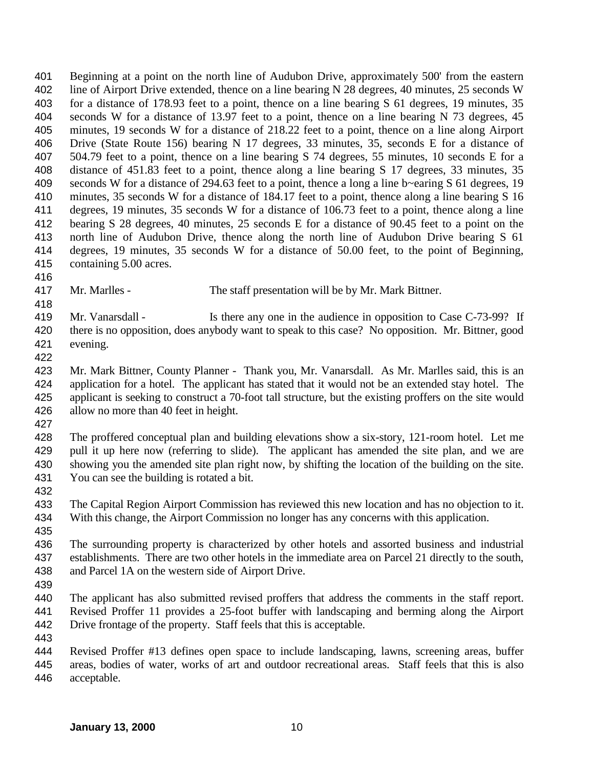Beginning at a point on the north line of Audubon Drive, approximately 500' from the eastern line of Airport Drive extended, thence on a line bearing N 28 degrees, 40 minutes, 25 seconds W for a distance of 178.93 feet to a point, thence on a line bearing S 61 degrees, 19 minutes, 35 seconds W for a distance of 13.97 feet to a point, thence on a line bearing N 73 degrees, 45 minutes, 19 seconds W for a distance of 218.22 feet to a point, thence on a line along Airport Drive (State Route 156) bearing N 17 degrees, 33 minutes, 35, seconds E for a distance of 504.79 feet to a point, thence on a line bearing S 74 degrees, 55 minutes, 10 seconds E for a distance of 451.83 feet to a point, thence along a line bearing S 17 degrees, 33 minutes, 35 seconds W for a distance of 294.63 feet to a point, thence a long a line b~earing S 61 degrees, 19 minutes, 35 seconds W for a distance of 184.17 feet to a point, thence along a line bearing S 16 degrees, 19 minutes, 35 seconds W for a distance of 106.73 feet to a point, thence along a line bearing S 28 degrees, 40 minutes, 25 seconds E for a distance of 90.45 feet to a point on the north line of Audubon Drive, thence along the north line of Audubon Drive bearing S 61 degrees, 19 minutes, 35 seconds W for a distance of 50.00 feet, to the point of Beginning, containing 5.00 acres. 

- Mr. Marlles The staff presentation will be by Mr. Mark Bittner.
- 419 Mr. Vanarsdall Is there any one in the audience in opposition to Case C-73-99? If there is no opposition, does anybody want to speak to this case? No opposition. Mr. Bittner, good evening.
- 

 Mr. Mark Bittner, County Planner - Thank you, Mr. Vanarsdall. As Mr. Marlles said, this is an application for a hotel. The applicant has stated that it would not be an extended stay hotel. The applicant is seeking to construct a 70-foot tall structure, but the existing proffers on the site would allow no more than 40 feet in height.

 The proffered conceptual plan and building elevations show a six-story, 121-room hotel. Let me 429 pull it up here now (referring to slide). The applicant has amended the site plan, and we are showing you the amended site plan right now, by shifting the location of the building on the site. You can see the building is rotated a bit.

 The Capital Region Airport Commission has reviewed this new location and has no objection to it. With this change, the Airport Commission no longer has any concerns with this application.

 The surrounding property is characterized by other hotels and assorted business and industrial establishments. There are two other hotels in the immediate area on Parcel 21 directly to the south, and Parcel 1A on the western side of Airport Drive.

 The applicant has also submitted revised proffers that address the comments in the staff report. Revised Proffer 11 provides a 25-foot buffer with landscaping and berming along the Airport Drive frontage of the property. Staff feels that this is acceptable.

 Revised Proffer #13 defines open space to include landscaping, lawns, screening areas, buffer areas, bodies of water, works of art and outdoor recreational areas. Staff feels that this is also acceptable.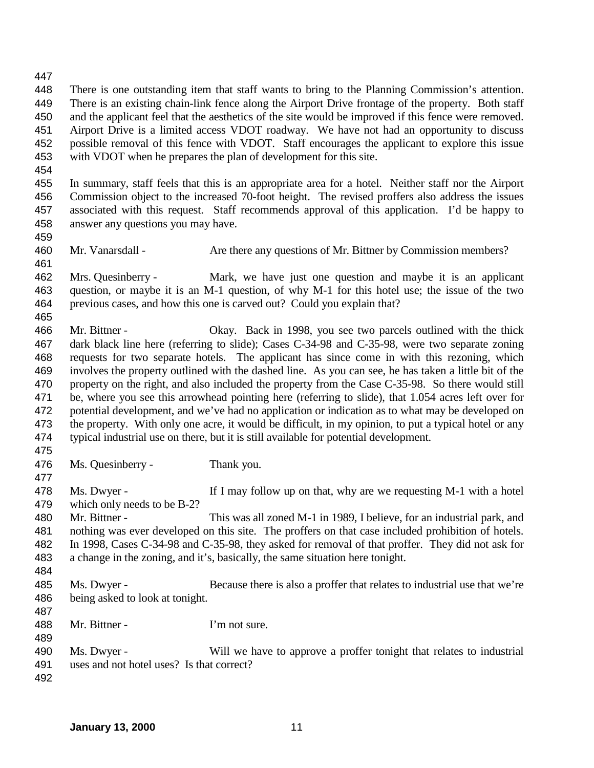- There is one outstanding item that staff wants to bring to the Planning Commission's attention. There is an existing chain-link fence along the Airport Drive frontage of the property. Both staff and the applicant feel that the aesthetics of the site would be improved if this fence were removed. Airport Drive is a limited access VDOT roadway. We have not had an opportunity to discuss possible removal of this fence with VDOT. Staff encourages the applicant to explore this issue with VDOT when he prepares the plan of development for this site.
- 

 In summary, staff feels that this is an appropriate area for a hotel. Neither staff nor the Airport Commission object to the increased 70-foot height. The revised proffers also address the issues associated with this request. Staff recommends approval of this application. I'd be happy to answer any questions you may have.

Mr. Vanarsdall - Are there any questions of Mr. Bittner by Commission members?

 Mrs. Quesinberry - Mark, we have just one question and maybe it is an applicant question, or maybe it is an M-1 question, of why M-1 for this hotel use; the issue of the two previous cases, and how this one is carved out? Could you explain that?

 Mr. Bittner - Okay. Back in 1998, you see two parcels outlined with the thick dark black line here (referring to slide); Cases C-34-98 and C-35-98, were two separate zoning requests for two separate hotels. The applicant has since come in with this rezoning, which involves the property outlined with the dashed line. As you can see, he has taken a little bit of the property on the right, and also included the property from the Case C-35-98. So there would still be, where you see this arrowhead pointing here (referring to slide), that 1.054 acres left over for potential development, and we've had no application or indication as to what may be developed on 473 the property. With only one acre, it would be difficult, in my opinion, to put a typical hotel or any typical industrial use on there, but it is still available for potential development.

Ms. Quesinberry - Thank you.

478 Ms. Dwyer - If I may follow up on that, why are we requesting M-1 with a hotel which only needs to be B-2? Mr. Bittner - This was all zoned M-1 in 1989, I believe, for an industrial park, and nothing was ever developed on this site. The proffers on that case included prohibition of hotels. In 1998, Cases C-34-98 and C-35-98, they asked for removal of that proffer. They did not ask for a change in the zoning, and it's, basically, the same situation here tonight. Ms. Dwyer - Because there is also a proffer that relates to industrial use that we're being asked to look at tonight.

488 Mr. Bittner - I'm not sure.

 Ms. Dwyer - Will we have to approve a proffer tonight that relates to industrial uses and not hotel uses? Is that correct?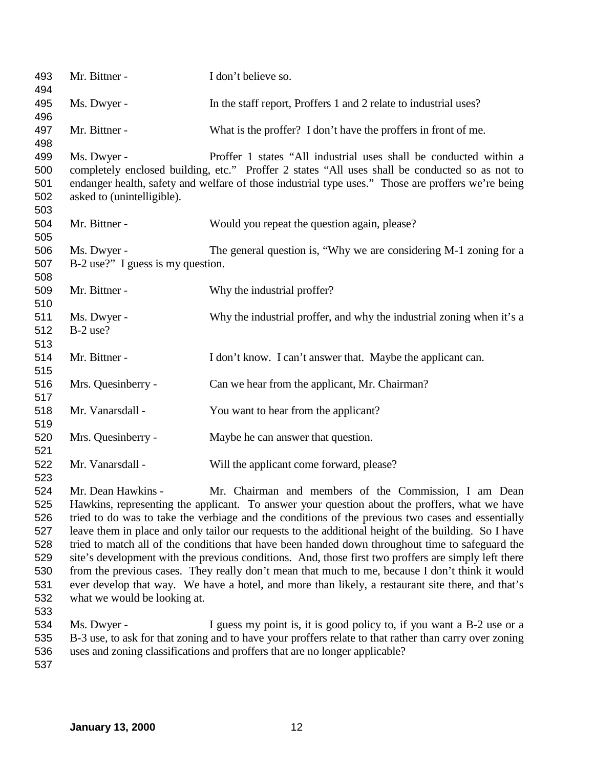| 493<br>494                                                         | Mr. Bittner -                                                                                                                                                                                                                                                                                                                                                                                                                                                                                                                                                                                                                                                                                                                                                                                                                                 | I don't believe so.                                                                                                                                                                                                                                                       |
|--------------------------------------------------------------------|-----------------------------------------------------------------------------------------------------------------------------------------------------------------------------------------------------------------------------------------------------------------------------------------------------------------------------------------------------------------------------------------------------------------------------------------------------------------------------------------------------------------------------------------------------------------------------------------------------------------------------------------------------------------------------------------------------------------------------------------------------------------------------------------------------------------------------------------------|---------------------------------------------------------------------------------------------------------------------------------------------------------------------------------------------------------------------------------------------------------------------------|
| 495<br>496                                                         | Ms. Dwyer -                                                                                                                                                                                                                                                                                                                                                                                                                                                                                                                                                                                                                                                                                                                                                                                                                                   | In the staff report, Proffers 1 and 2 relate to industrial uses?                                                                                                                                                                                                          |
| 497<br>498                                                         | Mr. Bittner -                                                                                                                                                                                                                                                                                                                                                                                                                                                                                                                                                                                                                                                                                                                                                                                                                                 | What is the proffer? I don't have the proffers in front of me.                                                                                                                                                                                                            |
| 499<br>500<br>501<br>502<br>503                                    | Ms. Dwyer -<br>asked to (unintelligible).                                                                                                                                                                                                                                                                                                                                                                                                                                                                                                                                                                                                                                                                                                                                                                                                     | Proffer 1 states "All industrial uses shall be conducted within a<br>completely enclosed building, etc." Proffer 2 states "All uses shall be conducted so as not to<br>endanger health, safety and welfare of those industrial type uses." Those are proffers we're being |
| 504<br>505                                                         | Mr. Bittner -                                                                                                                                                                                                                                                                                                                                                                                                                                                                                                                                                                                                                                                                                                                                                                                                                                 | Would you repeat the question again, please?                                                                                                                                                                                                                              |
| 506<br>507<br>508                                                  | Ms. Dwyer -<br>B-2 use?" I guess is my question.                                                                                                                                                                                                                                                                                                                                                                                                                                                                                                                                                                                                                                                                                                                                                                                              | The general question is, "Why we are considering M-1 zoning for a                                                                                                                                                                                                         |
| 509<br>510                                                         | Mr. Bittner -                                                                                                                                                                                                                                                                                                                                                                                                                                                                                                                                                                                                                                                                                                                                                                                                                                 | Why the industrial proffer?                                                                                                                                                                                                                                               |
| 511<br>512<br>513                                                  | Ms. Dwyer -<br>$B-2$ use?                                                                                                                                                                                                                                                                                                                                                                                                                                                                                                                                                                                                                                                                                                                                                                                                                     | Why the industrial proffer, and why the industrial zoning when it's a                                                                                                                                                                                                     |
| 514<br>515                                                         | Mr. Bittner -                                                                                                                                                                                                                                                                                                                                                                                                                                                                                                                                                                                                                                                                                                                                                                                                                                 | I don't know. I can't answer that. Maybe the applicant can.                                                                                                                                                                                                               |
| 516<br>517                                                         | Mrs. Quesinberry -                                                                                                                                                                                                                                                                                                                                                                                                                                                                                                                                                                                                                                                                                                                                                                                                                            | Can we hear from the applicant, Mr. Chairman?                                                                                                                                                                                                                             |
| 518<br>519                                                         | Mr. Vanarsdall -                                                                                                                                                                                                                                                                                                                                                                                                                                                                                                                                                                                                                                                                                                                                                                                                                              | You want to hear from the applicant?                                                                                                                                                                                                                                      |
| 520<br>521                                                         | Mrs. Quesinberry -                                                                                                                                                                                                                                                                                                                                                                                                                                                                                                                                                                                                                                                                                                                                                                                                                            | Maybe he can answer that question.                                                                                                                                                                                                                                        |
| 522<br>523                                                         | Mr. Vanarsdall -                                                                                                                                                                                                                                                                                                                                                                                                                                                                                                                                                                                                                                                                                                                                                                                                                              | Will the applicant come forward, please?                                                                                                                                                                                                                                  |
| 524<br>525<br>526<br>527<br>528<br>529<br>530<br>531<br>532<br>533 | Mr. Dean Hawkins -<br>Mr. Chairman and members of the Commission, I am Dean<br>Hawkins, representing the applicant. To answer your question about the proffers, what we have<br>tried to do was to take the verbiage and the conditions of the previous two cases and essentially<br>leave them in place and only tailor our requests to the additional height of the building. So I have<br>tried to match all of the conditions that have been handed down throughout time to safeguard the<br>site's development with the previous conditions. And, those first two proffers are simply left there<br>from the previous cases. They really don't mean that much to me, because I don't think it would<br>ever develop that way. We have a hotel, and more than likely, a restaurant site there, and that's<br>what we would be looking at. |                                                                                                                                                                                                                                                                           |
| 534<br>535<br>536<br>537                                           | Ms. Dwyer -                                                                                                                                                                                                                                                                                                                                                                                                                                                                                                                                                                                                                                                                                                                                                                                                                                   | I guess my point is, it is good policy to, if you want a B-2 use or a<br>B-3 use, to ask for that zoning and to have your proffers relate to that rather than carry over zoning<br>uses and zoning classifications and proffers that are no longer applicable?            |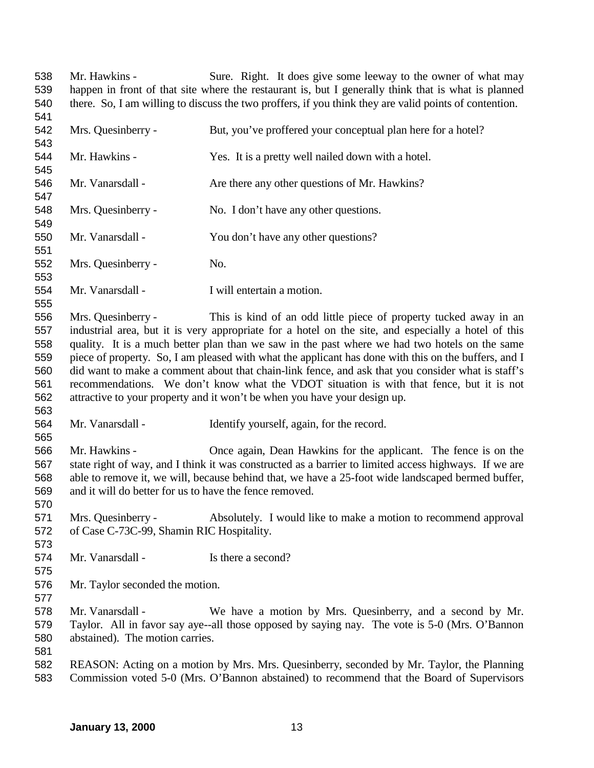Mr. Hawkins - Sure. Right. It does give some leeway to the owner of what may happen in front of that site where the restaurant is, but I generally think that is what is planned there. So, I am willing to discuss the two proffers, if you think they are valid points of contention. Mrs. Quesinberry - But, you've proffered your conceptual plan here for a hotel? Mr. Hawkins - Yes. It is a pretty well nailed down with a hotel. 546 Mr. Vanarsdall - Are there any other questions of Mr. Hawkins? Mrs. Quesinberry - No. I don't have any other questions. Mr. Vanarsdall - You don't have any other questions? Mrs. Quesinberry - No. Mr. Vanarsdall - I will entertain a motion. Mrs. Quesinberry - This is kind of an odd little piece of property tucked away in an industrial area, but it is very appropriate for a hotel on the site, and especially a hotel of this quality. It is a much better plan than we saw in the past where we had two hotels on the same piece of property. So, I am pleased with what the applicant has done with this on the buffers, and I did want to make a comment about that chain-link fence, and ask that you consider what is staff's recommendations. We don't know what the VDOT situation is with that fence, but it is not attractive to your property and it won't be when you have your design up. Mr. Vanarsdall - Identify yourself, again, for the record. Mr. Hawkins - Once again, Dean Hawkins for the applicant. The fence is on the state right of way, and I think it was constructed as a barrier to limited access highways. If we are able to remove it, we will, because behind that, we have a 25-foot wide landscaped bermed buffer, and it will do better for us to have the fence removed. Mrs. Quesinberry - Absolutely. I would like to make a motion to recommend approval of Case C-73C-99, Shamin RIC Hospitality. 574 Mr. Vanarsdall - Is there a second? Mr. Taylor seconded the motion. Mr. Vanarsdall - We have a motion by Mrs. Quesinberry, and a second by Mr. Taylor. All in favor say aye--all those opposed by saying nay. The vote is 5-0 (Mrs. O'Bannon abstained). The motion carries. REASON: Acting on a motion by Mrs. Mrs. Quesinberry, seconded by Mr. Taylor, the Planning Commission voted 5-0 (Mrs. O'Bannon abstained) to recommend that the Board of Supervisors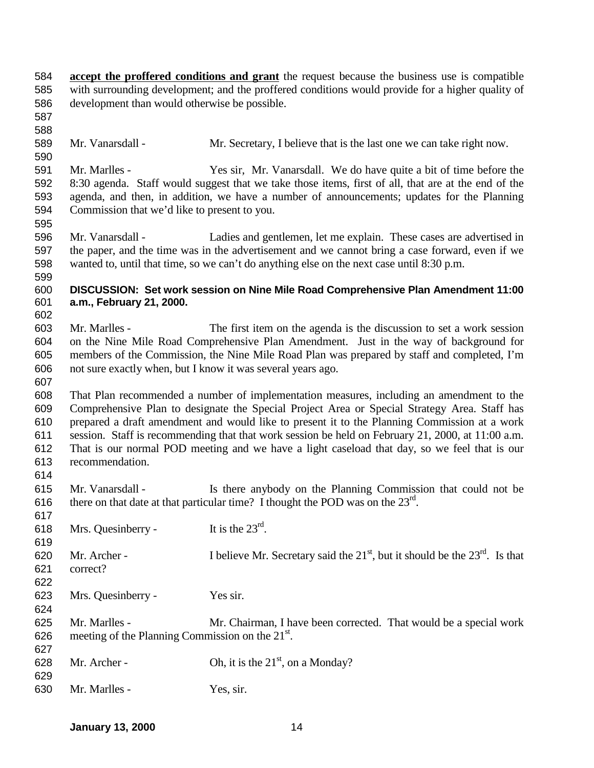- **accept the proffered conditions and grant** the request because the business use is compatible with surrounding development; and the proffered conditions would provide for a higher quality of development than would otherwise be possible.
- 

- Mr. Vanarsdall Mr. Secretary, I believe that is the last one we can take right now.
- Mr. Marlles Yes sir, Mr. Vanarsdall. We do have quite a bit of time before the 8:30 agenda. Staff would suggest that we take those items, first of all, that are at the end of the agenda, and then, in addition, we have a number of announcements; updates for the Planning Commission that we'd like to present to you.
- Mr. Vanarsdall Ladies and gentlemen, let me explain. These cases are advertised in the paper, and the time was in the advertisement and we cannot bring a case forward, even if we wanted to, until that time, so we can't do anything else on the next case until 8:30 p.m.
- **DISCUSSION: Set work session on Nine Mile Road Comprehensive Plan Amendment 11:00 a.m., February 21, 2000.**
- Mr. Marlles The first item on the agenda is the discussion to set a work session on the Nine Mile Road Comprehensive Plan Amendment. Just in the way of background for members of the Commission, the Nine Mile Road Plan was prepared by staff and completed, I'm not sure exactly when, but I know it was several years ago.
- That Plan recommended a number of implementation measures, including an amendment to the Comprehensive Plan to designate the Special Project Area or Special Strategy Area. Staff has prepared a draft amendment and would like to present it to the Planning Commission at a work session. Staff is recommending that that work session be held on February 21, 2000, at 11:00 a.m. That is our normal POD meeting and we have a light caseload that day, so we feel that is our recommendation.
- 

 Mr. Vanarsdall - Is there anybody on the Planning Commission that could not be 616 there on that date at that particular time? I thought the POD was on the  $23<sup>rd</sup>$ .

| <b>VII</b> |                                                              |                                                                                 |
|------------|--------------------------------------------------------------|---------------------------------------------------------------------------------|
| 618        | Mrs. Quesinberry -                                           | It is the $23^{\text{rd}}$ .                                                    |
| 619        |                                                              |                                                                                 |
| 620        | Mr. Archer -                                                 | I believe Mr. Secretary said the $21st$ , but it should be the $23rd$ . Is that |
| 621        | correct?                                                     |                                                                                 |
| 622        |                                                              |                                                                                 |
| 623        | Mrs. Quesinberry -                                           | Yes sir.                                                                        |
| 624        |                                                              |                                                                                 |
| 625        | Mr. Marlles -                                                | Mr. Chairman, I have been corrected. That would be a special work               |
| 626        | meeting of the Planning Commission on the 21 <sup>st</sup> . |                                                                                 |
| 627        |                                                              |                                                                                 |
| 628        | Mr. Archer -                                                 | Oh, it is the $21st$ , on a Monday?                                             |
| 629        |                                                              |                                                                                 |
| 630        | Mr. Marlles -                                                | Yes, sir.                                                                       |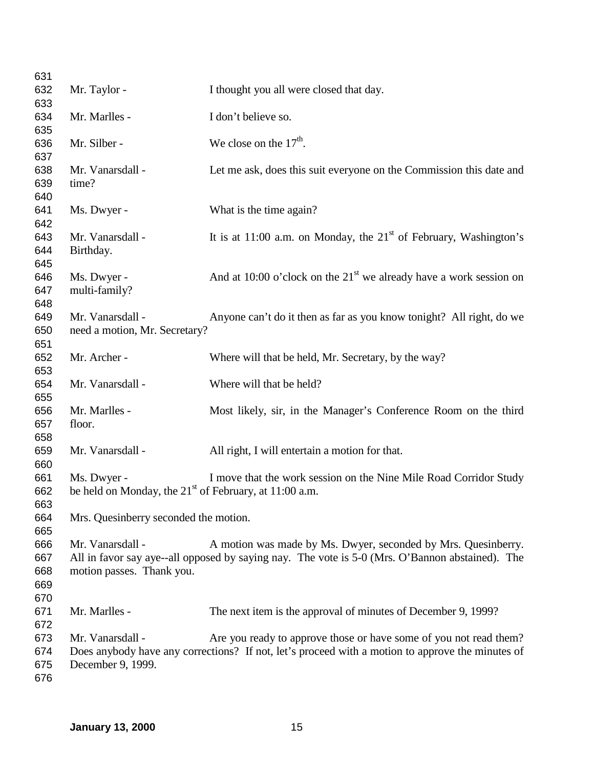| 631 |                                                          |                                                                                                  |
|-----|----------------------------------------------------------|--------------------------------------------------------------------------------------------------|
| 632 | Mr. Taylor -                                             | I thought you all were closed that day.                                                          |
| 633 |                                                          |                                                                                                  |
| 634 | Mr. Marlles -                                            | I don't believe so.                                                                              |
| 635 |                                                          |                                                                                                  |
| 636 | Mr. Silber -                                             | We close on the $17th$ .                                                                         |
| 637 |                                                          |                                                                                                  |
| 638 | Mr. Vanarsdall -                                         | Let me ask, does this suit everyone on the Commission this date and                              |
| 639 | time?                                                    |                                                                                                  |
| 640 |                                                          |                                                                                                  |
| 641 | Ms. Dwyer -                                              | What is the time again?                                                                          |
| 642 |                                                          |                                                                                                  |
| 643 | Mr. Vanarsdall -                                         | It is at 11:00 a.m. on Monday, the $21st$ of February, Washington's                              |
| 644 | Birthday.                                                |                                                                                                  |
| 645 |                                                          |                                                                                                  |
| 646 | Ms. Dwyer -                                              | And at 10:00 o'clock on the $21st$ we already have a work session on                             |
| 647 | multi-family?                                            |                                                                                                  |
| 648 |                                                          |                                                                                                  |
| 649 | Mr. Vanarsdall -                                         | Anyone can't do it then as far as you know tonight? All right, do we                             |
| 650 | need a motion, Mr. Secretary?                            |                                                                                                  |
| 651 |                                                          |                                                                                                  |
| 652 | Mr. Archer -                                             | Where will that be held, Mr. Secretary, by the way?                                              |
| 653 |                                                          |                                                                                                  |
| 654 | Mr. Vanarsdall -                                         | Where will that be held?                                                                         |
| 655 |                                                          |                                                                                                  |
| 656 | Mr. Marlles -                                            | Most likely, sir, in the Manager's Conference Room on the third                                  |
| 657 | floor.                                                   |                                                                                                  |
| 658 |                                                          |                                                                                                  |
| 659 | Mr. Vanarsdall -                                         | All right, I will entertain a motion for that.                                                   |
| 660 |                                                          |                                                                                                  |
| 661 | Ms. Dwyer -                                              | I move that the work session on the Nine Mile Road Corridor Study                                |
| 662 | be held on Monday, the $21st$ of February, at 11:00 a.m. |                                                                                                  |
| 663 |                                                          |                                                                                                  |
| 664 | Mrs. Quesinberry seconded the motion.                    |                                                                                                  |
| 665 |                                                          |                                                                                                  |
| 666 | Mr. Vanarsdall -                                         | A motion was made by Ms. Dwyer, seconded by Mrs. Quesinberry.                                    |
| 667 |                                                          | All in favor say aye--all opposed by saying nay. The vote is 5-0 (Mrs. O'Bannon abstained). The  |
| 668 | motion passes. Thank you.                                |                                                                                                  |
| 669 |                                                          |                                                                                                  |
| 670 |                                                          |                                                                                                  |
| 671 | Mr. Marlles -                                            | The next item is the approval of minutes of December 9, 1999?                                    |
| 672 |                                                          |                                                                                                  |
| 673 | Mr. Vanarsdall -                                         | Are you ready to approve those or have some of you not read them?                                |
| 674 |                                                          | Does anybody have any corrections? If not, let's proceed with a motion to approve the minutes of |
| 675 | December 9, 1999.                                        |                                                                                                  |
| 676 |                                                          |                                                                                                  |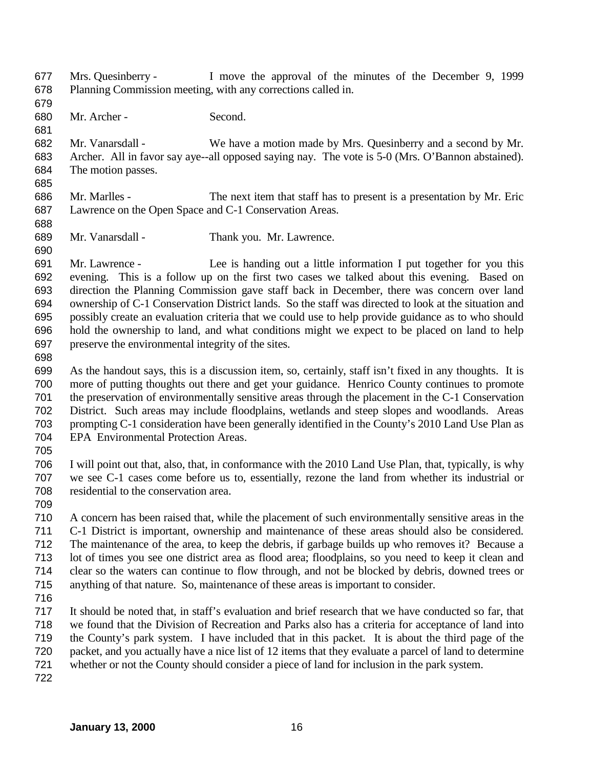Mrs. Quesinberry - I move the approval of the minutes of the December 9, 1999 Planning Commission meeting, with any corrections called in. 

Mr. Archer - Second.

 Mr. Vanarsdall - We have a motion made by Mrs. Quesinberry and a second by Mr. Archer. All in favor say aye--all opposed saying nay. The vote is 5-0 (Mrs. O'Bannon abstained). The motion passes.

- Mr. Marlles The next item that staff has to present is a presentation by Mr. Eric Lawrence on the Open Space and C-1 Conservation Areas.
- Mr. Vanarsdall Thank you. Mr. Lawrence.

 Mr. Lawrence - Lee is handing out a little information I put together for you this evening. This is a follow up on the first two cases we talked about this evening. Based on direction the Planning Commission gave staff back in December, there was concern over land ownership of C-1 Conservation District lands. So the staff was directed to look at the situation and possibly create an evaluation criteria that we could use to help provide guidance as to who should hold the ownership to land, and what conditions might we expect to be placed on land to help preserve the environmental integrity of the sites.

 As the handout says, this is a discussion item, so, certainly, staff isn't fixed in any thoughts. It is more of putting thoughts out there and get your guidance. Henrico County continues to promote the preservation of environmentally sensitive areas through the placement in the C-1 Conservation District. Such areas may include floodplains, wetlands and steep slopes and woodlands. Areas prompting C-1 consideration have been generally identified in the County's 2010 Land Use Plan as EPA Environmental Protection Areas.

 I will point out that, also, that, in conformance with the 2010 Land Use Plan, that, typically, is why we see C-1 cases come before us to, essentially, rezone the land from whether its industrial or residential to the conservation area.

 A concern has been raised that, while the placement of such environmentally sensitive areas in the C-1 District is important, ownership and maintenance of these areas should also be considered. The maintenance of the area, to keep the debris, if garbage builds up who removes it? Because a lot of times you see one district area as flood area; floodplains, so you need to keep it clean and clear so the waters can continue to flow through, and not be blocked by debris, downed trees or anything of that nature. So, maintenance of these areas is important to consider.

 It should be noted that, in staff's evaluation and brief research that we have conducted so far, that we found that the Division of Recreation and Parks also has a criteria for acceptance of land into the County's park system. I have included that in this packet. It is about the third page of the packet, and you actually have a nice list of 12 items that they evaluate a parcel of land to determine whether or not the County should consider a piece of land for inclusion in the park system.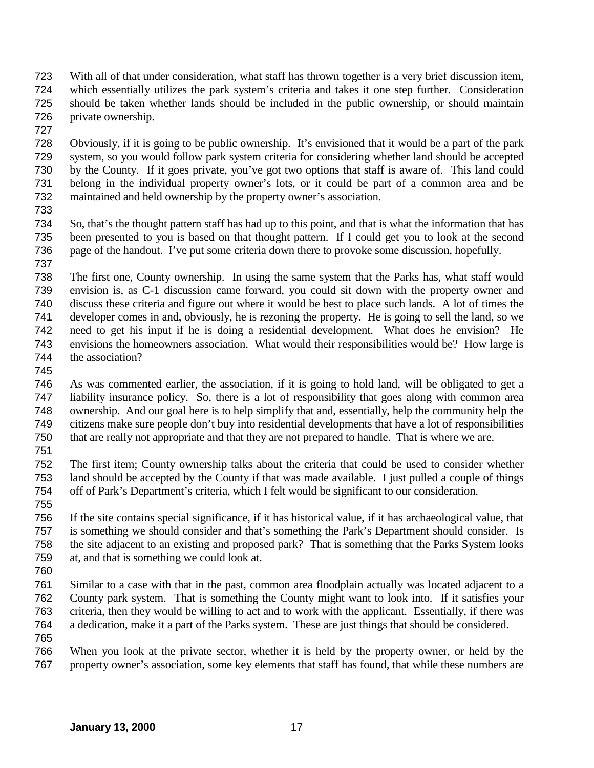- With all of that under consideration, what staff has thrown together is a very brief discussion item, which essentially utilizes the park system's criteria and takes it one step further. Consideration should be taken whether lands should be included in the public ownership, or should maintain private ownership.
- 

 Obviously, if it is going to be public ownership. It's envisioned that it would be a part of the park system, so you would follow park system criteria for considering whether land should be accepted by the County. If it goes private, you've got two options that staff is aware of. This land could belong in the individual property owner's lots, or it could be part of a common area and be maintained and held ownership by the property owner's association.

 So, that's the thought pattern staff has had up to this point, and that is what the information that has been presented to you is based on that thought pattern. If I could get you to look at the second page of the handout. I've put some criteria down there to provoke some discussion, hopefully.

 The first one, County ownership. In using the same system that the Parks has, what staff would envision is, as C-1 discussion came forward, you could sit down with the property owner and discuss these criteria and figure out where it would be best to place such lands. A lot of times the developer comes in and, obviously, he is rezoning the property. He is going to sell the land, so we need to get his input if he is doing a residential development. What does he envision? He envisions the homeowners association. What would their responsibilities would be? How large is the association?

 As was commented earlier, the association, if it is going to hold land, will be obligated to get a liability insurance policy. So, there is a lot of responsibility that goes along with common area ownership. And our goal here is to help simplify that and, essentially, help the community help the citizens make sure people don't buy into residential developments that have a lot of responsibilities that are really not appropriate and that they are not prepared to handle. That is where we are.

 The first item; County ownership talks about the criteria that could be used to consider whether land should be accepted by the County if that was made available. I just pulled a couple of things off of Park's Department's criteria, which I felt would be significant to our consideration.

 If the site contains special significance, if it has historical value, if it has archaeological value, that is something we should consider and that's something the Park's Department should consider. Is the site adjacent to an existing and proposed park? That is something that the Parks System looks at, and that is something we could look at.

 Similar to a case with that in the past, common area floodplain actually was located adjacent to a County park system. That is something the County might want to look into. If it satisfies your criteria, then they would be willing to act and to work with the applicant. Essentially, if there was a dedication, make it a part of the Parks system. These are just things that should be considered. 

 When you look at the private sector, whether it is held by the property owner, or held by the property owner's association, some key elements that staff has found, that while these numbers are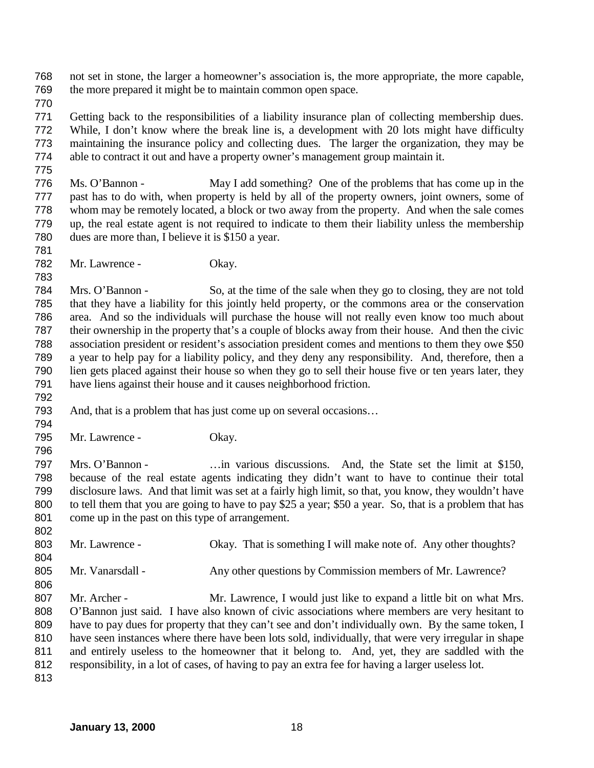not set in stone, the larger a homeowner's association is, the more appropriate, the more capable, the more prepared it might be to maintain common open space.

 Getting back to the responsibilities of a liability insurance plan of collecting membership dues. While, I don't know where the break line is, a development with 20 lots might have difficulty maintaining the insurance policy and collecting dues. The larger the organization, they may be able to contract it out and have a property owner's management group maintain it.

 Ms. O'Bannon - May I add something? One of the problems that has come up in the past has to do with, when property is held by all of the property owners, joint owners, some of whom may be remotely located, a block or two away from the property. And when the sale comes up, the real estate agent is not required to indicate to them their liability unless the membership dues are more than, I believe it is \$150 a year.

Mr. Lawrence - Okay.

 Mrs. O'Bannon - So, at the time of the sale when they go to closing, they are not told that they have a liability for this jointly held property, or the commons area or the conservation area. And so the individuals will purchase the house will not really even know too much about their ownership in the property that's a couple of blocks away from their house. And then the civic association president or resident's association president comes and mentions to them they owe \$50 a year to help pay for a liability policy, and they deny any responsibility. And, therefore, then a lien gets placed against their house so when they go to sell their house five or ten years later, they have liens against their house and it causes neighborhood friction.

- And, that is a problem that has just come up on several occasions…
- 

Mr. Lawrence - Okay.

 Mrs. O'Bannon - …in various discussions. And, the State set the limit at \$150, because of the real estate agents indicating they didn't want to have to continue their total disclosure laws. And that limit was set at a fairly high limit, so that, you know, they wouldn't have to tell them that you are going to have to pay \$25 a year; \$50 a year. So, that is a problem that has come up in the past on this type of arrangement.

 803 Mr. Lawrence - Okay. That is something I will make note of. Any other thoughts? Mr. Vanarsdall - Any other questions by Commission members of Mr. Lawrence? 807 Mr. Archer - Mr. Lawrence, I would just like to expand a little bit on what Mrs. O'Bannon just said. I have also known of civic associations where members are very hesitant to have to pay dues for property that they can't see and don't individually own. By the same token, I have seen instances where there have been lots sold, individually, that were very irregular in shape

 and entirely useless to the homeowner that it belong to. And, yet, they are saddled with the responsibility, in a lot of cases, of having to pay an extra fee for having a larger useless lot.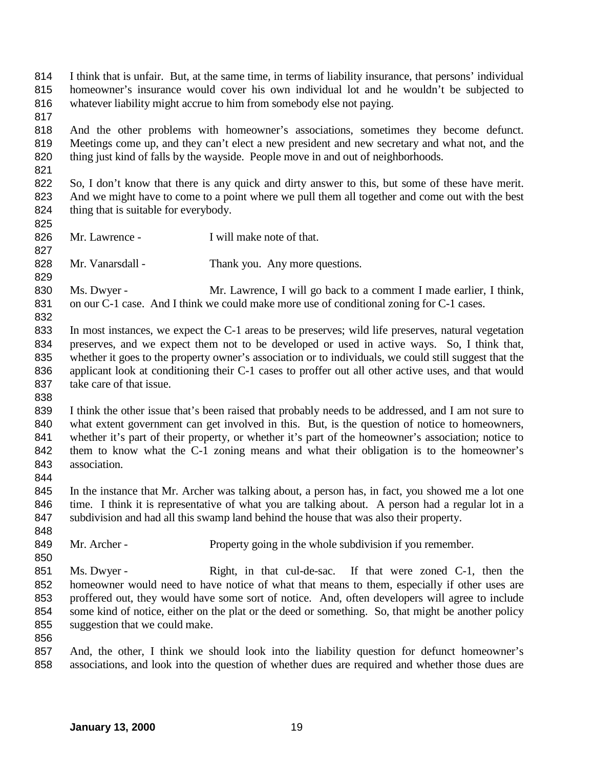I think that is unfair. But, at the same time, in terms of liability insurance, that persons' individual homeowner's insurance would cover his own individual lot and he wouldn't be subjected to whatever liability might accrue to him from somebody else not paying.

- And the other problems with homeowner's associations, sometimes they become defunct. Meetings come up, and they can't elect a new president and new secretary and what not, and the thing just kind of falls by the wayside. People move in and out of neighborhoods.
- 822 So, I don't know that there is any quick and dirty answer to this, but some of these have merit. And we might have to come to a point where we pull them all together and come out with the best 824 thing that is suitable for everybody.
- 

- 826 Mr. Lawrence I will make note of that.
- 828 Mr. Vanarsdall Thank you. Any more questions.
- 830 Ms. Dwyer Mr. Lawrence, I will go back to a comment I made earlier, I think, 831 on our C-1 case. And I think we could make more use of conditional zoning for C-1 cases.
- In most instances, we expect the C-1 areas to be preserves; wild life preserves, natural vegetation preserves, and we expect them not to be developed or used in active ways. So, I think that, whether it goes to the property owner's association or to individuals, we could still suggest that the applicant look at conditioning their C-1 cases to proffer out all other active uses, and that would take care of that issue.
- 
- I think the other issue that's been raised that probably needs to be addressed, and I am not sure to what extent government can get involved in this. But, is the question of notice to homeowners, whether it's part of their property, or whether it's part of the homeowner's association; notice to 842 them to know what the C-1 zoning means and what their obligation is to the homeowner's association.
- In the instance that Mr. Archer was talking about, a person has, in fact, you showed me a lot one time. I think it is representative of what you are talking about. A person had a regular lot in a subdivision and had all this swamp land behind the house that was also their property.
- 849 Mr. Archer Property going in the whole subdivision if you remember.
- 851 Ms. Dwyer Right, in that cul-de-sac. If that were zoned C-1, then the homeowner would need to have notice of what that means to them, especially if other uses are proffered out, they would have some sort of notice. And, often developers will agree to include some kind of notice, either on the plat or the deed or something. So, that might be another policy suggestion that we could make.
- 

 And, the other, I think we should look into the liability question for defunct homeowner's associations, and look into the question of whether dues are required and whether those dues are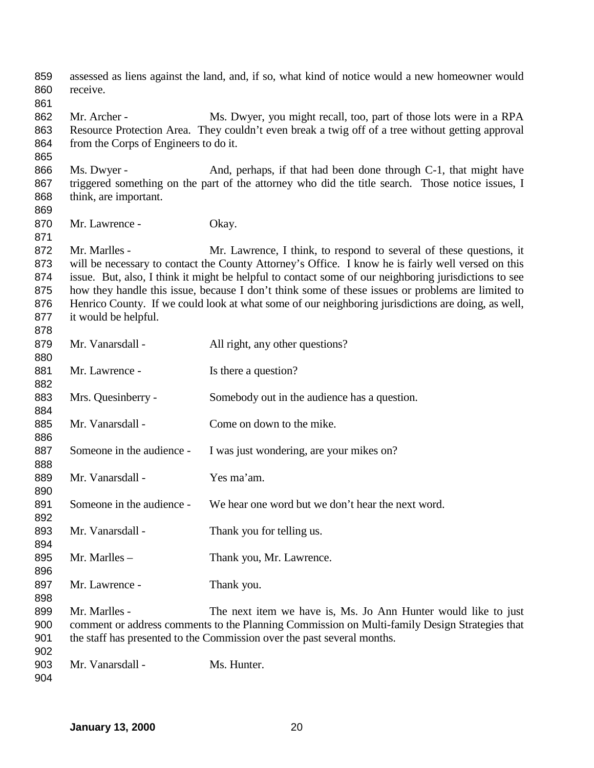assessed as liens against the land, and, if so, what kind of notice would a new homeowner would receive. 862 Mr. Archer - Ms. Dwyer, you might recall, too, part of those lots were in a RPA Resource Protection Area. They couldn't even break a twig off of a tree without getting approval from the Corps of Engineers to do it. 866 Ms. Dwyer - And, perhaps, if that had been done through C-1, that might have triggered something on the part of the attorney who did the title search. Those notice issues, I think, are important. 870 Mr. Lawrence - Okay. 872 Mr. Marlles - Mr. Lawrence, I think, to respond to several of these questions, it will be necessary to contact the County Attorney's Office. I know he is fairly well versed on this issue. But, also, I think it might be helpful to contact some of our neighboring jurisdictions to see how they handle this issue, because I don't think some of these issues or problems are limited to Henrico County. If we could look at what some of our neighboring jurisdictions are doing, as well, it would be helpful. 879 Mr. Vanarsdall - All right, any other questions? 881 Mr. Lawrence - Is there a question? 883 Mrs. Quesinberry - Somebody out in the audience has a question. 885 Mr. Vanarsdall - Come on down to the mike. 887 Someone in the audience - I was just wondering, are your mikes on? Mr. Vanarsdall - Yes ma'am. Someone in the audience - We hear one word but we don't hear the next word. 893 Mr. Vanarsdall - Thank you for telling us. 895 Mr. Marlles – Thank you, Mr. Lawrence. 897 Mr. Lawrence - Thank you. Mr. Marlles - The next item we have is, Ms. Jo Ann Hunter would like to just comment or address comments to the Planning Commission on Multi-family Design Strategies that the staff has presented to the Commission over the past several months. 903 Mr. Vanarsdall - Ms. Hunter.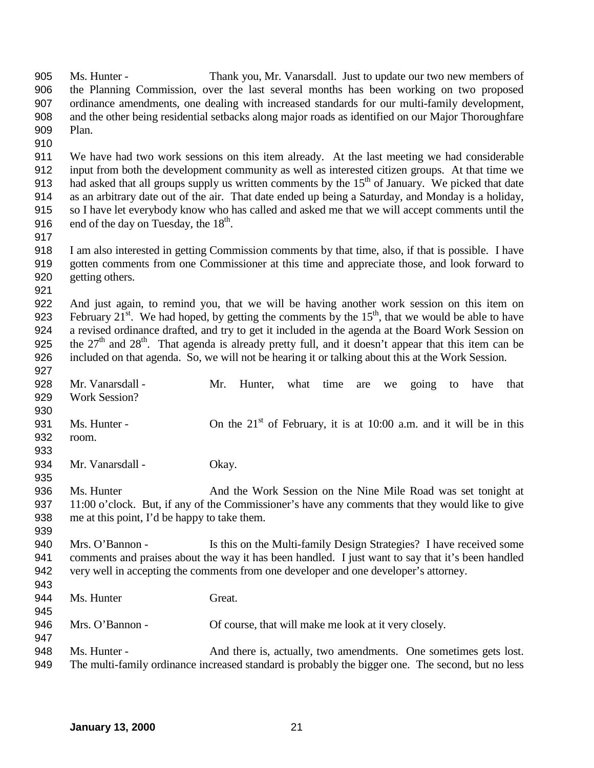Ms. Hunter - Thank you, Mr. Vanarsdall. Just to update our two new members of the Planning Commission, over the last several months has been working on two proposed ordinance amendments, one dealing with increased standards for our multi-family development, and the other being residential setbacks along major roads as identified on our Major Thoroughfare Plan. We have had two work sessions on this item already. At the last meeting we had considerable input from both the development community as well as interested citizen groups. At that time we 913 had asked that all groups supply us written comments by the  $15<sup>th</sup>$  of January. We picked that date as an arbitrary date out of the air. That date ended up being a Saturday, and Monday is a holiday, so I have let everybody know who has called and asked me that we will accept comments until the 916 . end of the day on Tuesday, the  $18<sup>th</sup>$ . I am also interested in getting Commission comments by that time, also, if that is possible. I have gotten comments from one Commissioner at this time and appreciate those, and look forward to getting others. And just again, to remind you, that we will be having another work session on this item on 923 February  $21^{st}$ . We had hoped, by getting the comments by the  $15^{th}$ , that we would be able to have a revised ordinance drafted, and try to get it included in the agenda at the Board Work Session on 925 the  $27<sup>th</sup>$  and  $28<sup>th</sup>$ . That agenda is already pretty full, and it doesn't appear that this item can be included on that agenda. So, we will not be hearing it or talking about this at the Work Session. 928 Mr. Vanarsdall - Mr. Hunter, what time are we going to have that Work Session? 931 Ms. Hunter - On the  $21<sup>st</sup>$  of February, it is at 10:00 a.m. and it will be in this room. 934 Mr. Vanarsdall - Okay. 936 Ms. Hunter And the Work Session on the Nine Mile Road was set tonight at 937 11:00 o'clock. But, if any of the Commissioner's have any comments that they would like to give me at this point, I'd be happy to take them. Mrs. O'Bannon - Is this on the Multi-family Design Strategies? I have received some comments and praises about the way it has been handled. I just want to say that it's been handled very well in accepting the comments from one developer and one developer's attorney. 944 Ms. Hunter Great. 946 Mrs. O'Bannon - Of course, that will make me look at it very closely. Ms. Hunter - And there is, actually, two amendments. One sometimes gets lost. The multi-family ordinance increased standard is probably the bigger one. The second, but no less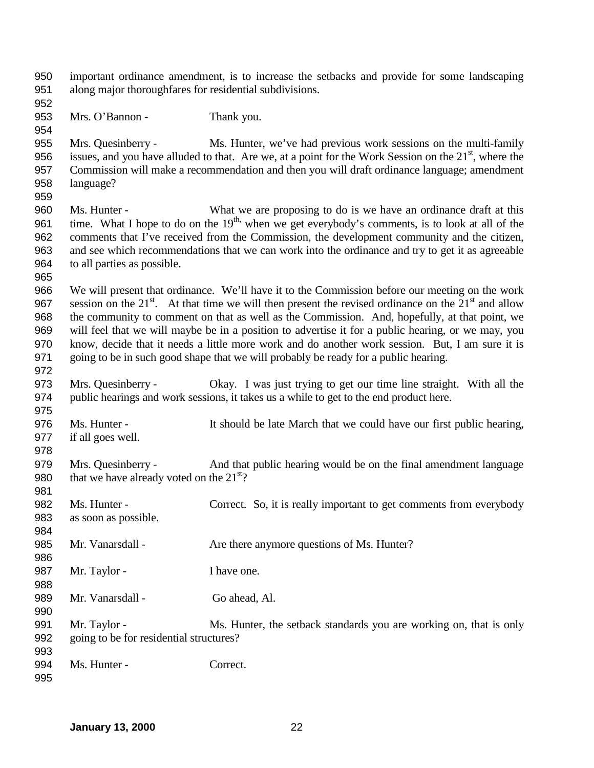important ordinance amendment, is to increase the setbacks and provide for some landscaping along major thoroughfares for residential subdivisions. 953 Mrs. O'Bannon - Thank you. Mrs. Quesinberry - Ms. Hunter, we've had previous work sessions on the multi-family 956 issues, and you have alluded to that. Are we, at a point for the Work Session on the  $21<sup>st</sup>$ , where the Commission will make a recommendation and then you will draft ordinance language; amendment language? Ms. Hunter - What we are proposing to do is we have an ordinance draft at this 961 time. What I hope to do on the  $19<sup>th</sup>$ , when we get everybody's comments, is to look at all of the comments that I've received from the Commission, the development community and the citizen, and see which recommendations that we can work into the ordinance and try to get it as agreeable to all parties as possible. We will present that ordinance. We'll have it to the Commission before our meeting on the work 967 session on the  $21<sup>st</sup>$ . At that time we will then present the revised ordinance on the  $21<sup>st</sup>$  and allow the community to comment on that as well as the Commission. And, hopefully, at that point, we will feel that we will maybe be in a position to advertise it for a public hearing, or we may, you know, decide that it needs a little more work and do another work session. But, I am sure it is going to be in such good shape that we will probably be ready for a public hearing. Mrs. Quesinberry - Okay. I was just trying to get our time line straight. With all the public hearings and work sessions, it takes us a while to get to the end product here. Ms. Hunter - It should be late March that we could have our first public hearing, if all goes well. Mrs. Quesinberry - And that public hearing would be on the final amendment language 980 that we have already voted on the  $21<sup>st</sup>$ ? Ms. Hunter - Correct. So, it is really important to get comments from everybody as soon as possible. 985 Mr. Vanarsdall - Are there anymore questions of Ms. Hunter? 987 Mr. Taylor - I have one. Mr. Vanarsdall - Go ahead, Al. Mr. Taylor - Ms. Hunter, the setback standards you are working on, that is only going to be for residential structures? Ms. Hunter - Correct.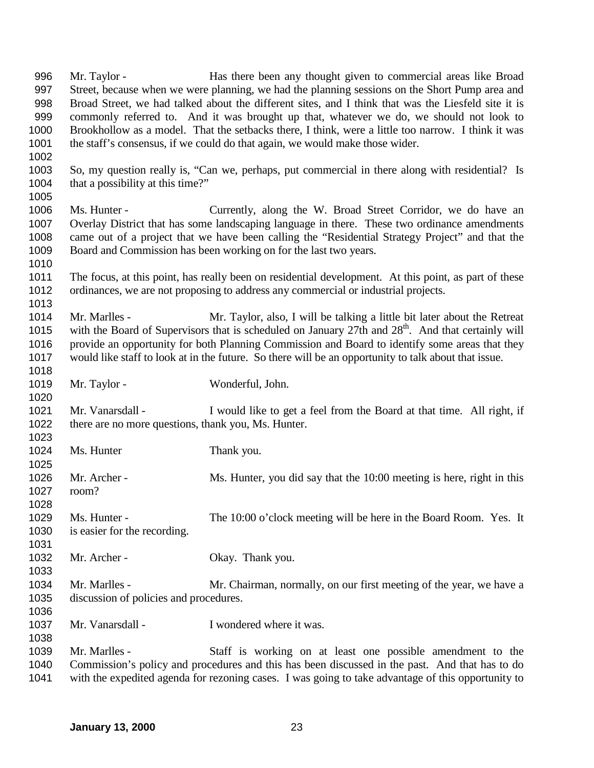Mr. Taylor - Has there been any thought given to commercial areas like Broad Street, because when we were planning, we had the planning sessions on the Short Pump area and Broad Street, we had talked about the different sites, and I think that was the Liesfeld site it is commonly referred to. And it was brought up that, whatever we do, we should not look to Brookhollow as a model. That the setbacks there, I think, were a little too narrow. I think it was the staff's consensus, if we could do that again, we would make those wider. So, my question really is, "Can we, perhaps, put commercial in there along with residential? Is 1004 that a possibility at this time?" Ms. Hunter - Currently, along the W. Broad Street Corridor, we do have an Overlay District that has some landscaping language in there. These two ordinance amendments came out of a project that we have been calling the "Residential Strategy Project" and that the Board and Commission has been working on for the last two years. The focus, at this point, has really been on residential development. At this point, as part of these ordinances, we are not proposing to address any commercial or industrial projects. Mr. Marlles - Mr. Taylor, also, I will be talking a little bit later about the Retreat 1015 with the Board of Supervisors that is scheduled on January 27th and  $28<sup>th</sup>$ . And that certainly will provide an opportunity for both Planning Commission and Board to identify some areas that they would like staff to look at in the future. So there will be an opportunity to talk about that issue. 1019 Mr. Taylor - Wonderful, John. Mr. Vanarsdall - I would like to get a feel from the Board at that time. All right, if 1022 there are no more questions, thank you, Ms. Hunter. 1024 Ms. Hunter Thank you. 1026 Mr. Archer - Ms. Hunter, you did say that the 10:00 meeting is here, right in this room? Ms. Hunter - The 10:00 o'clock meeting will be here in the Board Room. Yes. It is easier for the recording. 1032 Mr. Archer - Okay. Thank you. Mr. Marlles - Mr. Chairman, normally, on our first meeting of the year, we have a discussion of policies and procedures. 1037 Mr. Vanarsdall - I wondered where it was. Mr. Marlles - Staff is working on at least one possible amendment to the Commission's policy and procedures and this has been discussed in the past. And that has to do with the expedited agenda for rezoning cases. I was going to take advantage of this opportunity to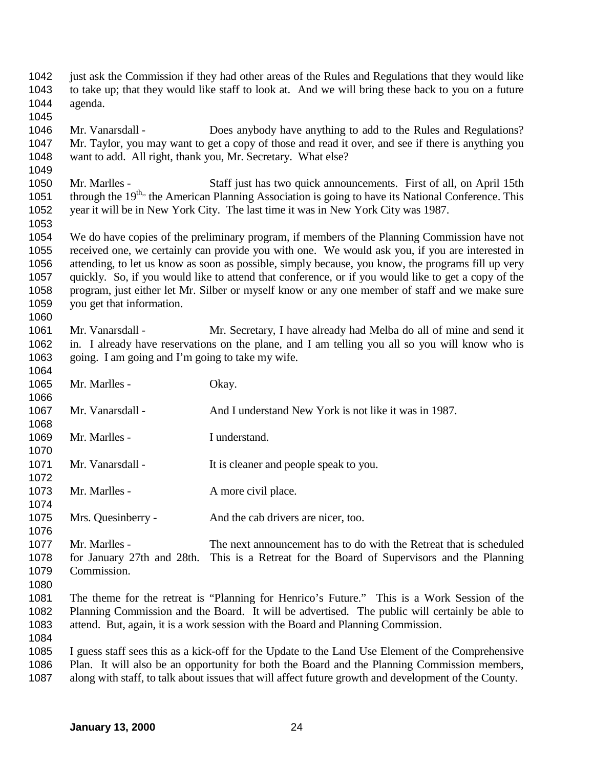just ask the Commission if they had other areas of the Rules and Regulations that they would like to take up; that they would like staff to look at. And we will bring these back to you on a future agenda.

 Mr. Vanarsdall - Does anybody have anything to add to the Rules and Regulations? Mr. Taylor, you may want to get a copy of those and read it over, and see if there is anything you want to add. All right, thank you, Mr. Secretary. What else?

 Mr. Marlles - Staff just has two quick announcements. First of all, on April 15th 1051 through the  $19^{th}$ , the American Planning Association is going to have its National Conference. This year it will be in New York City. The last time it was in New York City was 1987. 

 We do have copies of the preliminary program, if members of the Planning Commission have not received one, we certainly can provide you with one. We would ask you, if you are interested in attending, to let us know as soon as possible, simply because, you know, the programs fill up very quickly. So, if you would like to attend that conference, or if you would like to get a copy of the program, just either let Mr. Silber or myself know or any one member of staff and we make sure you get that information. 

 Mr. Vanarsdall - Mr. Secretary, I have already had Melba do all of mine and send it in. I already have reservations on the plane, and I am telling you all so you will know who is going. I am going and I'm going to take my wife.

1065 Mr. Marlles - Okay. Mr. Vanarsdall - And I understand New York is not like it was in 1987. 1069 Mr. Marlles - I understand. 1071 Mr. Vanarsdall - It is cleaner and people speak to you. 1073 Mr. Marlles - A more civil place. Mrs. Quesinberry - And the cab drivers are nicer, too. Mr. Marlles - The next announcement has to do with the Retreat that is scheduled for January 27th and 28th. This is a Retreat for the Board of Supervisors and the Planning Commission. The theme for the retreat is "Planning for Henrico's Future." This is a Work Session of the Planning Commission and the Board. It will be advertised. The public will certainly be able to attend. But, again, it is a work session with the Board and Planning Commission. I guess staff sees this as a kick-off for the Update to the Land Use Element of the Comprehensive Plan. It will also be an opportunity for both the Board and the Planning Commission members,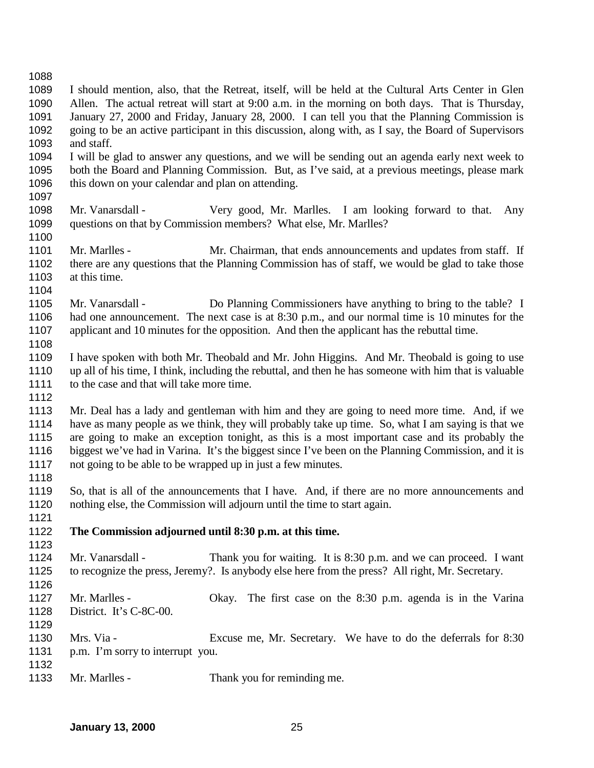I should mention, also, that the Retreat, itself, will be held at the Cultural Arts Center in Glen Allen. The actual retreat will start at 9:00 a.m. in the morning on both days. That is Thursday, January 27, 2000 and Friday, January 28, 2000. I can tell you that the Planning Commission is going to be an active participant in this discussion, along with, as I say, the Board of Supervisors and staff. I will be glad to answer any questions, and we will be sending out an agenda early next week to both the Board and Planning Commission. But, as I've said, at a previous meetings, please mark 1096 this down on your calendar and plan on attending. Mr. Vanarsdall - Very good, Mr. Marlles. I am looking forward to that. Any questions on that by Commission members? What else, Mr. Marlles? Mr. Marlles - Mr. Chairman, that ends announcements and updates from staff. If there are any questions that the Planning Commission has of staff, we would be glad to take those at this time. Mr. Vanarsdall - Do Planning Commissioners have anything to bring to the table? I had one announcement. The next case is at 8:30 p.m., and our normal time is 10 minutes for the applicant and 10 minutes for the opposition. And then the applicant has the rebuttal time. I have spoken with both Mr. Theobald and Mr. John Higgins. And Mr. Theobald is going to use up all of his time, I think, including the rebuttal, and then he has someone with him that is valuable to the case and that will take more time. Mr. Deal has a lady and gentleman with him and they are going to need more time. And, if we have as many people as we think, they will probably take up time. So, what I am saying is that we are going to make an exception tonight, as this is a most important case and its probably the biggest we've had in Varina. It's the biggest since I've been on the Planning Commission, and it is not going to be able to be wrapped up in just a few minutes. So, that is all of the announcements that I have. And, if there are no more announcements and nothing else, the Commission will adjourn until the time to start again. **The Commission adjourned until 8:30 p.m. at this time.** Mr. Vanarsdall - Thank you for waiting. It is 8:30 p.m. and we can proceed. I want to recognize the press, Jeremy?. Is anybody else here from the press? All right, Mr. Secretary. Mr. Marlles - Okay. The first case on the 8:30 p.m. agenda is in the Varina District. It's C-8C-00. Mrs. Via - Excuse me, Mr. Secretary. We have to do the deferrals for 8:30 1131 p.m. I'm sorry to interrupt you. 1133 Mr. Marlles - Thank you for reminding me.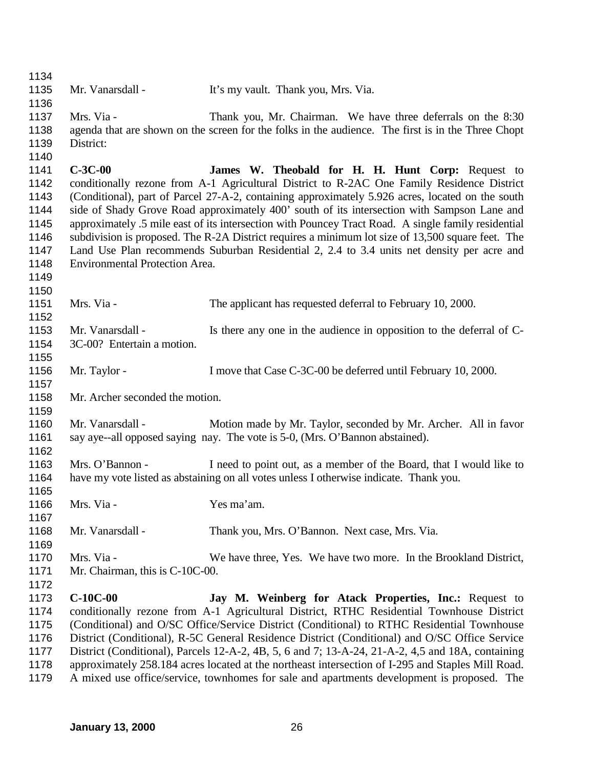| 1134 |                                       |                                                                                                     |
|------|---------------------------------------|-----------------------------------------------------------------------------------------------------|
| 1135 | Mr. Vanarsdall -                      | It's my vault. Thank you, Mrs. Via.                                                                 |
| 1136 |                                       |                                                                                                     |
| 1137 | Mrs. Via -                            | Thank you, Mr. Chairman. We have three deferrals on the 8:30                                        |
| 1138 |                                       | agenda that are shown on the screen for the folks in the audience. The first is in the Three Chopt  |
| 1139 | District:                             |                                                                                                     |
| 1140 |                                       |                                                                                                     |
| 1141 | $C-3C-00$                             |                                                                                                     |
|      |                                       | James W. Theobald for H. H. Hunt Corp: Request to                                                   |
| 1142 |                                       | conditionally rezone from A-1 Agricultural District to R-2AC One Family Residence District          |
| 1143 |                                       | (Conditional), part of Parcel 27-A-2, containing approximately 5.926 acres, located on the south    |
| 1144 |                                       | side of Shady Grove Road approximately 400' south of its intersection with Sampson Lane and         |
| 1145 |                                       | approximately .5 mile east of its intersection with Pouncey Tract Road. A single family residential |
| 1146 |                                       | subdivision is proposed. The R-2A District requires a minimum lot size of 13,500 square feet. The   |
| 1147 |                                       | Land Use Plan recommends Suburban Residential 2, 2.4 to 3.4 units net density per acre and          |
| 1148 | <b>Environmental Protection Area.</b> |                                                                                                     |
| 1149 |                                       |                                                                                                     |
| 1150 |                                       |                                                                                                     |
| 1151 | Mrs. Via -                            | The applicant has requested deferral to February 10, 2000.                                          |
| 1152 |                                       |                                                                                                     |
| 1153 | Mr. Vanarsdall -                      | Is there any one in the audience in opposition to the deferral of C-                                |
| 1154 | 3C-00? Entertain a motion.            |                                                                                                     |
| 1155 |                                       |                                                                                                     |
| 1156 | Mr. Taylor -                          | I move that Case C-3C-00 be deferred until February 10, 2000.                                       |
| 1157 |                                       |                                                                                                     |
| 1158 | Mr. Archer seconded the motion.       |                                                                                                     |
| 1159 |                                       |                                                                                                     |
| 1160 | Mr. Vanarsdall -                      | Motion made by Mr. Taylor, seconded by Mr. Archer. All in favor                                     |
| 1161 |                                       | say aye--all opposed saying nay. The vote is 5-0, (Mrs. O'Bannon abstained).                        |
| 1162 |                                       |                                                                                                     |
| 1163 | Mrs. O'Bannon -                       | I need to point out, as a member of the Board, that I would like to                                 |
| 1164 |                                       | have my vote listed as abstaining on all votes unless I otherwise indicate. Thank you.              |
| 1165 |                                       |                                                                                                     |
| 1166 | Mrs. Via -                            | Yes ma'am.                                                                                          |
| 1167 |                                       |                                                                                                     |
| 1168 | Mr. Vanarsdall -                      | Thank you, Mrs. O'Bannon. Next case, Mrs. Via.                                                      |
| 1169 |                                       |                                                                                                     |
| 1170 | Mrs. Via -                            | We have three, Yes. We have two more. In the Brookland District,                                    |
| 1171 | Mr. Chairman, this is C-10C-00.       |                                                                                                     |
| 1172 |                                       |                                                                                                     |
| 1173 | $C-10C-00$                            | Jay M. Weinberg for Atack Properties, Inc.: Request to                                              |
| 1174 |                                       | conditionally rezone from A-1 Agricultural District, RTHC Residential Townhouse District            |
| 1175 |                                       | (Conditional) and O/SC Office/Service District (Conditional) to RTHC Residential Townhouse          |
| 1176 |                                       | District (Conditional), R-5C General Residence District (Conditional) and O/SC Office Service       |
| 1177 |                                       | District (Conditional), Parcels 12-A-2, 4B, 5, 6 and 7; 13-A-24, 21-A-2, 4,5 and 18A, containing    |
| 1178 |                                       | approximately 258.184 acres located at the northeast intersection of I-295 and Staples Mill Road.   |
| 1179 |                                       | A mixed use office/service, townhomes for sale and apartments development is proposed. The          |
|      |                                       |                                                                                                     |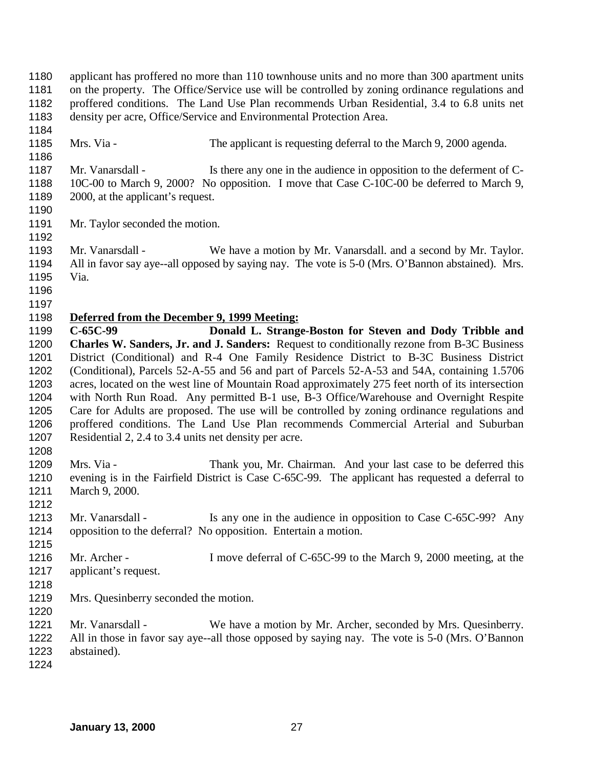applicant has proffered no more than 110 townhouse units and no more than 300 apartment units on the property. The Office/Service use will be controlled by zoning ordinance regulations and proffered conditions. The Land Use Plan recommends Urban Residential, 3.4 to 6.8 units net density per acre, Office/Service and Environmental Protection Area. Mrs. Via - The applicant is requesting deferral to the March 9, 2000 agenda. 1187 Mr. Vanarsdall - Is there any one in the audience in opposition to the deferment of C- 10C-00 to March 9, 2000? No opposition. I move that Case C-10C-00 be deferred to March 9, 1189 2000, at the applicant's request. 1191 Mr. Taylor seconded the motion. Mr. Vanarsdall - We have a motion by Mr. Vanarsdall. and a second by Mr. Taylor. All in favor say aye--all opposed by saying nay. The vote is 5-0 (Mrs. O'Bannon abstained). Mrs. Via. **Deferred from the December 9, 1999 Meeting: C-65C-99 Donald L. Strange-Boston for Steven and Dody Tribble and Charles W. Sanders, Jr. and J. Sanders:** Request to conditionally rezone from B-3C Business District (Conditional) and R-4 One Family Residence District to B-3C Business District (Conditional), Parcels 52-A-55 and 56 and part of Parcels 52-A-53 and 54A, containing 1.5706 acres, located on the west line of Mountain Road approximately 275 feet north of its intersection with North Run Road. Any permitted B-1 use, B-3 Office/Warehouse and Overnight Respite Care for Adults are proposed. The use will be controlled by zoning ordinance regulations and proffered conditions. The Land Use Plan recommends Commercial Arterial and Suburban Residential 2, 2.4 to 3.4 units net density per acre. Mrs. Via - Thank you, Mr. Chairman. And your last case to be deferred this evening is in the Fairfield District is Case C-65C-99. The applicant has requested a deferral to March 9, 2000. 1213 Mr. Vanarsdall - Is any one in the audience in opposition to Case C-65C-99? Any opposition to the deferral? No opposition. Entertain a motion. 1216 Mr. Archer - I move deferral of C-65C-99 to the March 9, 2000 meeting, at the applicant's request. Mrs. Quesinberry seconded the motion. Mr. Vanarsdall - We have a motion by Mr. Archer, seconded by Mrs. Quesinberry. All in those in favor say aye--all those opposed by saying nay. The vote is 5-0 (Mrs. O'Bannon abstained).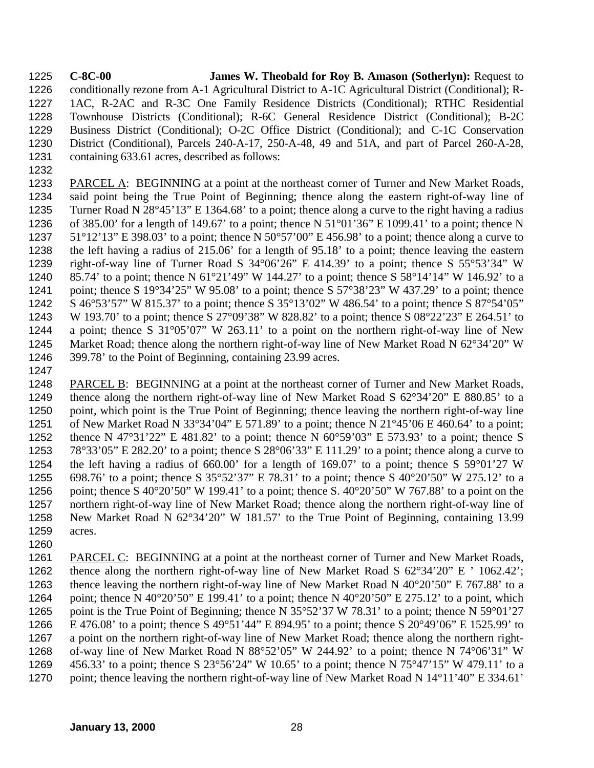**C-8C-00 James W. Theobald for Roy B. Amason (Sotherlyn):** Request to conditionally rezone from A-1 Agricultural District to A-1C Agricultural District (Conditional); R- 1AC, R-2AC and R-3C One Family Residence Districts (Conditional); RTHC Residential Townhouse Districts (Conditional); R-6C General Residence District (Conditional); B-2C Business District (Conditional); O-2C Office District (Conditional); and C-1C Conservation District (Conditional), Parcels 240-A-17, 250-A-48, 49 and 51A, and part of Parcel 260-A-28, containing 633.61 acres, described as follows:

 PARCEL A: BEGINNING at a point at the northeast corner of Turner and New Market Roads, said point being the True Point of Beginning; thence along the eastern right-of-way line of Turner Road N 28°45'13" E 1364.68' to a point; thence along a curve to the right having a radius 1236 of 385.00' for a length of 149.67' to a point; thence N  $51^{\circ}01'36''$  E 1099.41' to a point; thence N  $51^{\circ}12'13''$  E 398.03' to a point; thence N 50°57'00" E 456.98' to a point; thence along a curve to the left having a radius of 215.06' for a length of 95.18' to a point; thence leaving the eastern right-of-way line of Turner Road S 34°06'26" E 414.39' to a point; thence S 55°53'34" W 85.74' to a point; thence N 61°21'49" W 144.27' to a point; thence S 58°14'14" W 146.92' to a 1241 point; thence S 19°34'25" W 95.08' to a point; thence S 57°38'23" W 437.29' to a point; thence S 46°53'57" W 815.37' to a point; thence S 35°13'02" W 486.54' to a point; thence S 87°54'05" W 193.70' to a point; thence S 27°09'38" W 828.82' to a point; thence S 08°22'23" E 264.51' to a point; thence S 31°05'07" W 263.11' to a point on the northern right-of-way line of New Market Road; thence along the northern right-of-way line of New Market Road N 62°34'20" W 399.78' to the Point of Beginning, containing 23.99 acres.

 PARCEL B: BEGINNING at a point at the northeast corner of Turner and New Market Roads, thence along the northern right-of-way line of New Market Road S 62°34'20" E 880.85' to a point, which point is the True Point of Beginning; thence leaving the northern right-of-way line of New Market Road N 33°34'04" E 571.89' to a point; thence N 21°45'06 E 460.64' to a point; thence N 47°31'22" E 481.82' to a point; thence N 60°59'03" E 573.93' to a point; thence S 78°33'05" E 282.20' to a point; thence S 28°06'33" E 111.29' to a point; thence along a curve to the left having a radius of 660.00' for a length of 169.07' to a point; thence S 59°01'27 W 698.76' to a point; thence S 35°52'37" E 78.31' to a point; thence S 40°20'50" W 275.12' to a 1256 point; thence S 40°20'50" W 199.41' to a point; thence S. 40°20'50" W 767.88' to a point on the northern right-of-way line of New Market Road; thence along the northern right-of-way line of New Market Road N 62°34'20" W 181.57' to the True Point of Beginning, containing 13.99 acres.

1261 PARCEL C: BEGINNING at a point at the northeast corner of Turner and New Market Roads, thence along the northern right-of-way line of New Market Road S 62°34'20" E ' 1062.42'; thence leaving the northern right-of-way line of New Market Road N 40°20'50" E 767.88' to a 1264 point; thence N 40°20'50" E 199.41' to a point; thence N 40°20'50" E 275.12' to a point, which point is the True Point of Beginning; thence N 35°52'37 W 78.31' to a point; thence N 59°01'27 E 476.08' to a point; thence S 49°51'44" E 894.95' to a point; thence S 20°49'06" E 1525.99' to a point on the northern right-of-way line of New Market Road; thence along the northern right- of-way line of New Market Road N 88°52'05" W 244.92' to a point; thence N 74°06'31" W 456.33' to a point; thence S 23°56'24" W 10.65' to a point; thence N 75°47'15" W 479.11' to a 1270 point; thence leaving the northern right-of-way line of New Market Road N 14°11'40" E 334.61'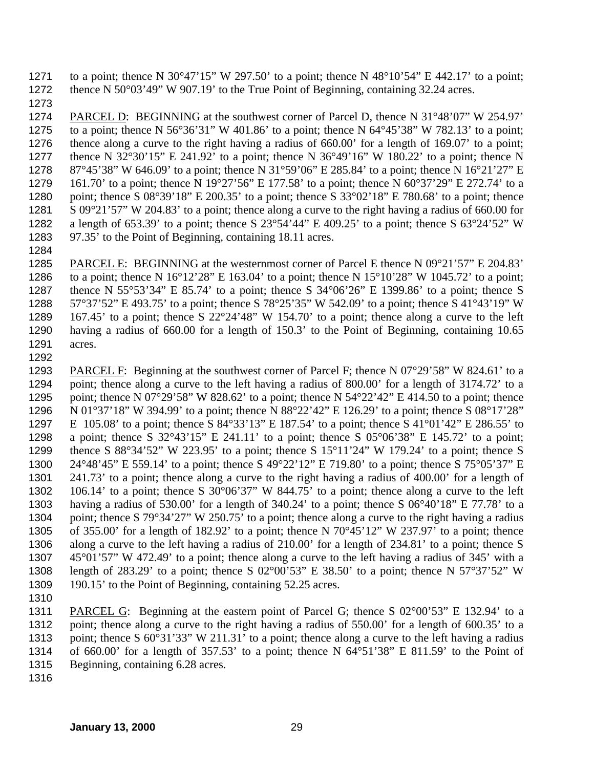1271 to a point; thence N 30°47'15" W 297.50' to a point; thence N 48°10'54" E 442.17' to a point; 1272 thence N 50°03'49" W 907.19' to the True Point of Beginning, containing 32.24 acres.

 PARCEL D: BEGINNING at the southwest corner of Parcel D, thence N 31°48'07" W 254.97' 1275 to a point; thence N 56°36'31" W 401.86' to a point; thence N 64°45'38" W 782.13' to a point; thence along a curve to the right having a radius of 660.00' for a length of 169.07' to a point; 1277 thence N 32°30'15" E 241.92' to a point; thence N 36°49'16" W 180.22' to a point; thence N 87°45'38" W 646.09' to a point; thence N 31°59'06" E 285.84' to a point; thence N 16°21'27" E 161.70' to a point; thence N 19°27'56" E 177.58' to a point; thence N 60°37'29" E 272.74' to a point; thence S 08°39'18" E 200.35' to a point; thence S 33°02'18" E 780.68' to a point; thence S 09°21'57" W 204.83' to a point; thence along a curve to the right having a radius of 660.00 for 1282 a length of 653.39' to a point; thence S  $23^{\circ}54'44''$  E 409.25' to a point; thence S  $63^{\circ}24'52''$  W 97.35' to the Point of Beginning, containing 18.11 acres.

 PARCEL E: BEGINNING at the westernmost corner of Parcel E thence N 09°21'57" E 204.83' 1286 to a point; thence N  $16^{\circ}12'28''$  E 163.04' to a point; thence N  $15^{\circ}10'28''$  W  $1045.72'$  to a point; thence N 55°53'34" E 85.74' to a point; thence S 34°06'26" E 1399.86' to a point; thence S 57°37'52" E 493.75' to a point; thence S 78°25'35" W 542.09' to a point; thence S 41°43'19" W 167.45' to a point; thence S 22°24'48" W 154.70' to a point; thence along a curve to the left having a radius of 660.00 for a length of 150.3' to the Point of Beginning, containing 10.65 acres. 

 PARCEL F: Beginning at the southwest corner of Parcel F; thence N 07°29'58" W 824.61' to a point; thence along a curve to the left having a radius of 800.00' for a length of 3174.72' to a 1295 point; thence N 07°29'58" W 828.62' to a point; thence N 54°22'42" E 414.50 to a point; thence N 01°37'18" W 394.99' to a point; thence N 88°22'42" E 126.29' to a point; thence S 08°17'28" E 105.08' to a point; thence S 84°33'13" E 187.54' to a point; thence S 41°01'42" E 286.55' to 1298 a point; thence S  $32^{\circ}43'15''$  E 241.11' to a point; thence S  $05^{\circ}06'38''$  E 145.72' to a point; thence S 88°34'52" W 223.95' to a point; thence S 15°11'24" W 179.24' to a point; thence S 24°48'45" E 559.14' to a point; thence S 49°22'12" E 719.80' to a point; thence S 75°05'37" E 241.73' to a point; thence along a curve to the right having a radius of 400.00' for a length of 106.14' to a point; thence S 30°06'37" W 844.75' to a point; thence along a curve to the left having a radius of 530.00' for a length of 340.24' to a point; thence S 06°40'18" E 77.78' to a point; thence S 79°34'27" W 250.75' to a point; thence along a curve to the right having a radius of 355.00' for a length of 182.92' to a point; thence N 70°45'12" W 237.97' to a point; thence along a curve to the left having a radius of 210.00' for a length of 234.81' to a point; thence S 45°01'57" W 472.49' to a point; thence along a curve to the left having a radius of 345' with a length of 283.29' to a point; thence S 02°00'53" E 38.50' to a point; thence N 57°37'52" W 1309 190.15' to the Point of Beginning, containing 52.25 acres.

 PARCEL G: Beginning at the eastern point of Parcel G; thence S 02°00'53" E 132.94' to a point; thence along a curve to the right having a radius of 550.00' for a length of 600.35' to a point; thence S 60°31'33" W 211.31' to a point; thence along a curve to the left having a radius of 660.00' for a length of 357.53' to a point; thence N 64°51'38" E 811.59' to the Point of Beginning, containing 6.28 acres.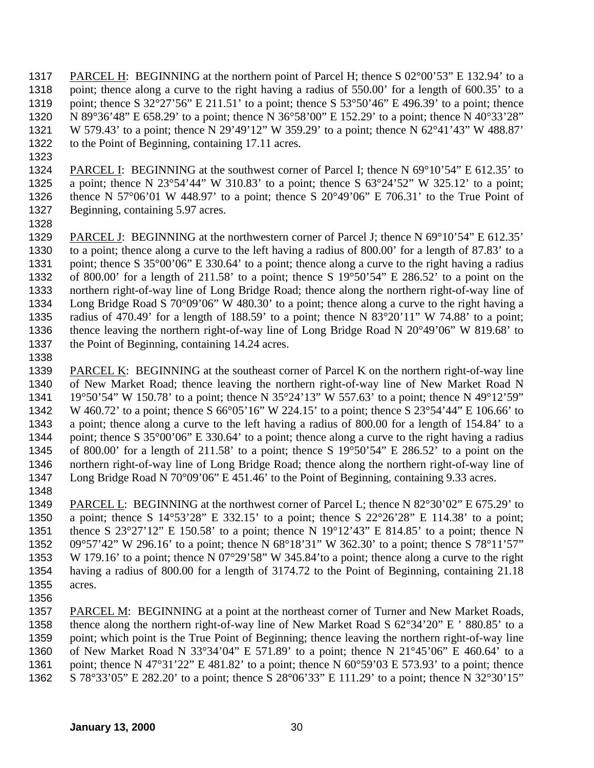PARCEL H: BEGINNING at the northern point of Parcel H; thence S 02°00'53" E 132.94' to a point; thence along a curve to the right having a radius of 550.00' for a length of 600.35' to a 1319 point; thence S  $32^{\circ}27'56''$  E 211.51' to a point; thence S  $53^{\circ}50'46''$  E 496.39' to a point; thence N 89°36'48" E 658.29' to a point; thence N 36°58'00" E 152.29' to a point; thence N 40°33'28" W 579.43' to a point; thence N 29'49'12" W 359.29' to a point; thence N 62°41'43" W 488.87' 1322 to the Point of Beginning, containing 17.11 acres.

- PARCEL I: BEGINNING at the southwest corner of Parcel I; thence N 69°10'54" E 612.35' to a point; thence N 23°54'44" W 310.83' to a point; thence S 63°24'52" W 325.12' to a point; 1326 thence N 57 $\degree$ 06'01 W 448.97' to a point; thence S 20 $\degree$ 49'06" E 706.31' to the True Point of Beginning, containing 5.97 acres.
- 

 PARCEL J: BEGINNING at the northwestern corner of Parcel J; thence N 69°10'54" E 612.35' to a point; thence along a curve to the left having a radius of 800.00' for a length of 87.83' to a point; thence S 35°00'06" E 330.64' to a point; thence along a curve to the right having a radius of 800.00' for a length of 211.58' to a point; thence S 19°50'54" E 286.52' to a point on the northern right-of-way line of Long Bridge Road; thence along the northern right-of-way line of Long Bridge Road S 70°09'06" W 480.30' to a point; thence along a curve to the right having a radius of 470.49' for a length of 188.59' to a point; thence N 83°20'11" W 74.88' to a point; thence leaving the northern right-of-way line of Long Bridge Road N 20°49'06" W 819.68' to 1337 the Point of Beginning, containing 14.24 acres.

 PARCEL K: BEGINNING at the southeast corner of Parcel K on the northern right-of-way line of New Market Road; thence leaving the northern right-of-way line of New Market Road N 19°50'54" W 150.78' to a point; thence N 35°24'13" W 557.63' to a point; thence N 49°12'59" W 460.72' to a point; thence S 66°05'16" W 224.15' to a point; thence S 23°54'44" E 106.66' to a point; thence along a curve to the left having a radius of 800.00 for a length of 154.84' to a point; thence S 35°00'06" E 330.64' to a point; thence along a curve to the right having a radius 1345 of 800.00' for a length of 211.58' to a point; thence S  $19^{\circ}50'54''$  E 286.52' to a point on the northern right-of-way line of Long Bridge Road; thence along the northern right-of-way line of Long Bridge Road N 70°09'06" E 451.46' to the Point of Beginning, containing 9.33 acres. 

 PARCEL L: BEGINNING at the northwest corner of Parcel L; thence N 82°30'02" E 675.29' to a point; thence S 14°53'28" E 332.15' to a point; thence S 22°26'28" E 114.38' to a point; 1351 thence S 23°27'12" E 150.58' to a point; thence N 19°12'43" E 814.85' to a point; thence N 09°57'42" W 296.16' to a point; thence N 68°18'31" W 362.30' to a point; thence S 78°11'57" W 179.16' to a point; thence N 07°29'58" W 345.84'to a point; thence along a curve to the right having a radius of 800.00 for a length of 3174.72 to the Point of Beginning, containing 21.18 acres. 

 PARCEL M: BEGINNING at a point at the northeast corner of Turner and New Market Roads, thence along the northern right-of-way line of New Market Road S 62°34'20" E ' 880.85' to a point; which point is the True Point of Beginning; thence leaving the northern right-of-way line of New Market Road N 33°34'04" E 571.89' to a point; thence N 21°45'06" E 460.64' to a 1361 point; thence N 47°31'22" E 481.82' to a point; thence N  $60^{\circ}59'03 \text{ E } 573.93'$  to a point; thence S 78°33'05" E 282.20' to a point; thence S 28°06'33" E 111.29' to a point; thence N 32°30'15"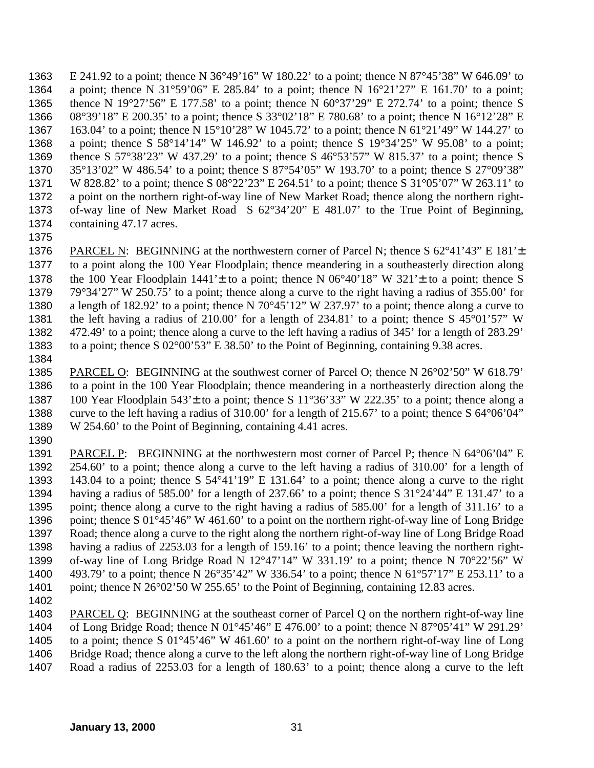E 241.92 to a point; thence N 36°49'16" W 180.22' to a point; thence N 87°45'38" W 646.09' to a point; thence N 31°59'06" E 285.84' to a point; thence N 16°21'27" E 161.70' to a point; thence N 19°27'56" E 177.58' to a point; thence N 60°37'29" E 272.74' to a point; thence S 08°39'18" E 200.35' to a point; thence S 33°02'18" E 780.68' to a point; thence N 16°12'28" E 163.04' to a point; thence N 15°10'28" W 1045.72' to a point; thence N 61°21'49" W 144.27' to a point; thence S 58°14'14" W 146.92' to a point; thence S 19°34'25" W 95.08' to a point; thence S 57°38'23" W 437.29' to a point; thence S 46°53'57" W 815.37' to a point; thence S 35°13'02" W 486.54' to a point; thence S 87°54'05" W 193.70' to a point; thence S 27°09'38" W 828.82' to a point; thence S 08°22'23" E 264.51' to a point; thence S 31°05'07" W 263.11' to a point on the northern right-of-way line of New Market Road; thence along the northern right- of-way line of New Market Road S 62°34'20" E 481.07' to the True Point of Beginning, 1374 containing 47.17 acres.

 PARCEL N: BEGINNING at the northwestern corner of Parcel N; thence S 62°41'43" E 181'± to a point along the 100 Year Floodplain; thence meandering in a southeasterly direction along 1378 the 100 Year Floodplain  $1441' \pm$  to a point; thence N 06°40'18" W 321' $\pm$  to a point; thence S 79°34'27" W 250.75' to a point; thence along a curve to the right having a radius of 355.00' for a length of 182.92' to a point; thence N 70°45'12" W 237.97' to a point; thence along a curve to the left having a radius of 210.00' for a length of 234.81' to a point; thence S 45°01'57" W 472.49' to a point; thence along a curve to the left having a radius of 345' for a length of 283.29' to a point; thence S 02°00'53" E 38.50' to the Point of Beginning, containing 9.38 acres.

 PARCEL O: BEGINNING at the southwest corner of Parcel O; thence N 26°02'50" W 618.79' to a point in the 100 Year Floodplain; thence meandering in a northeasterly direction along the 1387 100 Year Floodplain 543' $\pm$  to a point; thence S 11°36'33" W 222.35' to a point; thence along a curve to the left having a radius of 310.00' for a length of 215.67' to a point; thence S 64°06'04" W 254.60' to the Point of Beginning, containing 4.41 acres. 

1391 PARCEL P: BEGINNING at the northwestern most corner of Parcel P; thence N 64°06'04" E 254.60' to a point; thence along a curve to the left having a radius of 310.00' for a length of 143.04 to a point; thence S 54°41'19" E 131.64' to a point; thence along a curve to the right having a radius of 585.00' for a length of 237.66' to a point; thence S 31°24'44" E 131.47' to a point; thence along a curve to the right having a radius of 585.00' for a length of 311.16' to a point; thence S 01°45'46" W 461.60' to a point on the northern right-of-way line of Long Bridge Road; thence along a curve to the right along the northern right-of-way line of Long Bridge Road having a radius of 2253.03 for a length of 159.16' to a point; thence leaving the northern right-1399 of-way line of Long Bridge Road N  $12^{\circ}47'14''$  W 331.19' to a point; thence N  $70^{\circ}22'56''$  W 493.79' to a point; thence N 26°35'42" W 336.54' to a point; thence N 61°57'17" E 253.11' to a 1401 point; thence N 26°02'50 W 255.65' to the Point of Beginning, containing 12.83 acres.

 PARCEL Q: BEGINNING at the southeast corner of Parcel Q on the northern right-of-way line of Long Bridge Road; thence N 01°45'46" E 476.00' to a point; thence N 87°05'41" W 291.29' to a point; thence S 01°45'46" W 461.60' to a point on the northern right-of-way line of Long Bridge Road; thence along a curve to the left along the northern right-of-way line of Long Bridge Road a radius of 2253.03 for a length of 180.63' to a point; thence along a curve to the left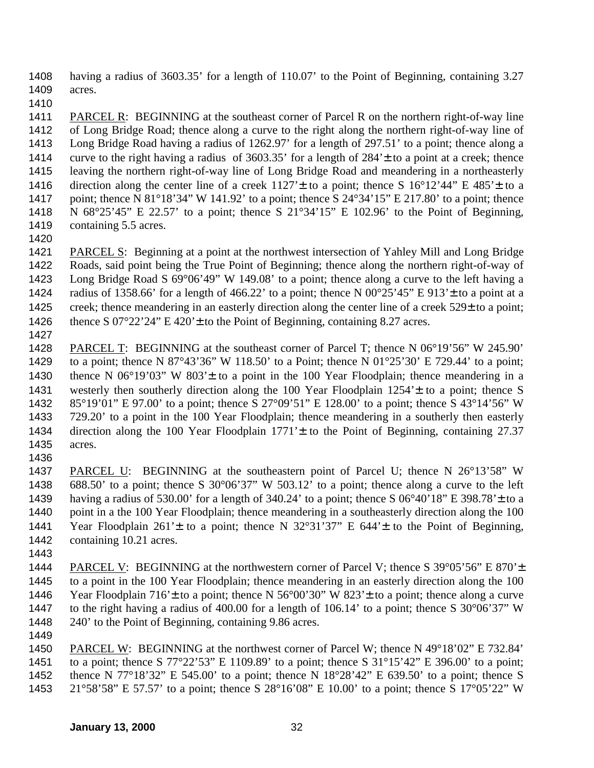having a radius of 3603.35' for a length of 110.07' to the Point of Beginning, containing 3.27 acres.

 PARCEL R: BEGINNING at the southeast corner of Parcel R on the northern right-of-way line of Long Bridge Road; thence along a curve to the right along the northern right-of-way line of Long Bridge Road having a radius of 1262.97' for a length of 297.51' to a point; thence along a curve to the right having a radius of 3603.35' for a length of 284'± to a point at a creek; thence leaving the northern right-of-way line of Long Bridge Road and meandering in a northeasterly 1416 direction along the center line of a creek  $1127' \pm$  to a point; thence S  $16^{\circ}12'44''$  E  $485' \pm$  to a point; thence N 81°18'34" W 141.92' to a point; thence S 24°34'15" E 217.80' to a point; thence N 68°25'45" E 22.57' to a point; thence S 21°34'15" E 102.96' to the Point of Beginning, containing 5.5 acres.

 PARCEL S: Beginning at a point at the northwest intersection of Yahley Mill and Long Bridge Roads, said point being the True Point of Beginning; thence along the northern right-of-way of Long Bridge Road S 69°06'49" W 149.08' to a point; thence along a curve to the left having a 1424 radius of 1358.66' for a length of 466.22' to a point; thence N  $00^{\circ}25'45''$  E 913' ± to a point at a 1425 creek; thence meandering in an easterly direction along the center line of a creek 529± to a point; 1426 thence S  $07^{\circ}22'24''$  E  $420' \pm$  to the Point of Beginning, containing 8.27 acres.

 PARCEL T: BEGINNING at the southeast corner of Parcel T; thence N 06°19'56" W 245.90' to a point; thence N 87°43'36" W 118.50' to a Point; thence N 01°25'30' E 729.44' to a point; 1430 thence N  $06^{\circ}19'03''$  W  $803' \pm$  to a point in the 100 Year Floodplain; thence meandering in a westerly then southerly direction along the 100 Year Floodplain 1254'± to a point; thence S 85°19'01" E 97.00' to a point; thence S 27°09'51" E 128.00' to a point; thence S 43°14'56" W 729.20' to a point in the 100 Year Floodplain; thence meandering in a southerly then easterly direction along the 100 Year Floodplain 1771'± to the Point of Beginning, containing 27.37 acres. 

 PARCEL U: BEGINNING at the southeastern point of Parcel U; thence N 26°13'58" W 688.50' to a point; thence S 30°06'37" W 503.12' to a point; thence along a curve to the left 1439 having a radius of 530.00' for a length of 340.24' to a point; thence S  $06^{\circ}40'18''$  E 398.78' ± to a 1440 point in a the 100 Year Floodplain; thence meandering in a southeasterly direction along the 100 1441 Year Floodplain  $261' \pm$  to a point; thence N 32°31'37" E 644' $\pm$  to the Point of Beginning, 1442 containing 10.21 acres.

 PARCEL V: BEGINNING at the northwestern corner of Parcel V; thence S 39°05'56" E 870'± to a point in the 100 Year Floodplain; thence meandering in an easterly direction along the 100 1446 Year Floodplain  $716' \pm$  to a point; thence N 56°00'30" W 823' $\pm$  to a point; thence along a curve to the right having a radius of 400.00 for a length of 106.14' to a point; thence S 30°06'37" W 240' to the Point of Beginning, containing 9.86 acres.

1450 PARCEL W: BEGINNING at the northwest corner of Parcel W; thence N 49°18'02" E 732.84' to a point; thence S 77°22'53" E 1109.89' to a point; thence S 31°15'42" E 396.00' to a point; thence N 77°18'32" E 545.00' to a point; thence N 18°28'42" E 639.50' to a point; thence S 21°58'58" E 57.57' to a point; thence S 28°16'08" E 10.00' to a point; thence S 17°05'22" W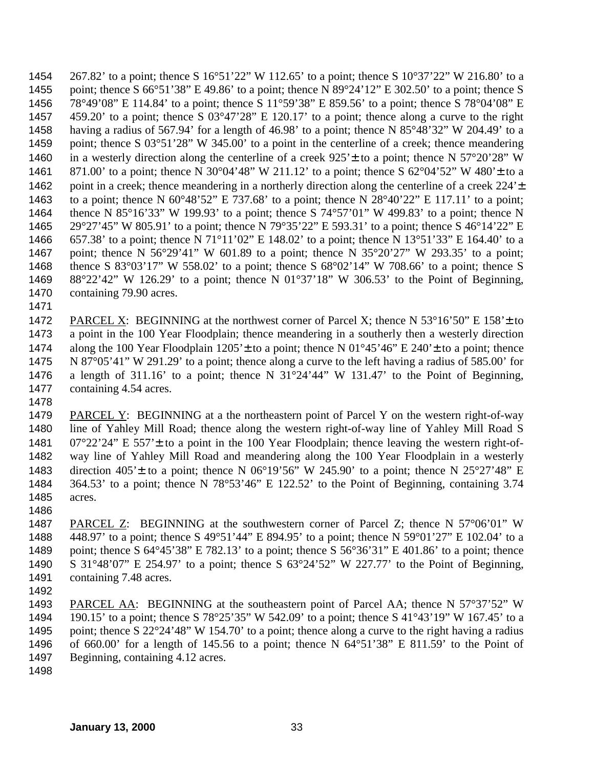267.82' to a point; thence S 16°51'22" W 112.65' to a point; thence S 10°37'22" W 216.80' to a point; thence S 66°51'38" E 49.86' to a point; thence N 89°24'12" E 302.50' to a point; thence S 78°49'08" E 114.84' to a point; thence S 11°59'38" E 859.56' to a point; thence S 78°04'08" E 459.20' to a point; thence S 03°47'28" E 120.17' to a point; thence along a curve to the right having a radius of 567.94' for a length of 46.98' to a point; thence N 85°48'32" W 204.49' to a 1459 point; thence S 03°51'28" W 345.00' to a point in the centerline of a creek; thence meandering 1460 in a westerly direction along the centerline of a creek  $925' \pm$  to a point; thence N  $57^{\circ}20'28''$  W 1461 871.00' to a point; thence N 30°04'48" W 211.12' to a point; thence S 62°04'52" W 480' ± to a 1462 point in a creek; thence meandering in a northerly direction along the centerline of a creek 224'<sup>+</sup> to a point; thence N 60°48'52" E 737.68' to a point; thence N 28°40'22" E 117.11' to a point; thence N 85°16'33" W 199.93' to a point; thence S 74°57'01" W 499.83' to a point; thence N 29°27'45" W 805.91' to a point; thence N 79°35'22" E 593.31' to a point; thence S 46°14'22" E 657.38' to a point; thence N 71°11'02" E 148.02' to a point; thence N 13°51'33" E 164.40' to a point; thence N 56°29'41" W 601.89 to a point; thence N 35°20'27" W 293.35' to a point; thence S 83°03'17" W 558.02' to a point; thence S 68°02'14" W 708.66' to a point; thence S 88°22'42" W 126.29' to a point; thence N 01°37'18" W 306.53' to the Point of Beginning, 1470 containing 79.90 acres.

1472 PARCEL X: BEGINNING at the northwest corner of Parcel X; thence N 53°16'50" E 158' $\pm$  to a point in the 100 Year Floodplain; thence meandering in a southerly then a westerly direction 1474 along the 100 Year Floodplain  $1205' \pm$  to a point; thence N  $01^{\circ}45'46''$  E 240' $\pm$  to a point; thence N 87°05'41" W 291.29' to a point; thence along a curve to the left having a radius of 585.00' for 1476 a length of 311.16' to a point; thence N  $31^{\circ}24'44''$  W 131.47' to the Point of Beginning, containing 4.54 acres.

1479 PARCEL Y: BEGINNING at a the northeastern point of Parcel Y on the western right-of-way line of Yahley Mill Road; thence along the western right-of-way line of Yahley Mill Road S 07°22'24" E 557'± to a point in the 100 Year Floodplain; thence leaving the western right-of- way line of Yahley Mill Road and meandering along the 100 Year Floodplain in a westerly 1483 direction  $405' \pm$  to a point; thence N  $06^{\circ}19'56''$  W 245.90' to a point; thence N  $25^{\circ}27'48''$  E 364.53' to a point; thence N 78°53'46" E 122.52' to the Point of Beginning, containing 3.74 acres.

 PARCEL Z: BEGINNING at the southwestern corner of Parcel Z; thence N 57°06'01" W 448.97' to a point; thence S 49°51'44" E 894.95' to a point; thence N 59°01'27" E 102.04' to a point; thence S 64°45'38" E 782.13' to a point; thence S 56°36'31" E 401.86' to a point; thence S 31°48'07" E 254.97' to a point; thence S 63°24'52" W 227.77' to the Point of Beginning, 1491 containing 7.48 acres.

- PARCEL AA: BEGINNING at the southeastern point of Parcel AA; thence N 57°37'52" W 190.15' to a point; thence S 78°25'35" W 542.09' to a point; thence S 41°43'19" W 167.45' to a point; thence S 22°24'48" W 154.70' to a point; thence along a curve to the right having a radius of 660.00' for a length of 145.56 to a point; thence N 64°51'38" E 811.59' to the Point of Beginning, containing 4.12 acres.
-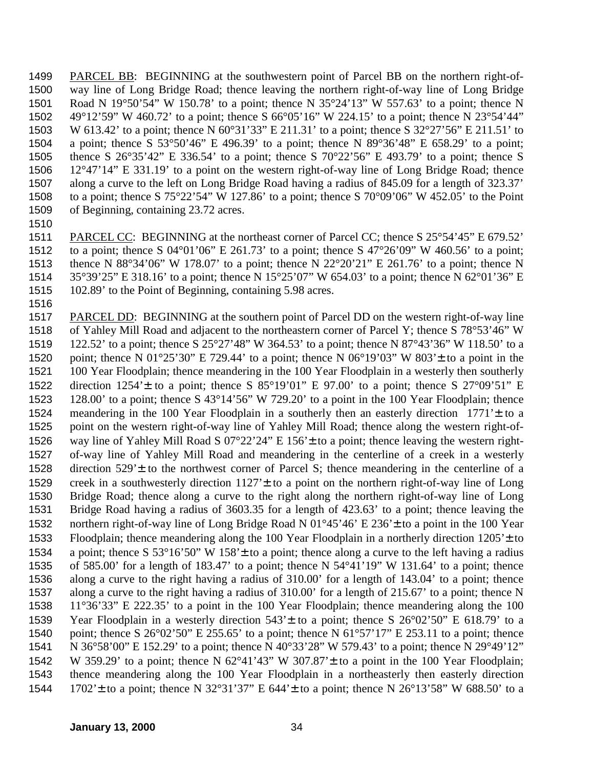PARCEL BB: BEGINNING at the southwestern point of Parcel BB on the northern right-of- way line of Long Bridge Road; thence leaving the northern right-of-way line of Long Bridge Road N 19°50'54" W 150.78' to a point; thence N 35°24'13" W 557.63' to a point; thence N 49°12'59" W 460.72' to a point; thence S 66°05'16" W 224.15' to a point; thence N 23°54'44" W 613.42' to a point; thence N 60°31'33" E 211.31' to a point; thence S 32°27'56" E 211.51' to a point; thence S 53°50'46" E 496.39' to a point; thence N 89°36'48" E 658.29' to a point; thence S 26°35'42" E 336.54' to a point; thence S 70°22'56" E 493.79' to a point; thence S 12°47'14" E 331.19' to a point on the western right-of-way line of Long Bridge Road; thence along a curve to the left on Long Bridge Road having a radius of 845.09 for a length of 323.37' to a point; thence S 75°22'54" W 127.86' to a point; thence S 70°09'06" W 452.05' to the Point of Beginning, containing 23.72 acres.

 PARCEL CC: BEGINNING at the northeast corner of Parcel CC; thence S 25°54'45" E 679.52' 1512 to a point; thence S  $04^{\circ}01'06''$  E 261.73' to a point; thence S  $47^{\circ}26'09''$  W 460.56' to a point; thence N 88°34'06" W 178.07' to a point; thence N 22°20'21" E 261.76' to a point; thence N 35°39'25" E 318.16' to a point; thence N 15°25'07" W 654.03' to a point; thence N 62°01'36" E 102.89' to the Point of Beginning, containing 5.98 acres.

 PARCEL DD: BEGINNING at the southern point of Parcel DD on the western right-of-way line of Yahley Mill Road and adjacent to the northeastern corner of Parcel Y; thence S 78°53'46" W 122.52' to a point; thence S 25°27'48" W 364.53' to a point; thence N 87°43'36" W 118.50' to a 1520 point; thence N  $01^{\circ}25'30''$  E 729.44' to a point; thence N  $06^{\circ}19'03''$  W  $803' \pm$  to a point in the 100 Year Floodplain; thence meandering in the 100 Year Floodplain in a westerly then southerly 1522 direction  $1254' \pm$  to a point; thence S  $85^{\circ}19'01''$  E  $97.00'$  to a point; thence S  $27^{\circ}09'51''$  E 128.00' to a point; thence S 43°14'56" W 729.20' to a point in the 100 Year Floodplain; thence meandering in the 100 Year Floodplain in a southerly then an easterly direction 1771'± to a point on the western right-of-way line of Yahley Mill Road; thence along the western right-of- way line of Yahley Mill Road S 07°22'24" E 156'± to a point; thence leaving the western right- of-way line of Yahley Mill Road and meandering in the centerline of a creek in a westerly direction 529'± to the northwest corner of Parcel S; thence meandering in the centerline of a creek in a southwesterly direction 1127'± to a point on the northern right-of-way line of Long Bridge Road; thence along a curve to the right along the northern right-of-way line of Long Bridge Road having a radius of 3603.35 for a length of 423.63' to a point; thence leaving the northern right-of-way line of Long Bridge Road N 01°45'46' E 236'± to a point in the 100 Year Floodplain; thence meandering along the 100 Year Floodplain in a northerly direction 1205'± to a point; thence S 53°16'50" W 158'± to a point; thence along a curve to the left having a radius of 585.00' for a length of 183.47' to a point; thence N 54°41'19" W 131.64' to a point; thence along a curve to the right having a radius of 310.00' for a length of 143.04' to a point; thence along a curve to the right having a radius of 310.00' for a length of 215.67' to a point; thence N 11°36'33" E 222.35' to a point in the 100 Year Floodplain; thence meandering along the 100 Year Floodplain in a westerly direction 543'± to a point; thence S 26°02'50" E 618.79' to a 1540 point; thence S  $26^{\circ}02'50''$  E 255.65' to a point; thence N  $61^{\circ}57'17''$  E 253.11 to a point; thence N 36°58'00" E 152.29' to a point; thence N 40°33'28" W 579.43' to a point; thence N 29°49'12" W 359.29' to a point; thence N 62°41'43" W 307.87'± to a point in the 100 Year Floodplain; thence meandering along the 100 Year Floodplain in a northeasterly then easterly direction 1544 1702't to a point; thence N 32°31'37" E 644't to a point; thence N 26°13'58" W 688.50' to a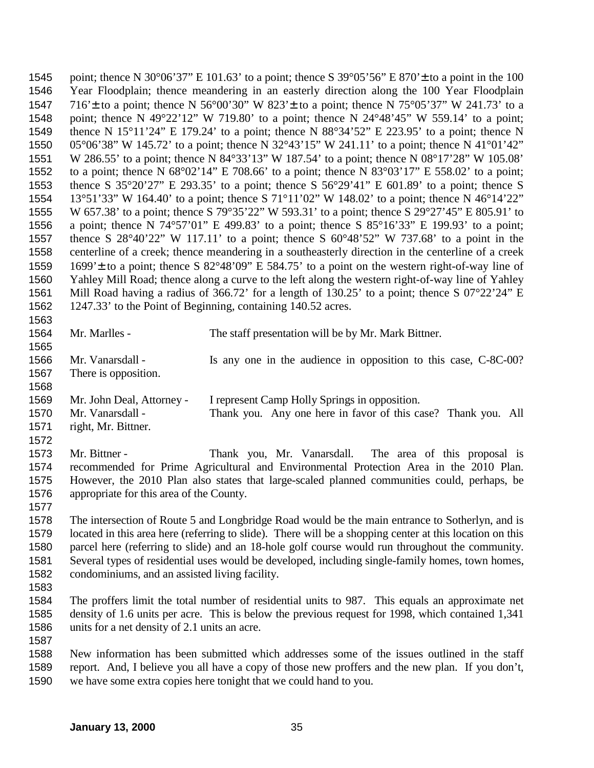1545 point; thence N 30°06'37" E 101.63' to a point; thence S 39°05'56" E 870' $\pm$  to a point in the 100 Year Floodplain; thence meandering in an easterly direction along the 100 Year Floodplain 1547 716' ± to a point; thence N 56°00'30" W 823' ± to a point; thence N 75°05'37" W 241.73' to a point; thence N 49°22'12" W 719.80' to a point; thence N 24°48'45" W 559.14' to a point; thence N 15°11'24" E 179.24' to a point; thence N 88°34'52" E 223.95' to a point; thence N 05°06'38" W 145.72' to a point; thence N 32°43'15" W 241.11' to a point; thence N 41°01'42" W 286.55' to a point; thence N 84°33'13" W 187.54' to a point; thence N 08°17'28" W 105.08' to a point; thence N 68°02'14" E 708.66' to a point; thence N 83°03'17" E 558.02' to a point; thence S 35°20'27" E 293.35' to a point; thence S 56°29'41" E 601.89' to a point; thence S 13°51'33" W 164.40' to a point; thence S 71°11'02" W 148.02' to a point; thence N 46°14'22" W 657.38' to a point; thence S 79°35'22" W 593.31' to a point; thence S 29°27'45" E 805.91' to a point; thence N 74°57'01" E 499.83' to a point; thence S 85°16'33" E 199.93' to a point; thence S 28°40'22" W 117.11' to a point; thence S 60°48'52" W 737.68' to a point in the centerline of a creek; thence meandering in a southeasterly direction in the centerline of a creek 1699'± to a point; thence S 82°48'09" E 584.75' to a point on the western right-of-way line of Yahley Mill Road; thence along a curve to the left along the western right-of-way line of Yahley Mill Road having a radius of 366.72' for a length of 130.25' to a point; thence S 07°22'24" E 1247.33' to the Point of Beginning, containing 140.52 acres. 

| 1564 | Mr. Marlles -                                                                                            | The staff presentation will be by Mr. Mark Bittner.                                               |
|------|----------------------------------------------------------------------------------------------------------|---------------------------------------------------------------------------------------------------|
| 1565 |                                                                                                          |                                                                                                   |
| 1566 | Mr. Vanarsdall -                                                                                         | Is any one in the audience in opposition to this case, C-8C-00?                                   |
| 1567 | There is opposition.                                                                                     |                                                                                                   |
| 1568 |                                                                                                          |                                                                                                   |
| 1569 | Mr. John Deal, Attorney -                                                                                | I represent Camp Holly Springs in opposition.                                                     |
| 1570 | Mr. Vanarsdall -                                                                                         | Thank you. Any one here in favor of this case? Thank you. All                                     |
| 1571 | right, Mr. Bittner.                                                                                      |                                                                                                   |
| 1572 |                                                                                                          |                                                                                                   |
| 1573 | Mr. Bittner -                                                                                            | Thank you, Mr. Vanarsdall. The area of this proposal is                                           |
| 1574 |                                                                                                          | recommended for Prime Agricultural and Environmental Protection Area in the 2010 Plan.            |
| 1575 |                                                                                                          | However, the 2010 Plan also states that large-scaled planned communities could, perhaps, be       |
| 1576 | appropriate for this area of the County.                                                                 |                                                                                                   |
| 1577 |                                                                                                          |                                                                                                   |
| 1578 |                                                                                                          | The intersection of Route 5 and Longbridge Road would be the main entrance to Sotherlyn, and is   |
| 1579 | located in this area here (referring to slide). There will be a shopping center at this location on this |                                                                                                   |
| 1580 | parcel here (referring to slide) and an 18-hole golf course would run throughout the community.          |                                                                                                   |
| 1581 | Several types of residential uses would be developed, including single-family homes, town homes,         |                                                                                                   |
| 1582 | condominiums, and an assisted living facility.                                                           |                                                                                                   |
| 1583 |                                                                                                          |                                                                                                   |
| 1584 |                                                                                                          | The proffers limit the total number of residential units to 987. This equals an approximate net   |
| 1585 |                                                                                                          | density of 1.6 units per acre. This is below the previous request for 1998, which contained 1,341 |
| 1586 | units for a net density of 2.1 units an acre.                                                            |                                                                                                   |
| 1587 |                                                                                                          |                                                                                                   |
| 1588 |                                                                                                          | New information has been submitted which addresses some of the issues outlined in the staff       |

 New information has been submitted which addresses some of the issues outlined in the staff report. And, I believe you all have a copy of those new proffers and the new plan. If you don't, we have some extra copies here tonight that we could hand to you.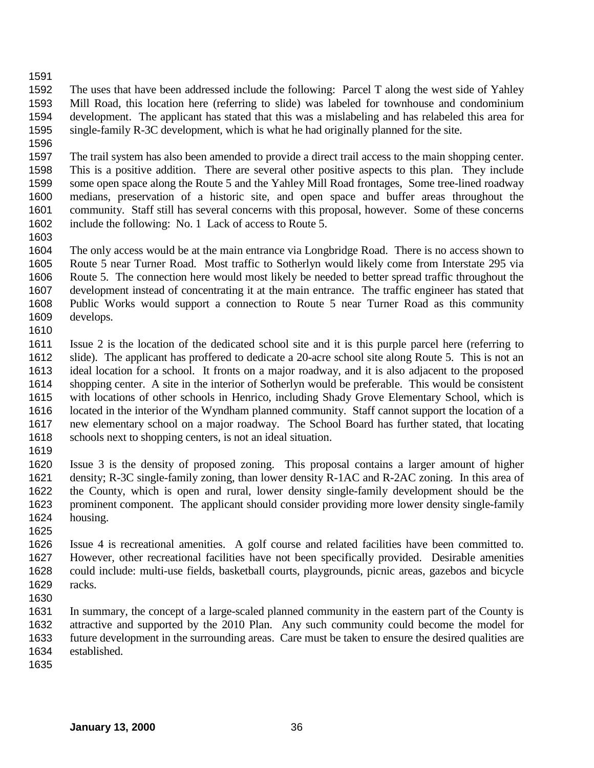The uses that have been addressed include the following: Parcel T along the west side of Yahley Mill Road, this location here (referring to slide) was labeled for townhouse and condominium development. The applicant has stated that this was a mislabeling and has relabeled this area for single-family R-3C development, which is what he had originally planned for the site.

 The trail system has also been amended to provide a direct trail access to the main shopping center. This is a positive addition. There are several other positive aspects to this plan. They include some open space along the Route 5 and the Yahley Mill Road frontages, Some tree-lined roadway medians, preservation of a historic site, and open space and buffer areas throughout the community. Staff still has several concerns with this proposal, however. Some of these concerns include the following: No. 1 Lack of access to Route 5.

 The only access would be at the main entrance via Longbridge Road. There is no access shown to Route 5 near Turner Road. Most traffic to Sotherlyn would likely come from Interstate 295 via Route 5. The connection here would most likely be needed to better spread traffic throughout the development instead of concentrating it at the main entrance. The traffic engineer has stated that Public Works would support a connection to Route 5 near Turner Road as this community develops.

 Issue 2 is the location of the dedicated school site and it is this purple parcel here (referring to slide). The applicant has proffered to dedicate a 20-acre school site along Route 5. This is not an ideal location for a school. It fronts on a major roadway, and it is also adjacent to the proposed shopping center. A site in the interior of Sotherlyn would be preferable. This would be consistent with locations of other schools in Henrico, including Shady Grove Elementary School, which is located in the interior of the Wyndham planned community. Staff cannot support the location of a new elementary school on a major roadway. The School Board has further stated, that locating schools next to shopping centers, is not an ideal situation.

 Issue 3 is the density of proposed zoning. This proposal contains a larger amount of higher density; R-3C single-family zoning, than lower density R-1AC and R-2AC zoning. In this area of the County, which is open and rural, lower density single-family development should be the prominent component. The applicant should consider providing more lower density single-family housing.

- Issue 4 is recreational amenities. A golf course and related facilities have been committed to. However, other recreational facilities have not been specifically provided. Desirable amenities could include: multi-use fields, basketball courts, playgrounds, picnic areas, gazebos and bicycle racks.
- 

 In summary, the concept of a large-scaled planned community in the eastern part of the County is attractive and supported by the 2010 Plan. Any such community could become the model for future development in the surrounding areas. Care must be taken to ensure the desired qualities are established.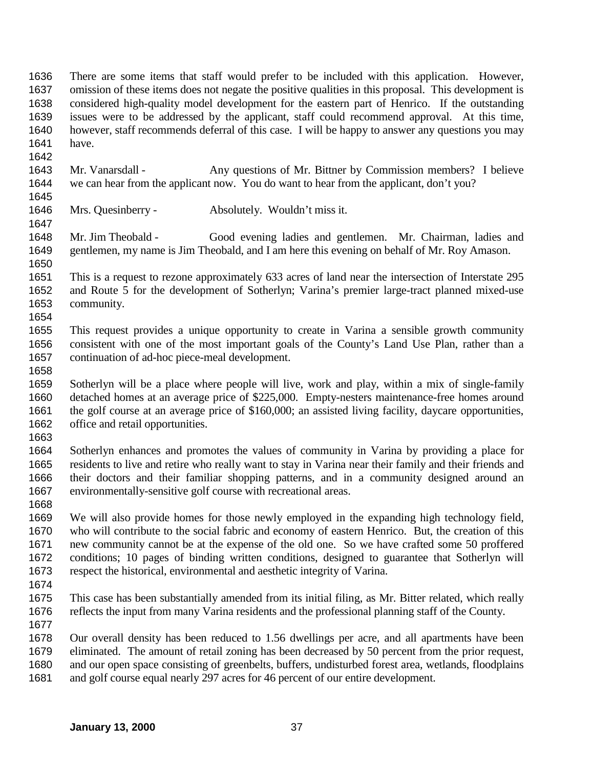There are some items that staff would prefer to be included with this application. However, omission of these items does not negate the positive qualities in this proposal. This development is considered high-quality model development for the eastern part of Henrico. If the outstanding issues were to be addressed by the applicant, staff could recommend approval. At this time, however, staff recommends deferral of this case. I will be happy to answer any questions you may have. 

- Mr. Vanarsdall Any questions of Mr. Bittner by Commission members? I believe we can hear from the applicant now. You do want to hear from the applicant, don't you?
- Mrs. Quesinberry Absolutely. Wouldn't miss it.
- Mr. Jim Theobald Good evening ladies and gentlemen. Mr. Chairman, ladies and gentlemen, my name is Jim Theobald, and I am here this evening on behalf of Mr. Roy Amason.
- This is a request to rezone approximately 633 acres of land near the intersection of Interstate 295 and Route 5 for the development of Sotherlyn; Varina's premier large-tract planned mixed-use community.
- This request provides a unique opportunity to create in Varina a sensible growth community consistent with one of the most important goals of the County's Land Use Plan, rather than a continuation of ad-hoc piece-meal development.
- 

- Sotherlyn will be a place where people will live, work and play, within a mix of single-family detached homes at an average price of \$225,000. Empty-nesters maintenance-free homes around the golf course at an average price of \$160,000; an assisted living facility, daycare opportunities, office and retail opportunities.
- 

 Sotherlyn enhances and promotes the values of community in Varina by providing a place for residents to live and retire who really want to stay in Varina near their family and their friends and their doctors and their familiar shopping patterns, and in a community designed around an environmentally-sensitive golf course with recreational areas.

 We will also provide homes for those newly employed in the expanding high technology field, who will contribute to the social fabric and economy of eastern Henrico. But, the creation of this new community cannot be at the expense of the old one. So we have crafted some 50 proffered conditions; 10 pages of binding written conditions, designed to guarantee that Sotherlyn will respect the historical, environmental and aesthetic integrity of Varina.

- 
- This case has been substantially amended from its initial filing, as Mr. Bitter related, which really reflects the input from many Varina residents and the professional planning staff of the County.
- 

 Our overall density has been reduced to 1.56 dwellings per acre, and all apartments have been eliminated. The amount of retail zoning has been decreased by 50 percent from the prior request, and our open space consisting of greenbelts, buffers, undisturbed forest area, wetlands, floodplains and golf course equal nearly 297 acres for 46 percent of our entire development.

**January 13, 2000** 37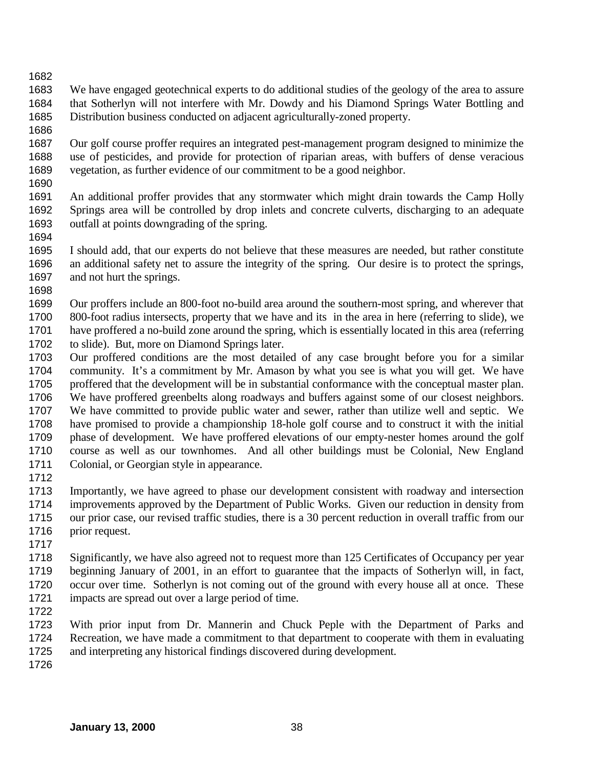We have engaged geotechnical experts to do additional studies of the geology of the area to assure that Sotherlyn will not interfere with Mr. Dowdy and his Diamond Springs Water Bottling and Distribution business conducted on adjacent agriculturally-zoned property.

 Our golf course proffer requires an integrated pest-management program designed to minimize the use of pesticides, and provide for protection of riparian areas, with buffers of dense veracious vegetation, as further evidence of our commitment to be a good neighbor. 

 An additional proffer provides that any stormwater which might drain towards the Camp Holly Springs area will be controlled by drop inlets and concrete culverts, discharging to an adequate outfall at points downgrading of the spring.

 I should add, that our experts do not believe that these measures are needed, but rather constitute an additional safety net to assure the integrity of the spring. Our desire is to protect the springs, and not hurt the springs.

 Our proffers include an 800-foot no-build area around the southern-most spring, and wherever that 800-foot radius intersects, property that we have and its in the area in here (referring to slide), we have proffered a no-build zone around the spring, which is essentially located in this area (referring to slide). But, more on Diamond Springs later.

- Our proffered conditions are the most detailed of any case brought before you for a similar community. It's a commitment by Mr. Amason by what you see is what you will get. We have proffered that the development will be in substantial conformance with the conceptual master plan. We have proffered greenbelts along roadways and buffers against some of our closest neighbors. We have committed to provide public water and sewer, rather than utilize well and septic. We have promised to provide a championship 18-hole golf course and to construct it with the initial phase of development. We have proffered elevations of our empty-nester homes around the golf course as well as our townhomes. And all other buildings must be Colonial, New England Colonial, or Georgian style in appearance.
- 

 Importantly, we have agreed to phase our development consistent with roadway and intersection improvements approved by the Department of Public Works. Given our reduction in density from our prior case, our revised traffic studies, there is a 30 percent reduction in overall traffic from our prior request.

 Significantly, we have also agreed not to request more than 125 Certificates of Occupancy per year beginning January of 2001, in an effort to guarantee that the impacts of Sotherlyn will, in fact, occur over time. Sotherlyn is not coming out of the ground with every house all at once. These impacts are spread out over a large period of time.

 With prior input from Dr. Mannerin and Chuck Peple with the Department of Parks and Recreation, we have made a commitment to that department to cooperate with them in evaluating and interpreting any historical findings discovered during development.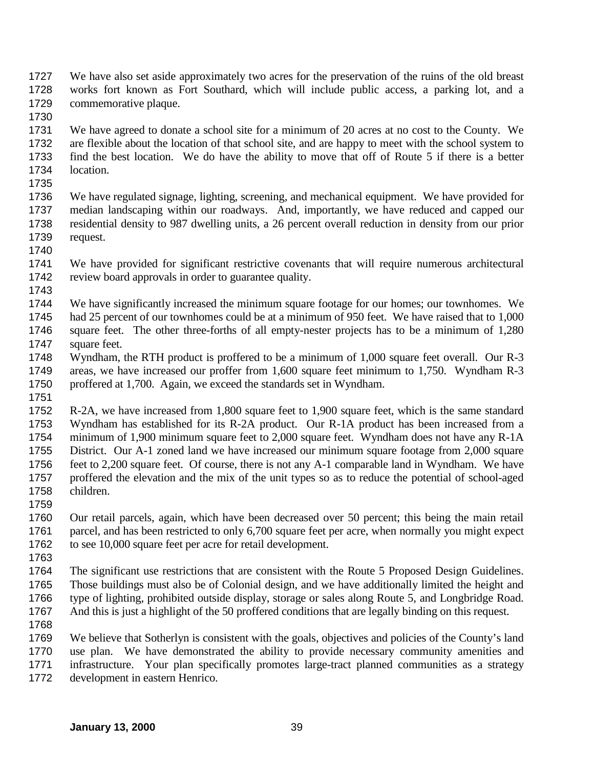We have also set aside approximately two acres for the preservation of the ruins of the old breast works fort known as Fort Southard, which will include public access, a parking lot, and a commemorative plaque.

 We have agreed to donate a school site for a minimum of 20 acres at no cost to the County. We are flexible about the location of that school site, and are happy to meet with the school system to find the best location. We do have the ability to move that off of Route 5 if there is a better location.

 We have regulated signage, lighting, screening, and mechanical equipment. We have provided for median landscaping within our roadways. And, importantly, we have reduced and capped our residential density to 987 dwelling units, a 26 percent overall reduction in density from our prior request. 

- We have provided for significant restrictive covenants that will require numerous architectural review board approvals in order to guarantee quality.
- 

 We have significantly increased the minimum square footage for our homes; our townhomes. We had 25 percent of our townhomes could be at a minimum of 950 feet. We have raised that to 1,000 square feet. The other three-forths of all empty-nester projects has to be a minimum of 1,280 1747 square feet.

- Wyndham, the RTH product is proffered to be a minimum of 1,000 square feet overall. Our R-3 areas, we have increased our proffer from 1,600 square feet minimum to 1,750. Wyndham R-3 proffered at 1,700. Again, we exceed the standards set in Wyndham.
- 

 R-2A, we have increased from 1,800 square feet to 1,900 square feet, which is the same standard Wyndham has established for its R-2A product. Our R-1A product has been increased from a minimum of 1,900 minimum square feet to 2,000 square feet. Wyndham does not have any R-1A District. Our A-1 zoned land we have increased our minimum square footage from 2,000 square feet to 2,200 square feet. Of course, there is not any A-1 comparable land in Wyndham. We have proffered the elevation and the mix of the unit types so as to reduce the potential of school-aged children.

 Our retail parcels, again, which have been decreased over 50 percent; this being the main retail parcel, and has been restricted to only 6,700 square feet per acre, when normally you might expect to see 10,000 square feet per acre for retail development.

 The significant use restrictions that are consistent with the Route 5 Proposed Design Guidelines. Those buildings must also be of Colonial design, and we have additionally limited the height and type of lighting, prohibited outside display, storage or sales along Route 5, and Longbridge Road. And this is just a highlight of the 50 proffered conditions that are legally binding on this request.

 We believe that Sotherlyn is consistent with the goals, objectives and policies of the County's land use plan. We have demonstrated the ability to provide necessary community amenities and infrastructure. Your plan specifically promotes large-tract planned communities as a strategy development in eastern Henrico.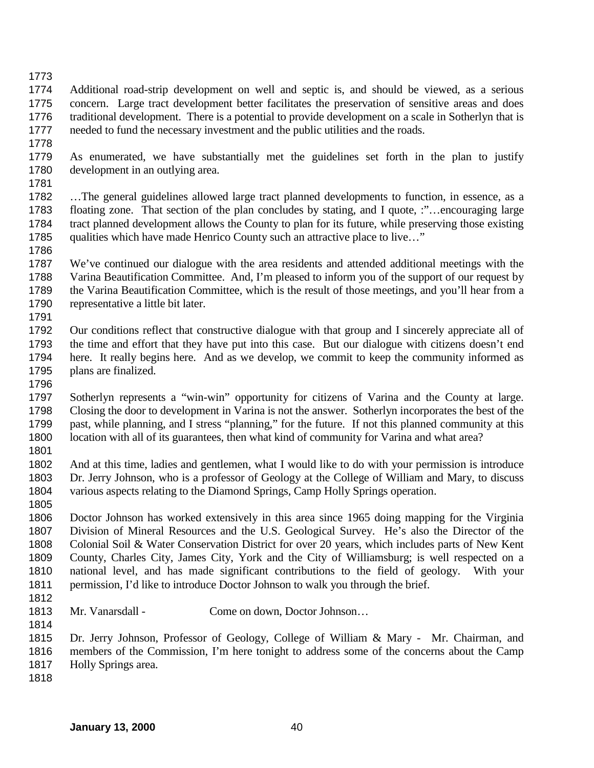Additional road-strip development on well and septic is, and should be viewed, as a serious concern. Large tract development better facilitates the preservation of sensitive areas and does traditional development. There is a potential to provide development on a scale in Sotherlyn that is needed to fund the necessary investment and the public utilities and the roads.

 As enumerated, we have substantially met the guidelines set forth in the plan to justify development in an outlying area.

 …The general guidelines allowed large tract planned developments to function, in essence, as a floating zone. That section of the plan concludes by stating, and I quote, :"…encouraging large tract planned development allows the County to plan for its future, while preserving those existing qualities which have made Henrico County such an attractive place to live…" 

 We've continued our dialogue with the area residents and attended additional meetings with the Varina Beautification Committee. And, I'm pleased to inform you of the support of our request by the Varina Beautification Committee, which is the result of those meetings, and you'll hear from a representative a little bit later. 

 Our conditions reflect that constructive dialogue with that group and I sincerely appreciate all of the time and effort that they have put into this case. But our dialogue with citizens doesn't end here. It really begins here. And as we develop, we commit to keep the community informed as plans are finalized.

 Sotherlyn represents a "win-win" opportunity for citizens of Varina and the County at large. Closing the door to development in Varina is not the answer. Sotherlyn incorporates the best of the past, while planning, and I stress "planning," for the future. If not this planned community at this location with all of its guarantees, then what kind of community for Varina and what area?

 And at this time, ladies and gentlemen, what I would like to do with your permission is introduce Dr. Jerry Johnson, who is a professor of Geology at the College of William and Mary, to discuss various aspects relating to the Diamond Springs, Camp Holly Springs operation.

 Doctor Johnson has worked extensively in this area since 1965 doing mapping for the Virginia Division of Mineral Resources and the U.S. Geological Survey. He's also the Director of the Colonial Soil & Water Conservation District for over 20 years, which includes parts of New Kent County, Charles City, James City, York and the City of Williamsburg; is well respected on a national level, and has made significant contributions to the field of geology. With your permission, I'd like to introduce Doctor Johnson to walk you through the brief.

- 
- 1813 Mr. Vanarsdall Come on down, Doctor Johnson...

 Dr. Jerry Johnson, Professor of Geology, College of William & Mary - Mr. Chairman, and members of the Commission, I'm here tonight to address some of the concerns about the Camp Holly Springs area.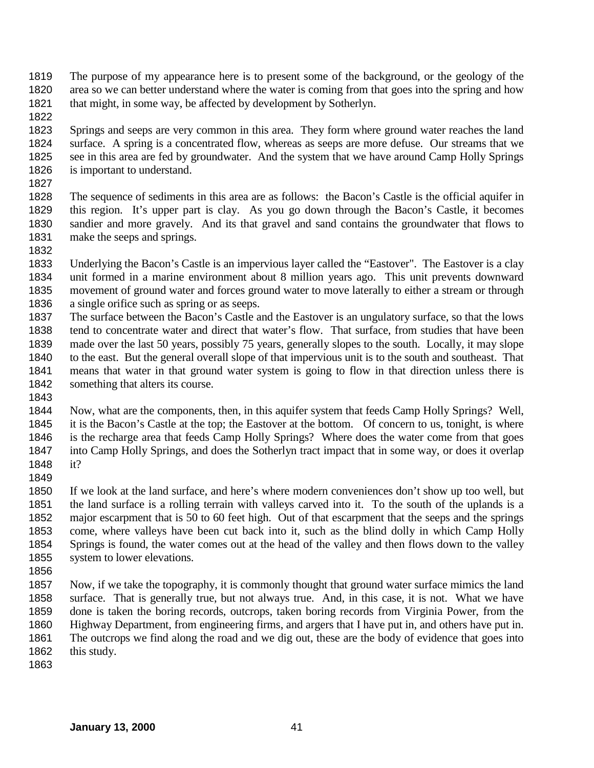- The purpose of my appearance here is to present some of the background, or the geology of the area so we can better understand where the water is coming from that goes into the spring and how 1821 that might, in some way, be affected by development by Sotherlyn.
- 

 Springs and seeps are very common in this area. They form where ground water reaches the land surface. A spring is a concentrated flow, whereas as seeps are more defuse. Our streams that we see in this area are fed by groundwater. And the system that we have around Camp Holly Springs is important to understand.

 The sequence of sediments in this area are as follows: the Bacon's Castle is the official aquifer in this region. It's upper part is clay. As you go down through the Bacon's Castle, it becomes sandier and more gravely. And its that gravel and sand contains the groundwater that flows to make the seeps and springs.

 Underlying the Bacon's Castle is an impervious layer called the "Eastover". The Eastover is a clay unit formed in a marine environment about 8 million years ago. This unit prevents downward movement of ground water and forces ground water to move laterally to either a stream or through a single orifice such as spring or as seeps.

- The surface between the Bacon's Castle and the Eastover is an ungulatory surface, so that the lows tend to concentrate water and direct that water's flow. That surface, from studies that have been made over the last 50 years, possibly 75 years, generally slopes to the south. Locally, it may slope to the east. But the general overall slope of that impervious unit is to the south and southeast. That means that water in that ground water system is going to flow in that direction unless there is 1842 something that alters its course.
- 

 Now, what are the components, then, in this aquifer system that feeds Camp Holly Springs? Well, it is the Bacon's Castle at the top; the Eastover at the bottom. Of concern to us, tonight, is where is the recharge area that feeds Camp Holly Springs? Where does the water come from that goes into Camp Holly Springs, and does the Sotherlyn tract impact that in some way, or does it overlap it?

 If we look at the land surface, and here's where modern conveniences don't show up too well, but the land surface is a rolling terrain with valleys carved into it. To the south of the uplands is a major escarpment that is 50 to 60 feet high. Out of that escarpment that the seeps and the springs come, where valleys have been cut back into it, such as the blind dolly in which Camp Holly Springs is found, the water comes out at the head of the valley and then flows down to the valley system to lower elevations.

 Now, if we take the topography, it is commonly thought that ground water surface mimics the land surface. That is generally true, but not always true. And, in this case, it is not. What we have done is taken the boring records, outcrops, taken boring records from Virginia Power, from the Highway Department, from engineering firms, and argers that I have put in, and others have put in. The outcrops we find along the road and we dig out, these are the body of evidence that goes into 1862 this study.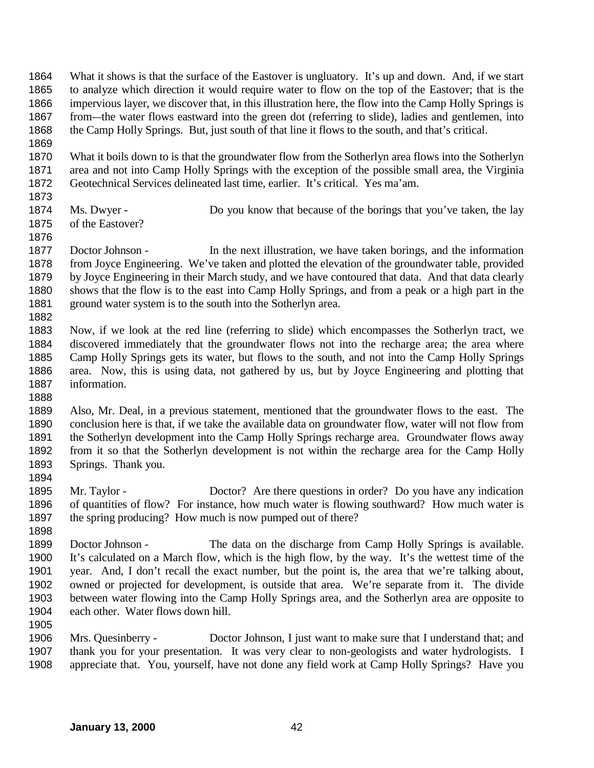- What it shows is that the surface of the Eastover is ungluatory. It's up and down. And, if we start to analyze which direction it would require water to flow on the top of the Eastover; that is the impervious layer, we discover that, in this illustration here, the flow into the Camp Holly Springs is from-–the water flows eastward into the green dot (referring to slide), ladies and gentlemen, into the Camp Holly Springs. But, just south of that line it flows to the south, and that's critical.
- What it boils down to is that the groundwater flow from the Sotherlyn area flows into the Sotherlyn area and not into Camp Holly Springs with the exception of the possible small area, the Virginia Geotechnical Services delineated last time, earlier. It's critical. Yes ma'am.
- 

- Ms. Dwyer Do you know that because of the borings that you've taken, the lay of the Eastover?
- 
- Doctor Johnson In the next illustration, we have taken borings, and the information from Joyce Engineering. We've taken and plotted the elevation of the groundwater table, provided by Joyce Engineering in their March study, and we have contoured that data. And that data clearly shows that the flow is to the east into Camp Holly Springs, and from a peak or a high part in the 1881 ground water system is to the south into the Sotherlyn area.
- 
- Now, if we look at the red line (referring to slide) which encompasses the Sotherlyn tract, we discovered immediately that the groundwater flows not into the recharge area; the area where Camp Holly Springs gets its water, but flows to the south, and not into the Camp Holly Springs area. Now, this is using data, not gathered by us, but by Joyce Engineering and plotting that information.
- 
- Also, Mr. Deal, in a previous statement, mentioned that the groundwater flows to the east. The conclusion here is that, if we take the available data on groundwater flow, water will not flow from the Sotherlyn development into the Camp Holly Springs recharge area. Groundwater flows away from it so that the Sotherlyn development is not within the recharge area for the Camp Holly Springs. Thank you.
- Mr. Taylor Doctor? Are there questions in order? Do you have any indication of quantities of flow? For instance, how much water is flowing southward? How much water is 1897 the spring producing? How much is now pumped out of there?
- Doctor Johnson - The data on the discharge from Camp Holly Springs is available. It's calculated on a March flow, which is the high flow, by the way. It's the wettest time of the year. And, I don't recall the exact number, but the point is, the area that we're talking about, owned or projected for development, is outside that area. We're separate from it. The divide between water flowing into the Camp Holly Springs area, and the Sotherlyn area are opposite to each other. Water flows down hill.
- 
- Mrs. Quesinberry Doctor Johnson, I just want to make sure that I understand that; and thank you for your presentation. It was very clear to non-geologists and water hydrologists. I appreciate that. You, yourself, have not done any field work at Camp Holly Springs? Have you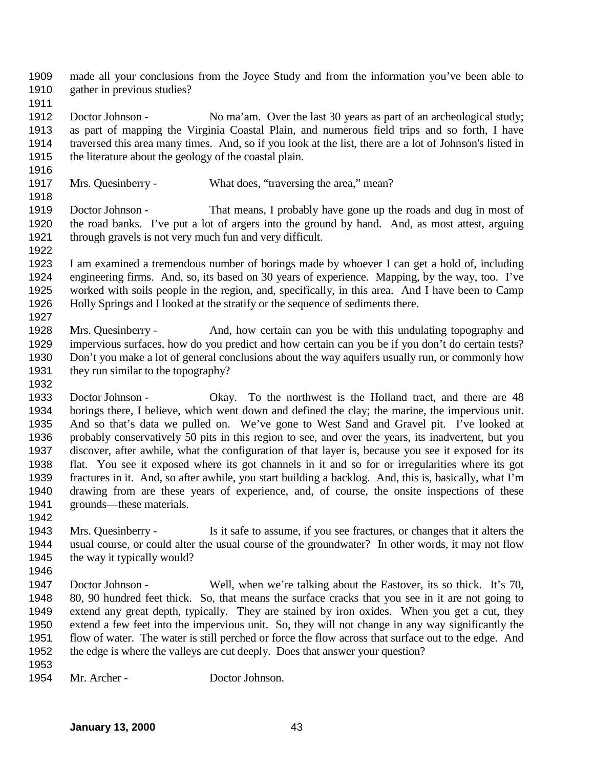made all your conclusions from the Joyce Study and from the information you've been able to gather in previous studies?

 Doctor Johnson - No ma'am. Over the last 30 years as part of an archeological study; as part of mapping the Virginia Coastal Plain, and numerous field trips and so forth, I have traversed this area many times. And, so if you look at the list, there are a lot of Johnson's listed in the literature about the geology of the coastal plain.

Mrs. Quesinberry - What does, "traversing the area," mean?

 Doctor Johnson - That means, I probably have gone up the roads and dug in most of the road banks. I've put a lot of argers into the ground by hand. And, as most attest, arguing through gravels is not very much fun and very difficult.

- I am examined a tremendous number of borings made by whoever I can get a hold of, including engineering firms. And, so, its based on 30 years of experience. Mapping, by the way, too. I've worked with soils people in the region, and, specifically, in this area. And I have been to Camp Holly Springs and I looked at the stratify or the sequence of sediments there.
- Mrs. Quesinberry And, how certain can you be with this undulating topography and impervious surfaces, how do you predict and how certain can you be if you don't do certain tests? Don't you make a lot of general conclusions about the way aquifers usually run, or commonly how they run similar to the topography?
- Doctor Johnson Okay. To the northwest is the Holland tract, and there are 48 borings there, I believe, which went down and defined the clay; the marine, the impervious unit. And so that's data we pulled on. We've gone to West Sand and Gravel pit. I've looked at probably conservatively 50 pits in this region to see, and over the years, its inadvertent, but you discover, after awhile, what the configuration of that layer is, because you see it exposed for its flat. You see it exposed where its got channels in it and so for or irregularities where its got fractures in it. And, so after awhile, you start building a backlog. And, this is, basically, what I'm drawing from are these years of experience, and, of course, the onsite inspections of these grounds—these materials.
- Mrs. Quesinberry Is it safe to assume, if you see fractures, or changes that it alters the usual course, or could alter the usual course of the groundwater? In other words, it may not flow the way it typically would?
- 

- Doctor Johnson Well, when we're talking about the Eastover, its so thick. It's 70, 80, 90 hundred feet thick. So, that means the surface cracks that you see in it are not going to extend any great depth, typically. They are stained by iron oxides. When you get a cut, they extend a few feet into the impervious unit. So, they will not change in any way significantly the flow of water. The water is still perched or force the flow across that surface out to the edge. And the edge is where the valleys are cut deeply. Does that answer your question?
- 
- Mr. Archer Doctor Johnson.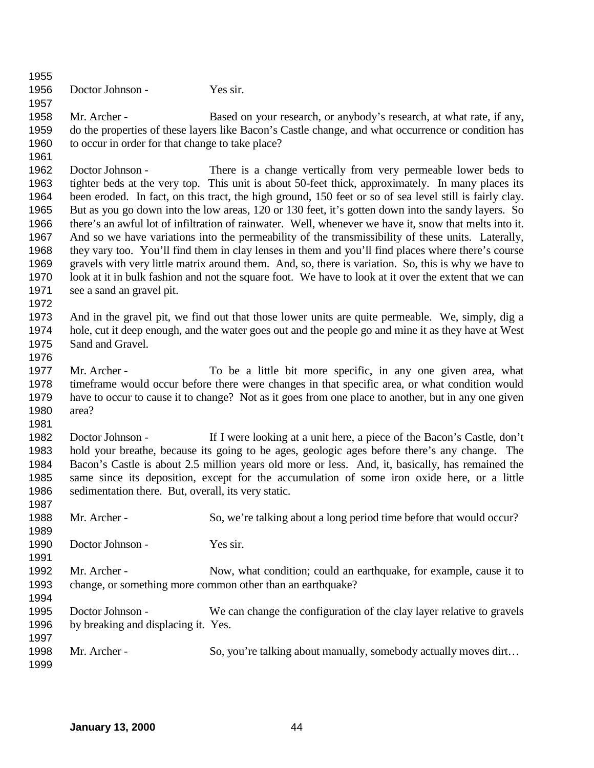Doctor Johnson - Yes sir. Mr. Archer - Based on your research, or anybody's research, at what rate, if any, do the properties of these layers like Bacon's Castle change, and what occurrence or condition has to occur in order for that change to take place? Doctor Johnson - There is a change vertically from very permeable lower beds to tighter beds at the very top. This unit is about 50-feet thick, approximately. In many places its been eroded. In fact, on this tract, the high ground, 150 feet or so of sea level still is fairly clay. But as you go down into the low areas, 120 or 130 feet, it's gotten down into the sandy layers. So there's an awful lot of infiltration of rainwater. Well, whenever we have it, snow that melts into it. And so we have variations into the permeability of the transmissibility of these units. Laterally, they vary too. You'll find them in clay lenses in them and you'll find places where there's course gravels with very little matrix around them. And, so, there is variation. So, this is why we have to look at it in bulk fashion and not the square foot. We have to look at it over the extent that we can see a sand an gravel pit. And in the gravel pit, we find out that those lower units are quite permeable. We, simply, dig a hole, cut it deep enough, and the water goes out and the people go and mine it as they have at West Sand and Gravel. Mr. Archer - To be a little bit more specific, in any one given area, what timeframe would occur before there were changes in that specific area, or what condition would have to occur to cause it to change? Not as it goes from one place to another, but in any one given area? Doctor Johnson - If I were looking at a unit here, a piece of the Bacon's Castle, don't hold your breathe, because its going to be ages, geologic ages before there's any change. The Bacon's Castle is about 2.5 million years old more or less. And, it, basically, has remained the same since its deposition, except for the accumulation of some iron oxide here, or a little sedimentation there. But, overall, its very static. Mr. Archer - So, we're talking about a long period time before that would occur? 1990 Doctor Johnson - Yes sir. Mr. Archer - Now, what condition; could an earthquake, for example, cause it to change, or something more common other than an earthquake? Doctor Johnson - We can change the configuration of the clay layer relative to gravels by breaking and displacing it. Yes. 1998 Mr. Archer - So, you're talking about manually, somebody actually moves dirt...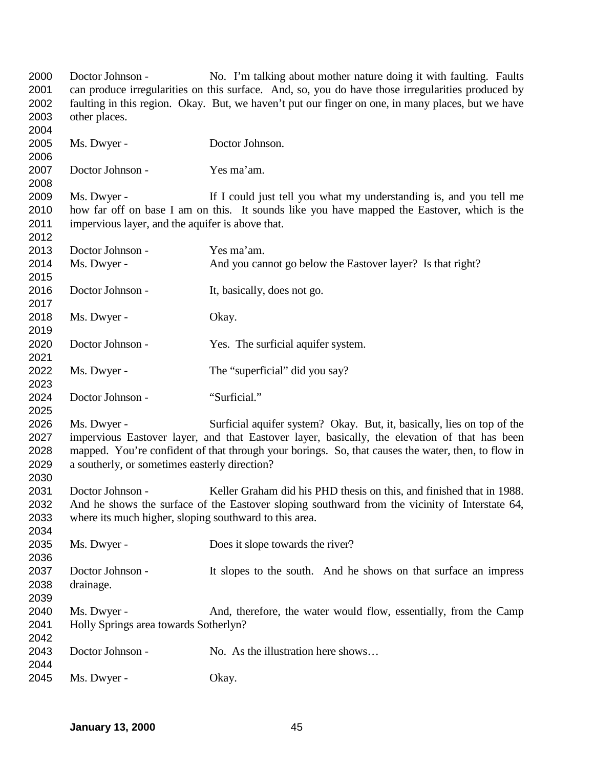Doctor Johnson - No. I'm talking about mother nature doing it with faulting. Faults can produce irregularities on this surface. And, so, you do have those irregularities produced by faulting in this region. Okay. But, we haven't put our finger on one, in many places, but we have other places. Ms. Dwyer - Doctor Johnson. Doctor Johnson - Yes ma'am. Ms. Dwyer - If I could just tell you what my understanding is, and you tell me how far off on base I am on this. It sounds like you have mapped the Eastover, which is the impervious layer, and the aquifer is above that. Doctor Johnson - Yes ma'am. Ms. Dwyer - And you cannot go below the Eastover layer? Is that right? Doctor Johnson - It, basically, does not go. Ms. Dwyer - Okay. Doctor Johnson - Yes. The surficial aquifer system. Ms. Dwyer - The "superficial" did you say? Doctor Johnson - "Surficial." Ms. Dwyer - Surficial aquifer system? Okay. But, it, basically, lies on top of the impervious Eastover layer, and that Eastover layer, basically, the elevation of that has been mapped. You're confident of that through your borings. So, that causes the water, then, to flow in a southerly, or sometimes easterly direction? Doctor Johnson - Keller Graham did his PHD thesis on this, and finished that in 1988. And he shows the surface of the Eastover sloping southward from the vicinity of Interstate 64, where its much higher, sloping southward to this area. Ms. Dwyer - Does it slope towards the river? Doctor Johnson - It slopes to the south. And he shows on that surface an impress drainage. Ms. Dwyer - And, therefore, the water would flow, essentially, from the Camp Holly Springs area towards Sotherlyn? 2043 Doctor Johnson - No. As the illustration here shows... Ms. Dwyer - Okay.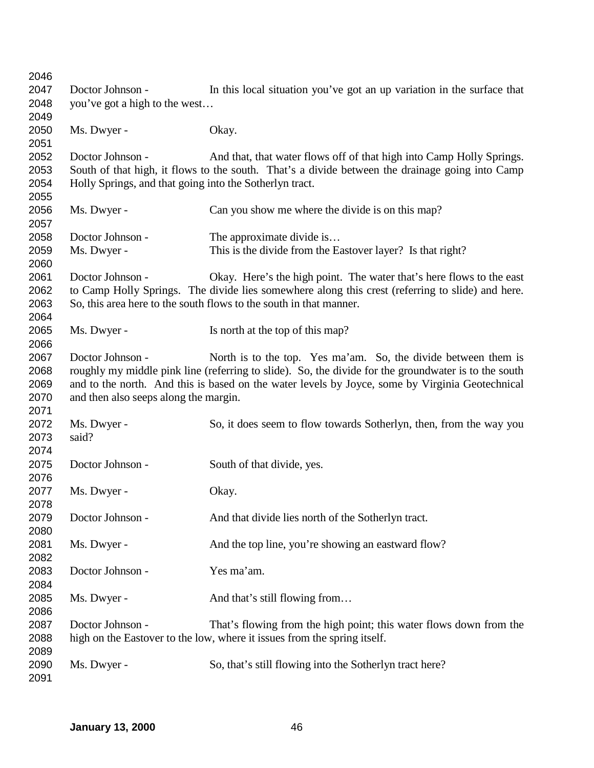| 2046 |                                                         |                                                                                                      |
|------|---------------------------------------------------------|------------------------------------------------------------------------------------------------------|
| 2047 | Doctor Johnson -                                        | In this local situation you've got an up variation in the surface that                               |
| 2048 | you've got a high to the west                           |                                                                                                      |
| 2049 |                                                         |                                                                                                      |
| 2050 | Ms. Dwyer -                                             | Okay.                                                                                                |
| 2051 |                                                         |                                                                                                      |
| 2052 | Doctor Johnson -                                        | And that, that water flows off of that high into Camp Holly Springs.                                 |
| 2053 |                                                         | South of that high, it flows to the south. That's a divide between the drainage going into Camp      |
| 2054 | Holly Springs, and that going into the Sotherlyn tract. |                                                                                                      |
| 2055 |                                                         |                                                                                                      |
| 2056 | Ms. Dwyer -                                             | Can you show me where the divide is on this map?                                                     |
| 2057 |                                                         |                                                                                                      |
| 2058 | Doctor Johnson -                                        |                                                                                                      |
|      |                                                         | The approximate divide is                                                                            |
| 2059 | Ms. Dwyer -                                             | This is the divide from the Eastover layer? Is that right?                                           |
| 2060 |                                                         |                                                                                                      |
| 2061 | Doctor Johnson -                                        | Okay. Here's the high point. The water that's here flows to the east                                 |
| 2062 |                                                         | to Camp Holly Springs. The divide lies somewhere along this crest (referring to slide) and here.     |
| 2063 |                                                         | So, this area here to the south flows to the south in that manner.                                   |
| 2064 |                                                         |                                                                                                      |
| 2065 | Ms. Dwyer -                                             | Is north at the top of this map?                                                                     |
| 2066 |                                                         |                                                                                                      |
| 2067 | Doctor Johnson -                                        | North is to the top. Yes ma'am. So, the divide between them is                                       |
| 2068 |                                                         | roughly my middle pink line (referring to slide). So, the divide for the groundwater is to the south |
| 2069 |                                                         | and to the north. And this is based on the water levels by Joyce, some by Virginia Geotechnical      |
| 2070 | and then also seeps along the margin.                   |                                                                                                      |
| 2071 |                                                         |                                                                                                      |
| 2072 | Ms. Dwyer -                                             | So, it does seem to flow towards Sotherlyn, then, from the way you                                   |
| 2073 | said?                                                   |                                                                                                      |
| 2074 |                                                         |                                                                                                      |
| 2075 | Doctor Johnson -                                        | South of that divide, yes.                                                                           |
| 2076 |                                                         |                                                                                                      |
| 2077 | Ms. Dwyer -                                             | Okay.                                                                                                |
| 2078 |                                                         |                                                                                                      |
| 2079 | Doctor Johnson -                                        | And that divide lies north of the Sotherlyn tract.                                                   |
| 2080 |                                                         |                                                                                                      |
| 2081 | Ms. Dwyer -                                             | And the top line, you're showing an eastward flow?                                                   |
| 2082 |                                                         |                                                                                                      |
| 2083 | Doctor Johnson -                                        | Yes ma'am.                                                                                           |
| 2084 |                                                         |                                                                                                      |
| 2085 | Ms. Dwyer -                                             | And that's still flowing from                                                                        |
| 2086 |                                                         |                                                                                                      |
| 2087 | Doctor Johnson -                                        | That's flowing from the high point; this water flows down from the                                   |
| 2088 |                                                         | high on the Eastover to the low, where it issues from the spring itself.                             |
| 2089 |                                                         |                                                                                                      |
| 2090 | Ms. Dwyer -                                             | So, that's still flowing into the Sotherlyn tract here?                                              |
| 2091 |                                                         |                                                                                                      |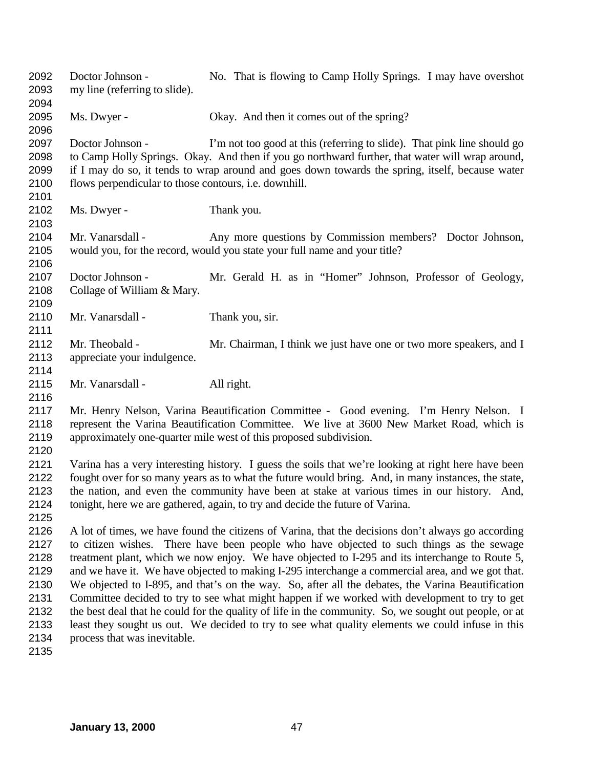Doctor Johnson - No. That is flowing to Camp Holly Springs. I may have overshot my line (referring to slide). Ms. Dwyer - Okay. And then it comes out of the spring? Doctor Johnson - I'm not too good at this (referring to slide). That pink line should go to Camp Holly Springs. Okay. And then if you go northward further, that water will wrap around, if I may do so, it tends to wrap around and goes down towards the spring, itself, because water flows perpendicular to those contours, i.e. downhill. Ms. Dwyer - Thank you. Mr. Vanarsdall - Any more questions by Commission members? Doctor Johnson, would you, for the record, would you state your full name and your title? Doctor Johnson - Mr. Gerald H. as in "Homer" Johnson, Professor of Geology, 2108 Collage of William & Mary. 2110 Mr. Vanarsdall - Thank you, sir. Mr. Theobald - Mr. Chairman, I think we just have one or two more speakers, and I appreciate your indulgence. Mr. Vanarsdall - All right. Mr. Henry Nelson, Varina Beautification Committee - Good evening. I'm Henry Nelson. I represent the Varina Beautification Committee. We live at 3600 New Market Road, which is approximately one-quarter mile west of this proposed subdivision. Varina has a very interesting history. I guess the soils that we're looking at right here have been fought over for so many years as to what the future would bring. And, in many instances, the state, the nation, and even the community have been at stake at various times in our history. And, tonight, here we are gathered, again, to try and decide the future of Varina. A lot of times, we have found the citizens of Varina, that the decisions don't always go according to citizen wishes. There have been people who have objected to such things as the sewage treatment plant, which we now enjoy. We have objected to I-295 and its interchange to Route 5, and we have it. We have objected to making I-295 interchange a commercial area, and we got that. We objected to I-895, and that's on the way. So, after all the debates, the Varina Beautification Committee decided to try to see what might happen if we worked with development to try to get 2132 the best deal that he could for the quality of life in the community. So, we sought out people, or at 2133 least they sought us out. We decided to try to see what quality elements we could infuse in this least they sought us out. We decided to try to see what quality elements we could infuse in this process that was inevitable.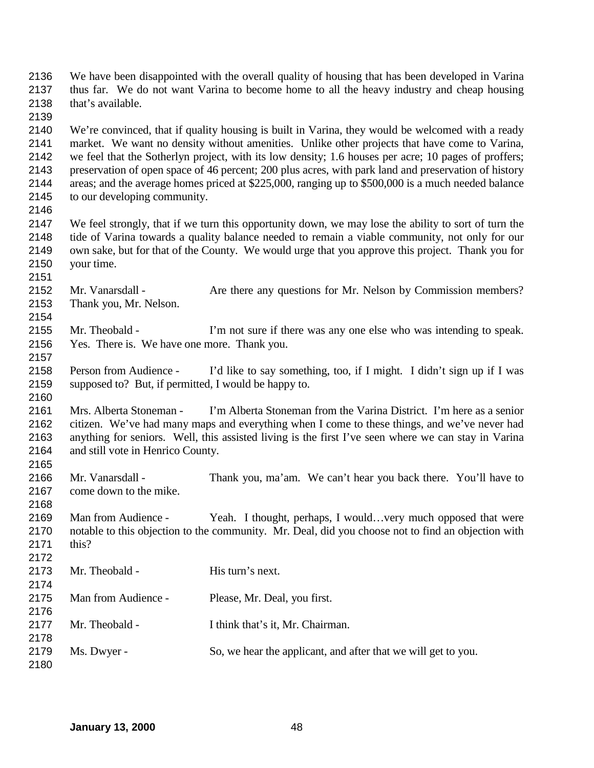| 2136<br>2137<br>2138<br>2139                         | that's available.                                                              | We have been disappointed with the overall quality of housing that has been developed in Varina<br>thus far. We do not want Varina to become home to all the heavy industry and cheap housing                                                                                                                                                                                                                                                                                                                           |
|------------------------------------------------------|--------------------------------------------------------------------------------|-------------------------------------------------------------------------------------------------------------------------------------------------------------------------------------------------------------------------------------------------------------------------------------------------------------------------------------------------------------------------------------------------------------------------------------------------------------------------------------------------------------------------|
| 2140<br>2141<br>2142<br>2143<br>2144<br>2145<br>2146 | to our developing community.                                                   | We're convinced, that if quality housing is built in Varina, they would be welcomed with a ready<br>market. We want no density without amenities. Unlike other projects that have come to Varina,<br>we feel that the Sotherlyn project, with its low density; 1.6 houses per acre; 10 pages of proffers;<br>preservation of open space of 46 percent; 200 plus acres, with park land and preservation of history<br>areas; and the average homes priced at \$225,000, ranging up to \$500,000 is a much needed balance |
| 2147<br>2148<br>2149<br>2150<br>2151                 | your time.                                                                     | We feel strongly, that if we turn this opportunity down, we may lose the ability to sort of turn the<br>tide of Varina towards a quality balance needed to remain a viable community, not only for our<br>own sake, but for that of the County. We would urge that you approve this project. Thank you for                                                                                                                                                                                                              |
| 2152<br>2153<br>2154                                 | Mr. Vanarsdall -<br>Thank you, Mr. Nelson.                                     | Are there any questions for Mr. Nelson by Commission members?                                                                                                                                                                                                                                                                                                                                                                                                                                                           |
| 2155<br>2156<br>2157                                 | Mr. Theobald -<br>Yes. There is. We have one more. Thank you.                  | I'm not sure if there was any one else who was intending to speak.                                                                                                                                                                                                                                                                                                                                                                                                                                                      |
| 2158<br>2159<br>2160                                 | Person from Audience -<br>supposed to? But, if permitted, I would be happy to. | I'd like to say something, too, if I might. I didn't sign up if I was                                                                                                                                                                                                                                                                                                                                                                                                                                                   |
| 2161<br>2162<br>2163<br>2164<br>2165                 | Mrs. Alberta Stoneman -<br>and still vote in Henrico County.                   | I'm Alberta Stoneman from the Varina District. I'm here as a senior<br>citizen. We've had many maps and everything when I come to these things, and we've never had<br>anything for seniors. Well, this assisted living is the first I've seen where we can stay in Varina                                                                                                                                                                                                                                              |
| 2166<br>2167<br>2168                                 | Mr. Vanarsdall -<br>come down to the mike.                                     | Thank you, ma'am. We can't hear you back there. You'll have to                                                                                                                                                                                                                                                                                                                                                                                                                                                          |
| 2169<br>2170<br>2171<br>2172                         | Man from Audience -<br>this?                                                   | Yeah. I thought, perhaps, I would very much opposed that were<br>notable to this objection to the community. Mr. Deal, did you choose not to find an objection with                                                                                                                                                                                                                                                                                                                                                     |
| 2173<br>2174                                         | Mr. Theobald -                                                                 | His turn's next.                                                                                                                                                                                                                                                                                                                                                                                                                                                                                                        |
| 2175<br>2176                                         | Man from Audience -                                                            | Please, Mr. Deal, you first.                                                                                                                                                                                                                                                                                                                                                                                                                                                                                            |
| 2177<br>2178                                         | Mr. Theobald -                                                                 | I think that's it, Mr. Chairman.                                                                                                                                                                                                                                                                                                                                                                                                                                                                                        |
| 2179<br>2180                                         | Ms. Dwyer -                                                                    | So, we hear the applicant, and after that we will get to you.                                                                                                                                                                                                                                                                                                                                                                                                                                                           |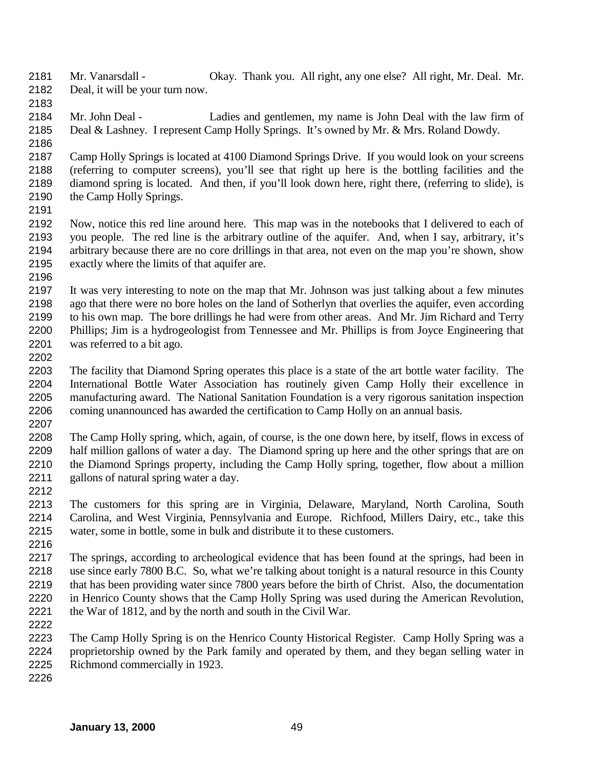- Mr. Vanarsdall Okay. Thank you. All right, any one else? All right, Mr. Deal. Mr. Deal, it will be your turn now.
- 

 Mr. John Deal - Ladies and gentlemen, my name is John Deal with the law firm of Deal & Lashney. I represent Camp Holly Springs. It's owned by Mr. & Mrs. Roland Dowdy. 

- Camp Holly Springs is located at 4100 Diamond Springs Drive. If you would look on your screens (referring to computer screens), you'll see that right up here is the bottling facilities and the diamond spring is located. And then, if you'll look down here, right there, (referring to slide), is the Camp Holly Springs.
- 

- Now, notice this red line around here. This map was in the notebooks that I delivered to each of you people. The red line is the arbitrary outline of the aquifer. And, when I say, arbitrary, it's arbitrary because there are no core drillings in that area, not even on the map you're shown, show exactly where the limits of that aquifer are.
- It was very interesting to note on the map that Mr. Johnson was just talking about a few minutes ago that there were no bore holes on the land of Sotherlyn that overlies the aquifer, even according to his own map. The bore drillings he had were from other areas. And Mr. Jim Richard and Terry Phillips; Jim is a hydrogeologist from Tennessee and Mr. Phillips is from Joyce Engineering that was referred to a bit ago.
- The facility that Diamond Spring operates this place is a state of the art bottle water facility. The International Bottle Water Association has routinely given Camp Holly their excellence in manufacturing award. The National Sanitation Foundation is a very rigorous sanitation inspection 2206 coming unannounced has awarded the certification to Camp Holly on an annual basis.
- The Camp Holly spring, which, again, of course, is the one down here, by itself, flows in excess of half million gallons of water a day. The Diamond spring up here and the other springs that are on the Diamond Springs property, including the Camp Holly spring, together, flow about a million gallons of natural spring water a day.
- 
- The customers for this spring are in Virginia, Delaware, Maryland, North Carolina, South Carolina, and West Virginia, Pennsylvania and Europe. Richfood, Millers Dairy, etc., take this water, some in bottle, some in bulk and distribute it to these customers.
- The springs, according to archeological evidence that has been found at the springs, had been in use since early 7800 B.C. So, what we're talking about tonight is a natural resource in this County that has been providing water since 7800 years before the birth of Christ. Also, the documentation in Henrico County shows that the Camp Holly Spring was used during the American Revolution, the War of 1812, and by the north and south in the Civil War.
- 
- The Camp Holly Spring is on the Henrico County Historical Register. Camp Holly Spring was a proprietorship owned by the Park family and operated by them, and they began selling water in Richmond commercially in 1923.
-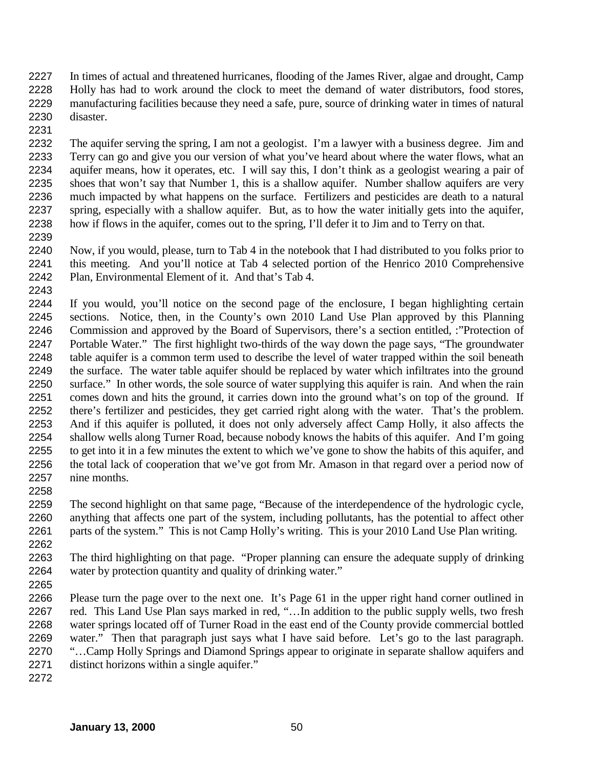In times of actual and threatened hurricanes, flooding of the James River, algae and drought, Camp Holly has had to work around the clock to meet the demand of water distributors, food stores, manufacturing facilities because they need a safe, pure, source of drinking water in times of natural disaster. 

 The aquifer serving the spring, I am not a geologist. I'm a lawyer with a business degree. Jim and Terry can go and give you our version of what you've heard about where the water flows, what an aquifer means, how it operates, etc. I will say this, I don't think as a geologist wearing a pair of shoes that won't say that Number 1, this is a shallow aquifer. Number shallow aquifers are very much impacted by what happens on the surface. Fertilizers and pesticides are death to a natural spring, especially with a shallow aquifer. But, as to how the water initially gets into the aquifer, how if flows in the aquifer, comes out to the spring, I'll defer it to Jim and to Terry on that. 

 Now, if you would, please, turn to Tab 4 in the notebook that I had distributed to you folks prior to this meeting. And you'll notice at Tab 4 selected portion of the Henrico 2010 Comprehensive Plan, Environmental Element of it. And that's Tab 4.

 If you would, you'll notice on the second page of the enclosure, I began highlighting certain sections. Notice, then, in the County's own 2010 Land Use Plan approved by this Planning Commission and approved by the Board of Supervisors, there's a section entitled, :"Protection of Portable Water." The first highlight two-thirds of the way down the page says, "The groundwater table aquifer is a common term used to describe the level of water trapped within the soil beneath the surface. The water table aquifer should be replaced by water which infiltrates into the ground surface." In other words, the sole source of water supplying this aquifer is rain. And when the rain comes down and hits the ground, it carries down into the ground what's on top of the ground. If there's fertilizer and pesticides, they get carried right along with the water. That's the problem. And if this aquifer is polluted, it does not only adversely affect Camp Holly, it also affects the shallow wells along Turner Road, because nobody knows the habits of this aquifer. And I'm going to get into it in a few minutes the extent to which we've gone to show the habits of this aquifer, and the total lack of cooperation that we've got from Mr. Amason in that regard over a period now of nine months. 

 The second highlight on that same page, "Because of the interdependence of the hydrologic cycle, anything that affects one part of the system, including pollutants, has the potential to affect other parts of the system." This is not Camp Holly's writing. This is your 2010 Land Use Plan writing. 

 The third highlighting on that page. "Proper planning can ensure the adequate supply of drinking water by protection quantity and quality of drinking water."

 Please turn the page over to the next one. It's Page 61 in the upper right hand corner outlined in red. This Land Use Plan says marked in red, "…In addition to the public supply wells, two fresh water springs located off of Turner Road in the east end of the County provide commercial bottled water." Then that paragraph just says what I have said before. Let's go to the last paragraph. "…Camp Holly Springs and Diamond Springs appear to originate in separate shallow aquifers and

- distinct horizons within a single aquifer."
-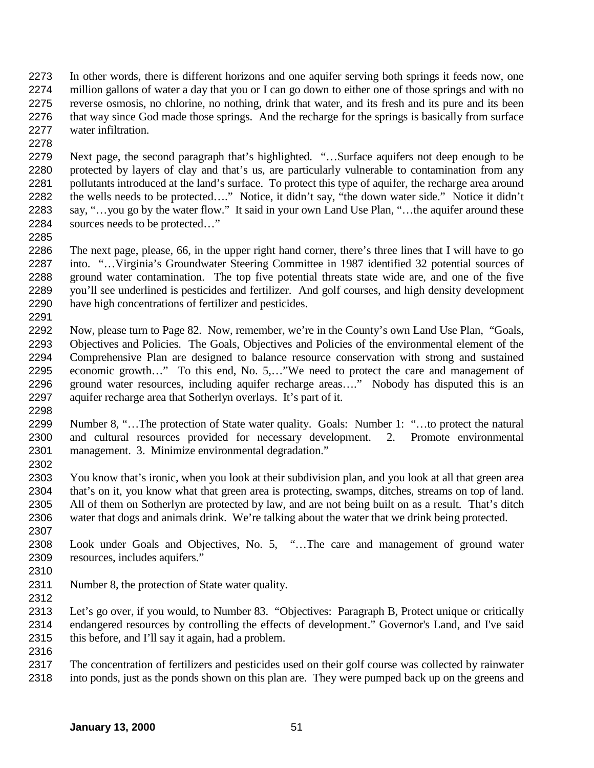- In other words, there is different horizons and one aquifer serving both springs it feeds now, one million gallons of water a day that you or I can go down to either one of those springs and with no reverse osmosis, no chlorine, no nothing, drink that water, and its fresh and its pure and its been that way since God made those springs. And the recharge for the springs is basically from surface water infiltration.
- Next page, the second paragraph that's highlighted. "…Surface aquifers not deep enough to be protected by layers of clay and that's us, are particularly vulnerable to contamination from any 2281 pollutants introduced at the land's surface. To protect this type of aquifer, the recharge area around the wells needs to be protected…." Notice, it didn't say, "the down water side." Notice it didn't say, "…you go by the water flow." It said in your own Land Use Plan, "…the aquifer around these sources needs to be protected…"
- The next page, please, 66, in the upper right hand corner, there's three lines that I will have to go into. "…Virginia's Groundwater Steering Committee in 1987 identified 32 potential sources of ground water contamination. The top five potential threats state wide are, and one of the five you'll see underlined is pesticides and fertilizer. And golf courses, and high density development have high concentrations of fertilizer and pesticides.
- Now, please turn to Page 82. Now, remember, we're in the County's own Land Use Plan, "Goals, Objectives and Policies. The Goals, Objectives and Policies of the environmental element of the Comprehensive Plan are designed to balance resource conservation with strong and sustained economic growth…" To this end, No. 5,…"We need to protect the care and management of ground water resources, including aquifer recharge areas…." Nobody has disputed this is an aquifer recharge area that Sotherlyn overlays. It's part of it.
- Number 8, "…The protection of State water quality. Goals: Number 1: "…to protect the natural and cultural resources provided for necessary development. 2. Promote environmental management. 3. Minimize environmental degradation."
- You know that's ironic, when you look at their subdivision plan, and you look at all that green area that's on it, you know what that green area is protecting, swamps, ditches, streams on top of land. All of them on Sotherlyn are protected by law, and are not being built on as a result. That's ditch water that dogs and animals drink. We're talking about the water that we drink being protected.
- Look under Goals and Objectives, No. 5, "…The care and management of ground water resources, includes aquifers."
- 

- Number 8, the protection of State water quality.
- 

 Let's go over, if you would, to Number 83. "Objectives: Paragraph B, Protect unique or critically endangered resources by controlling the effects of development." Governor's Land, and I've said this before, and I'll say it again, had a problem.

 The concentration of fertilizers and pesticides used on their golf course was collected by rainwater into ponds, just as the ponds shown on this plan are. They were pumped back up on the greens and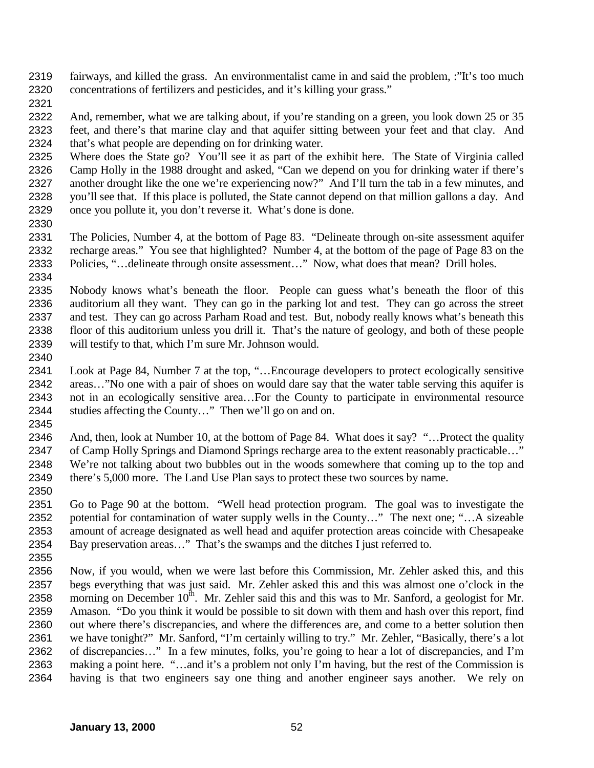fairways, and killed the grass. An environmentalist came in and said the problem, :"It's too much concentrations of fertilizers and pesticides, and it's killing your grass."

 And, remember, what we are talking about, if you're standing on a green, you look down 25 or 35 feet, and there's that marine clay and that aquifer sitting between your feet and that clay. And that's what people are depending on for drinking water.

 Where does the State go? You'll see it as part of the exhibit here. The State of Virginia called Camp Holly in the 1988 drought and asked, "Can we depend on you for drinking water if there's another drought like the one we're experiencing now?" And I'll turn the tab in a few minutes, and you'll see that. If this place is polluted, the State cannot depend on that million gallons a day. And once you pollute it, you don't reverse it. What's done is done.

 The Policies, Number 4, at the bottom of Page 83. "Delineate through on-site assessment aquifer recharge areas." You see that highlighted? Number 4, at the bottom of the page of Page 83 on the Policies, "…delineate through onsite assessment…" Now, what does that mean? Drill holes. 

 Nobody knows what's beneath the floor. People can guess what's beneath the floor of this auditorium all they want. They can go in the parking lot and test. They can go across the street and test. They can go across Parham Road and test. But, nobody really knows what's beneath this floor of this auditorium unless you drill it. That's the nature of geology, and both of these people will testify to that, which I'm sure Mr. Johnson would.

 Look at Page 84, Number 7 at the top, "…Encourage developers to protect ecologically sensitive areas…"No one with a pair of shoes on would dare say that the water table serving this aquifer is not in an ecologically sensitive area…For the County to participate in environmental resource studies affecting the County…" Then we'll go on and on. 

 And, then, look at Number 10, at the bottom of Page 84. What does it say? "…Protect the quality 2347 of Camp Holly Springs and Diamond Springs recharge area to the extent reasonably practicable..." We're not talking about two bubbles out in the woods somewhere that coming up to the top and there's 5,000 more. The Land Use Plan says to protect these two sources by name. 

 Go to Page 90 at the bottom. "Well head protection program. The goal was to investigate the potential for contamination of water supply wells in the County…" The next one; "…A sizeable amount of acreage designated as well head and aquifer protection areas coincide with Chesapeake Bay preservation areas…" That's the swamps and the ditches I just referred to. 

 Now, if you would, when we were last before this Commission, Mr. Zehler asked this, and this begs everything that was just said. Mr. Zehler asked this and this was almost one o'clock in the 2358 morning on December  $10^{th}$ . Mr. Zehler said this and this was to Mr. Sanford, a geologist for Mr. Amason. "Do you think it would be possible to sit down with them and hash over this report, find out where there's discrepancies, and where the differences are, and come to a better solution then we have tonight?" Mr. Sanford, "I'm certainly willing to try." Mr. Zehler, "Basically, there's a lot of discrepancies…" In a few minutes, folks, you're going to hear a lot of discrepancies, and I'm making a point here. "…and it's a problem not only I'm having, but the rest of the Commission is having is that two engineers say one thing and another engineer says another. We rely on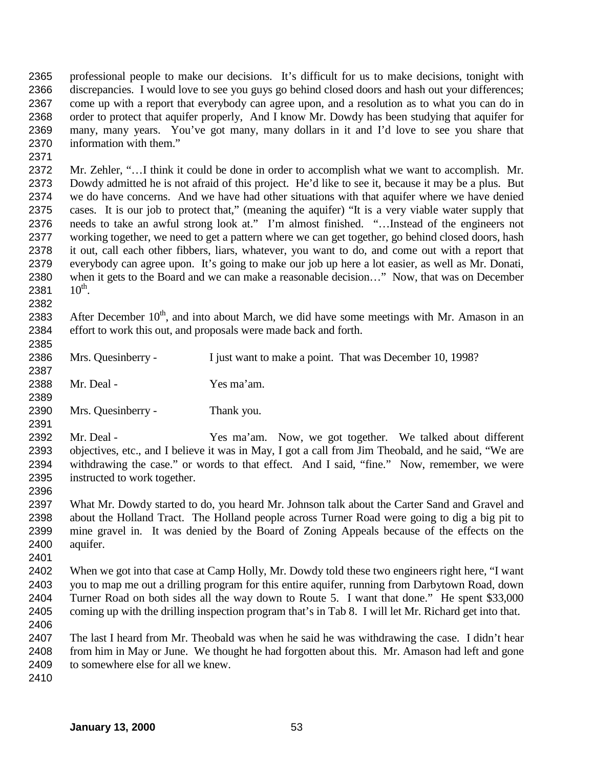professional people to make our decisions. It's difficult for us to make decisions, tonight with discrepancies. I would love to see you guys go behind closed doors and hash out your differences; come up with a report that everybody can agree upon, and a resolution as to what you can do in order to protect that aquifer properly, And I know Mr. Dowdy has been studying that aquifer for many, many years. You've got many, many dollars in it and I'd love to see you share that information with them."

 Mr. Zehler, "…I think it could be done in order to accomplish what we want to accomplish. Mr. Dowdy admitted he is not afraid of this project. He'd like to see it, because it may be a plus. But we do have concerns. And we have had other situations with that aquifer where we have denied cases. It is our job to protect that," (meaning the aquifer) "It is a very viable water supply that needs to take an awful strong look at." I'm almost finished. "…Instead of the engineers not working together, we need to get a pattern where we can get together, go behind closed doors, hash it out, call each other fibbers, liars, whatever, you want to do, and come out with a report that everybody can agree upon. It's going to make our job up here a lot easier, as well as Mr. Donati, when it gets to the Board and we can make a reasonable decision…" Now, that was on December 2381  $10^{th}$ .

2383 After December  $10<sup>th</sup>$ , and into about March, we did have some meetings with Mr. Amason in an effort to work this out, and proposals were made back and forth.

2386 Mrs. Quesinberry - I just want to make a point. That was December 10, 1998? Mr. Deal - Yes ma'am.

 Mrs. Quesinberry - Thank you.

 Mr. Deal - Yes ma'am. Now, we got together. We talked about different objectives, etc., and I believe it was in May, I got a call from Jim Theobald, and he said, "We are withdrawing the case." or words to that effect. And I said, "fine." Now, remember, we were instructed to work together. 

 What Mr. Dowdy started to do, you heard Mr. Johnson talk about the Carter Sand and Gravel and about the Holland Tract. The Holland people across Turner Road were going to dig a big pit to mine gravel in. It was denied by the Board of Zoning Appeals because of the effects on the aquifer.

 When we got into that case at Camp Holly, Mr. Dowdy told these two engineers right here, "I want you to map me out a drilling program for this entire aquifer, running from Darbytown Road, down Turner Road on both sides all the way down to Route 5. I want that done." He spent \$33,000 coming up with the drilling inspection program that's in Tab 8. I will let Mr. Richard get into that. 

2407 The last I heard from Mr. Theobald was when he said he was withdrawing the case. I didn't hear<br>2408 from him in May or June. We thought he had forgotten about this. Mr. Amason had left and gone from him in May or June. We thought he had forgotten about this. Mr. Amason had left and gone 2409 to somewhere else for all we knew.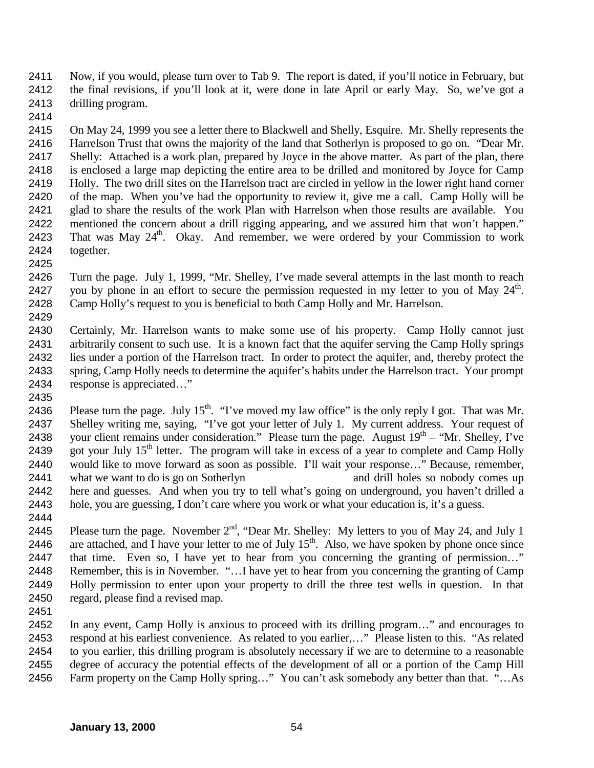Now, if you would, please turn over to Tab 9. The report is dated, if you'll notice in February, but the final revisions, if you'll look at it, were done in late April or early May. So, we've got a drilling program.

 On May 24, 1999 you see a letter there to Blackwell and Shelly, Esquire. Mr. Shelly represents the Harrelson Trust that owns the majority of the land that Sotherlyn is proposed to go on. "Dear Mr. Shelly: Attached is a work plan, prepared by Joyce in the above matter. As part of the plan, there is enclosed a large map depicting the entire area to be drilled and monitored by Joyce for Camp Holly. The two drill sites on the Harrelson tract are circled in yellow in the lower right hand corner of the map. When you've had the opportunity to review it, give me a call. Camp Holly will be glad to share the results of the work Plan with Harrelson when those results are available. You mentioned the concern about a drill rigging appearing, and we assured him that won't happen." 2423 That was May  $24^{th}$ . Okay. And remember, we were ordered by your Commission to work together.

 Turn the page. July 1, 1999, "Mr. Shelley, I've made several attempts in the last month to reach 2427 vou by phone in an effort to secure the permission requested in my letter to you of May  $24<sup>th</sup>$ . Camp Holly's request to you is beneficial to both Camp Holly and Mr. Harrelson. 

 Certainly, Mr. Harrelson wants to make some use of his property. Camp Holly cannot just arbitrarily consent to such use. It is a known fact that the aquifer serving the Camp Holly springs lies under a portion of the Harrelson tract. In order to protect the aquifer, and, thereby protect the spring, Camp Holly needs to determine the aquifer's habits under the Harrelson tract. Your prompt response is appreciated…"

2436 Please turn the page. July 15<sup>th</sup>. "I've moved my law office" is the only reply I got. That was Mr. Shelley writing me, saying, "I've got your letter of July 1. My current address. Your request of 2438 vour client remains under consideration." Please turn the page. August  $19<sup>th</sup> - "Mr. Shelley, I've$ 2439 got your July  $15<sup>th</sup>$  letter. The program will take in excess of a year to complete and Camp Holly would like to move forward as soon as possible. I'll wait your response…" Because, remember, 2441 what we want to do is go on Sotherlyn and drill holes so nobody comes up here and guesses. And when you try to tell what's going on underground, you haven't drilled a hole, you are guessing, I don't care where you work or what your education is, it's a guess.

- 2445 Please turn the page. November  $2<sup>nd</sup>$ , "Dear Mr. Shelley: My letters to you of May 24, and July 1 2446 are attached, and I have your letter to me of July  $15<sup>th</sup>$ . Also, we have spoken by phone once since that time. Even so, I have yet to hear from you concerning the granting of permission…" Remember, this is in November. "…I have yet to hear from you concerning the granting of Camp Holly permission to enter upon your property to drill the three test wells in question. In that regard, please find a revised map.
- 

 In any event, Camp Holly is anxious to proceed with its drilling program…" and encourages to respond at his earliest convenience. As related to you earlier,…" Please listen to this. "As related to you earlier, this drilling program is absolutely necessary if we are to determine to a reasonable degree of accuracy the potential effects of the development of all or a portion of the Camp Hill Farm property on the Camp Holly spring…" You can't ask somebody any better than that. "…As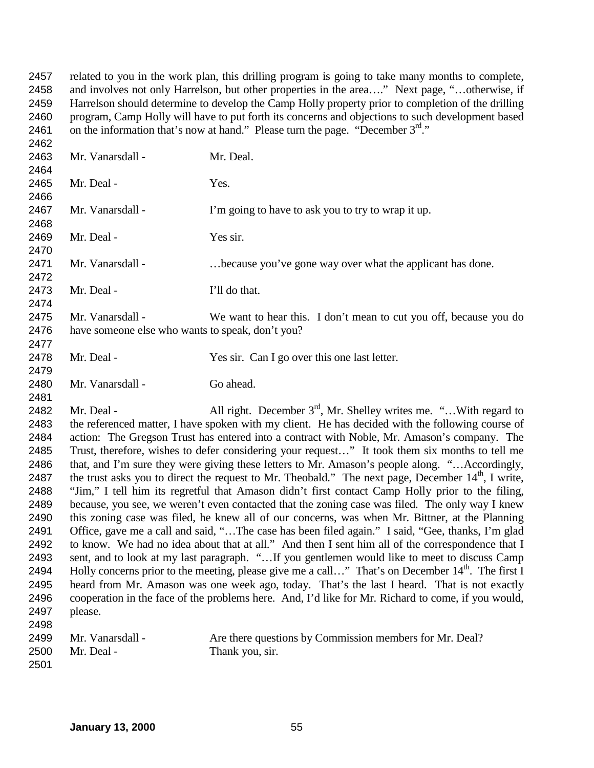related to you in the work plan, this drilling program is going to take many months to complete, and involves not only Harrelson, but other properties in the area…." Next page, "…otherwise, if Harrelson should determine to develop the Camp Holly property prior to completion of the drilling program, Camp Holly will have to put forth its concerns and objections to such development based 2461 on the information that's now at hand." Please turn the page. "December  $3<sup>rd</sup>$ ."

2463 Mr. Vanarsdall - Mr. Deal. 2465 Mr. Deal - Yes. 2467 Mr. Vanarsdall - I'm going to have to ask you to try to wrap it up. 2469 Mr. Deal - Yes sir. Mr. Vanarsdall - …because you've gone way over what the applicant has done. 2473 Mr. Deal - I'll do that. Mr. Vanarsdall - We want to hear this. I don't mean to cut you off, because you do have someone else who wants to speak, don't you? Mr. Deal - Yes sir. Can I go over this one last letter. 2480 Mr. Vanarsdall - Go ahead. 2482 Mr. Deal - All right. December  $3<sup>rd</sup>$ , Mr. Shelley writes me. "... With regard to the referenced matter, I have spoken with my client. He has decided with the following course of action: The Gregson Trust has entered into a contract with Noble, Mr. Amason's company. The Trust, therefore, wishes to defer considering your request…" It took them six months to tell me that, and I'm sure they were giving these letters to Mr. Amason's people along. "…Accordingly, 2487 the trust asks you to direct the request to Mr. Theobald." The next page, December  $14<sup>th</sup>$ , I write, "Jim," I tell him its regretful that Amason didn't first contact Camp Holly prior to the filing, because, you see, we weren't even contacted that the zoning case was filed. The only way I knew this zoning case was filed, he knew all of our concerns, was when Mr. Bittner, at the Planning Office, gave me a call and said, "…The case has been filed again." I said, "Gee, thanks, I'm glad to know. We had no idea about that at all." And then I sent him all of the correspondence that I sent, and to look at my last paragraph. "…If you gentlemen would like to meet to discuss Camp 2494 Holly concerns prior to the meeting, please give me a call..." That's on December  $14<sup>th</sup>$ . The first I heard from Mr. Amason was one week ago, today. That's the last I heard. That is not exactly cooperation in the face of the problems here. And, I'd like for Mr. Richard to come, if you would, please. Mr. Vanarsdall - Are there questions by Commission members for Mr. Deal? 2500 Mr. Deal - Thank you, sir.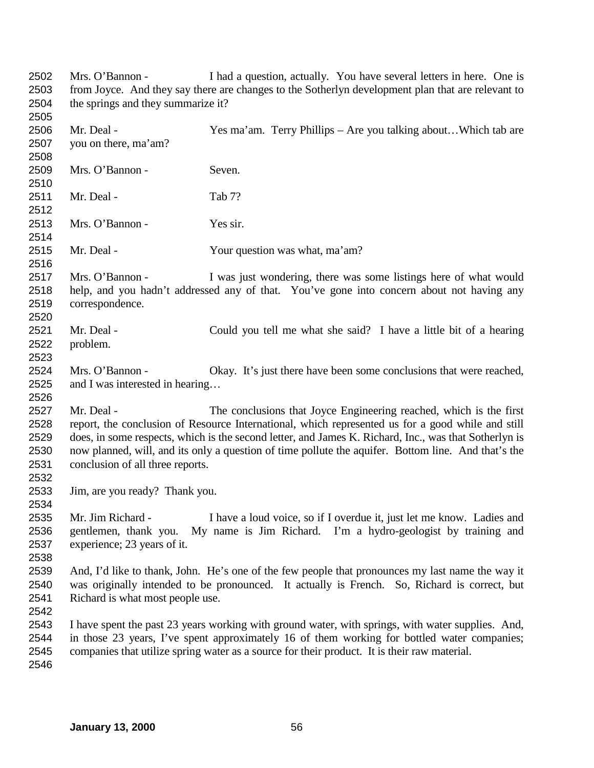Mrs. O'Bannon - I had a question, actually. You have several letters in here. One is from Joyce. And they say there are changes to the Sotherlyn development plan that are relevant to the springs and they summarize it? Mr. Deal - Yes ma'am. Terry Phillips – Are you talking about…Which tab are you on there, ma'am? Mrs. O'Bannon - Seven. 2511 Mr. Deal - Tab 7? Mrs. O'Bannon - Yes sir. Mr. Deal - Your question was what, ma'am? Mrs. O'Bannon - I was just wondering, there was some listings here of what would help, and you hadn't addressed any of that. You've gone into concern about not having any correspondence. Mr. Deal - Could you tell me what she said? I have a little bit of a hearing problem. Mrs. O'Bannon - Okay. It's just there have been some conclusions that were reached, and I was interested in hearing… Mr. Deal - The conclusions that Joyce Engineering reached, which is the first report, the conclusion of Resource International, which represented us for a good while and still does, in some respects, which is the second letter, and James K. Richard, Inc., was that Sotherlyn is now planned, will, and its only a question of time pollute the aquifer. Bottom line. And that's the conclusion of all three reports. Jim, are you ready? Thank you. Mr. Jim Richard - I have a loud voice, so if I overdue it, just let me know. Ladies and gentlemen, thank you. My name is Jim Richard. I'm a hydro-geologist by training and experience; 23 years of it. And, I'd like to thank, John. He's one of the few people that pronounces my last name the way it was originally intended to be pronounced. It actually is French. So, Richard is correct, but Richard is what most people use. I have spent the past 23 years working with ground water, with springs, with water supplies. And, in those 23 years, I've spent approximately 16 of them working for bottled water companies; companies that utilize spring water as a source for their product. It is their raw material.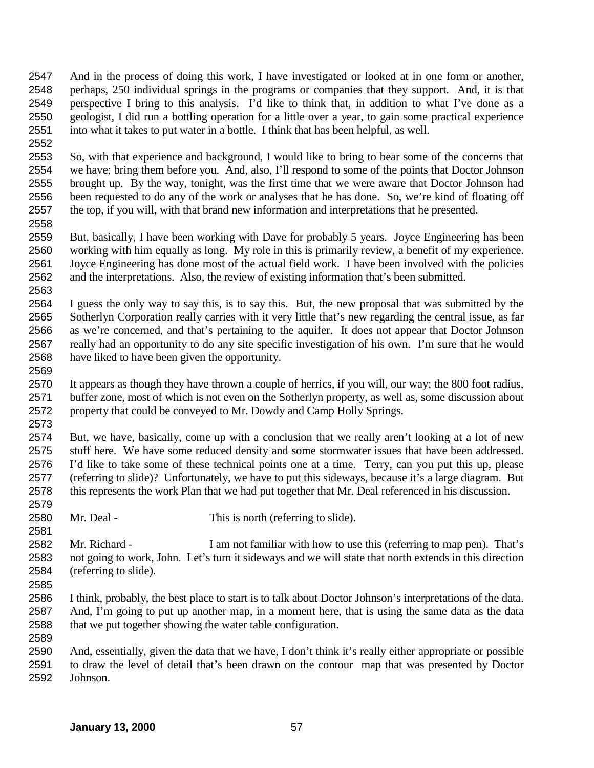- And in the process of doing this work, I have investigated or looked at in one form or another, perhaps, 250 individual springs in the programs or companies that they support. And, it is that perspective I bring to this analysis. I'd like to think that, in addition to what I've done as a geologist, I did run a bottling operation for a little over a year, to gain some practical experience into what it takes to put water in a bottle. I think that has been helpful, as well.
- So, with that experience and background, I would like to bring to bear some of the concerns that we have; bring them before you. And, also, I'll respond to some of the points that Doctor Johnson brought up. By the way, tonight, was the first time that we were aware that Doctor Johnson had been requested to do any of the work or analyses that he has done. So, we're kind of floating off the top, if you will, with that brand new information and interpretations that he presented.
- But, basically, I have been working with Dave for probably 5 years. Joyce Engineering has been working with him equally as long. My role in this is primarily review, a benefit of my experience. Joyce Engineering has done most of the actual field work. I have been involved with the policies and the interpretations. Also, the review of existing information that's been submitted.
- I guess the only way to say this, is to say this. But, the new proposal that was submitted by the Sotherlyn Corporation really carries with it very little that's new regarding the central issue, as far as we're concerned, and that's pertaining to the aquifer. It does not appear that Doctor Johnson really had an opportunity to do any site specific investigation of his own. I'm sure that he would have liked to have been given the opportunity.
- It appears as though they have thrown a couple of herrics, if you will, our way; the 800 foot radius, buffer zone, most of which is not even on the Sotherlyn property, as well as, some discussion about property that could be conveyed to Mr. Dowdy and Camp Holly Springs.
- But, we have, basically, come up with a conclusion that we really aren't looking at a lot of new stuff here. We have some reduced density and some stormwater issues that have been addressed. I'd like to take some of these technical points one at a time. Terry, can you put this up, please (referring to slide)? Unfortunately, we have to put this sideways, because it's a large diagram. But this represents the work Plan that we had put together that Mr. Deal referenced in his discussion.
- Mr. Deal This is north (referring to slide).
- Mr. Richard I am not familiar with how to use this (referring to map pen). That's not going to work, John. Let's turn it sideways and we will state that north extends in this direction (referring to slide).
- 

- I think, probably, the best place to start is to talk about Doctor Johnson's interpretations of the data. And, I'm going to put up another map, in a moment here, that is using the same data as the data that we put together showing the water table configuration.
- And, essentially, given the data that we have, I don't think it's really either appropriate or possible to draw the level of detail that's been drawn on the contour map that was presented by Doctor Johnson.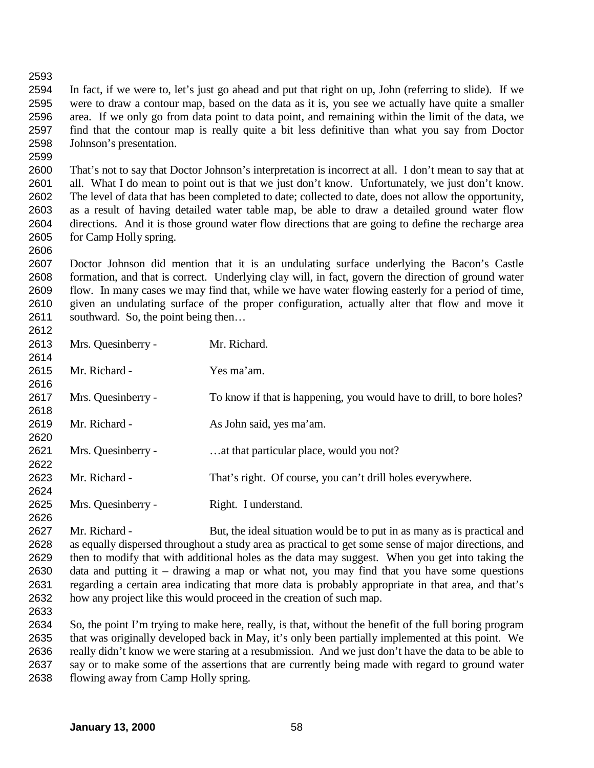In fact, if we were to, let's just go ahead and put that right on up, John (referring to slide). If we were to draw a contour map, based on the data as it is, you see we actually have quite a smaller area. If we only go from data point to data point, and remaining within the limit of the data, we find that the contour map is really quite a bit less definitive than what you say from Doctor Johnson's presentation.

 That's not to say that Doctor Johnson's interpretation is incorrect at all. I don't mean to say that at all. What I do mean to point out is that we just don't know. Unfortunately, we just don't know. The level of data that has been completed to date; collected to date, does not allow the opportunity, as a result of having detailed water table map, be able to draw a detailed ground water flow directions. And it is those ground water flow directions that are going to define the recharge area for Camp Holly spring.

 Doctor Johnson did mention that it is an undulating surface underlying the Bacon's Castle formation, and that is correct. Underlying clay will, in fact, govern the direction of ground water flow. In many cases we may find that, while we have water flowing easterly for a period of time, given an undulating surface of the proper configuration, actually alter that flow and move it southward. So, the point being then… 

| 2613 | Mrs. Quesinberry - | Mr. Richard.                                                          |
|------|--------------------|-----------------------------------------------------------------------|
| 2614 |                    |                                                                       |
| 2615 | Mr. Richard -      | Yes ma'am.                                                            |
| 2616 |                    |                                                                       |
| 2617 | Mrs. Quesinberry - | To know if that is happening, you would have to drill, to bore holes? |
| 2618 |                    |                                                                       |
| 2619 | Mr. Richard -      | As John said, yes ma'am.                                              |
| 2620 |                    |                                                                       |
| 2621 | Mrs. Quesinberry - | at that particular place, would you not?                              |
| 2622 |                    |                                                                       |
| 2623 | Mr. Richard -      | That's right. Of course, you can't drill holes everywhere.            |
| 2624 |                    |                                                                       |
| 2625 | Mrs. Quesinberry - | Right. I understand.                                                  |
| 2626 |                    |                                                                       |

 Mr. Richard - But, the ideal situation would be to put in as many as is practical and as equally dispersed throughout a study area as practical to get some sense of major directions, and then to modify that with additional holes as the data may suggest. When you get into taking the data and putting it – drawing a map or what not, you may find that you have some questions regarding a certain area indicating that more data is probably appropriate in that area, and that's how any project like this would proceed in the creation of such map.

 So, the point I'm trying to make here, really, is that, without the benefit of the full boring program that was originally developed back in May, it's only been partially implemented at this point. We really didn't know we were staring at a resubmission. And we just don't have the data to be able to say or to make some of the assertions that are currently being made with regard to ground water flowing away from Camp Holly spring.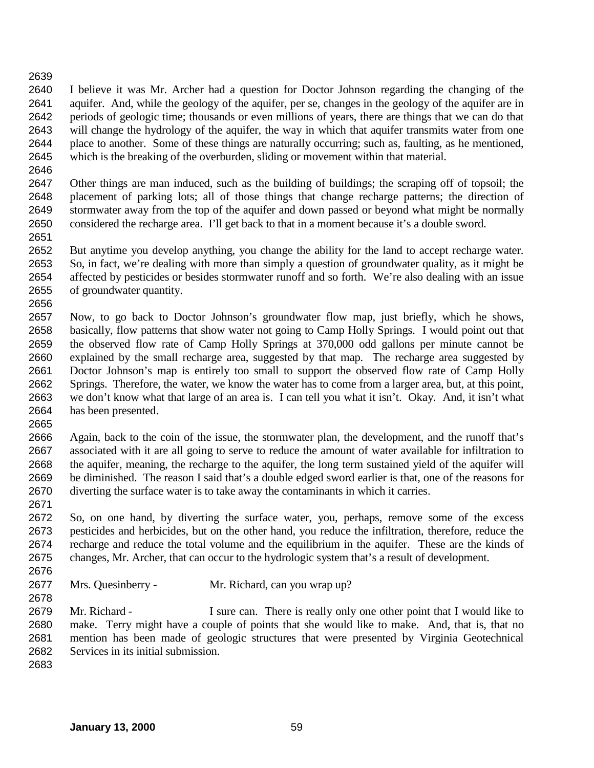I believe it was Mr. Archer had a question for Doctor Johnson regarding the changing of the aquifer. And, while the geology of the aquifer, per se, changes in the geology of the aquifer are in periods of geologic time; thousands or even millions of years, there are things that we can do that will change the hydrology of the aquifer, the way in which that aquifer transmits water from one place to another. Some of these things are naturally occurring; such as, faulting, as he mentioned, which is the breaking of the overburden, sliding or movement within that material.

 Other things are man induced, such as the building of buildings; the scraping off of topsoil; the placement of parking lots; all of those things that change recharge patterns; the direction of stormwater away from the top of the aquifer and down passed or beyond what might be normally considered the recharge area. I'll get back to that in a moment because it's a double sword.

 But anytime you develop anything, you change the ability for the land to accept recharge water. So, in fact, we're dealing with more than simply a question of groundwater quality, as it might be affected by pesticides or besides stormwater runoff and so forth. We're also dealing with an issue of groundwater quantity.

 Now, to go back to Doctor Johnson's groundwater flow map, just briefly, which he shows, basically, flow patterns that show water not going to Camp Holly Springs. I would point out that the observed flow rate of Camp Holly Springs at 370,000 odd gallons per minute cannot be explained by the small recharge area, suggested by that map. The recharge area suggested by Doctor Johnson's map is entirely too small to support the observed flow rate of Camp Holly Springs. Therefore, the water, we know the water has to come from a larger area, but, at this point, we don't know what that large of an area is. I can tell you what it isn't. Okay. And, it isn't what has been presented.

 Again, back to the coin of the issue, the stormwater plan, the development, and the runoff that's associated with it are all going to serve to reduce the amount of water available for infiltration to the aquifer, meaning, the recharge to the aquifer, the long term sustained yield of the aquifer will be diminished. The reason I said that's a double edged sword earlier is that, one of the reasons for diverting the surface water is to take away the contaminants in which it carries.

 So, on one hand, by diverting the surface water, you, perhaps, remove some of the excess pesticides and herbicides, but on the other hand, you reduce the infiltration, therefore, reduce the recharge and reduce the total volume and the equilibrium in the aquifer. These are the kinds of changes, Mr. Archer, that can occur to the hydrologic system that's a result of development.

Mrs. Quesinberry - Mr. Richard, can you wrap up?

2679 Mr. Richard - I sure can. There is really only one other point that I would like to make. Terry might have a couple of points that she would like to make. And, that is, that no mention has been made of geologic structures that were presented by Virginia Geotechnical Services in its initial submission.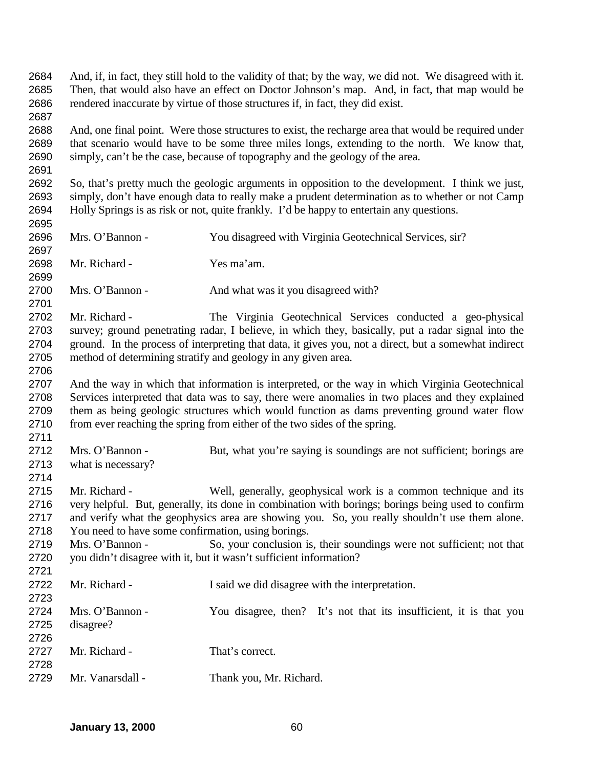And, if, in fact, they still hold to the validity of that; by the way, we did not. We disagreed with it. Then, that would also have an effect on Doctor Johnson's map. And, in fact, that map would be rendered inaccurate by virtue of those structures if, in fact, they did exist.

 And, one final point. Were those structures to exist, the recharge area that would be required under that scenario would have to be some three miles longs, extending to the north. We know that, simply, can't be the case, because of topography and the geology of the area.

 So, that's pretty much the geologic arguments in opposition to the development. I think we just, simply, don't have enough data to really make a prudent determination as to whether or not Camp Holly Springs is as risk or not, quite frankly. I'd be happy to entertain any questions.

 Mrs. O'Bannon - You disagreed with Virginia Geotechnical Services, sir? Mr. Richard - Yes ma'am. 2700 Mrs. O'Bannon - And what was it you disagreed with? Mr. Richard - The Virginia Geotechnical Services conducted a geo-physical survey; ground penetrating radar, I believe, in which they, basically, put a radar signal into the ground. In the process of interpreting that data, it gives you, not a direct, but a somewhat indirect method of determining stratify and geology in any given area. And the way in which that information is interpreted, or the way in which Virginia Geotechnical Services interpreted that data was to say, there were anomalies in two places and they explained them as being geologic structures which would function as dams preventing ground water flow from ever reaching the spring from either of the two sides of the spring. Mrs. O'Bannon - But, what you're saying is soundings are not sufficient; borings are what is necessary? Mr. Richard - Well, generally, geophysical work is a common technique and its very helpful. But, generally, its done in combination with borings; borings being used to confirm and verify what the geophysics area are showing you. So, you really shouldn't use them alone. You need to have some confirmation, using borings. Mrs. O'Bannon - So, your conclusion is, their soundings were not sufficient; not that you didn't disagree with it, but it wasn't sufficient information? Mr. Richard - I said we did disagree with the interpretation. Mrs. O'Bannon - You disagree, then? It's not that its insufficient, it is that you disagree? 2727 Mr. Richard - That's correct. Mr. Vanarsdall - Thank you, Mr. Richard.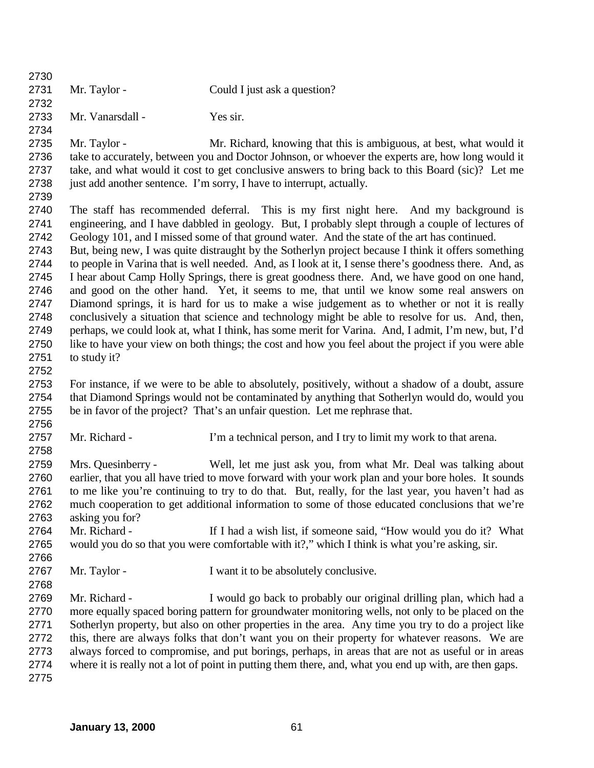| 2730 |                    |                                                                                                        |
|------|--------------------|--------------------------------------------------------------------------------------------------------|
| 2731 | Mr. Taylor -       | Could I just ask a question?                                                                           |
| 2732 |                    |                                                                                                        |
| 2733 | Mr. Vanarsdall -   | Yes sir.                                                                                               |
| 2734 |                    |                                                                                                        |
| 2735 | Mr. Taylor -       | Mr. Richard, knowing that this is ambiguous, at best, what would it                                    |
| 2736 |                    | take to accurately, between you and Doctor Johnson, or whoever the experts are, how long would it      |
| 2737 |                    | take, and what would it cost to get conclusive answers to bring back to this Board (sic)? Let me       |
| 2738 |                    | just add another sentence. I'm sorry, I have to interrupt, actually.                                   |
| 2739 |                    |                                                                                                        |
| 2740 |                    | The staff has recommended deferral. This is my first night here. And my background is                  |
| 2741 |                    | engineering, and I have dabbled in geology. But, I probably slept through a couple of lectures of      |
| 2742 |                    | Geology 101, and I missed some of that ground water. And the state of the art has continued.           |
| 2743 |                    | But, being new, I was quite distraught by the Sotherlyn project because I think it offers something    |
| 2744 |                    | to people in Varina that is well needed. And, as I look at it, I sense there's goodness there. And, as |
| 2745 |                    | I hear about Camp Holly Springs, there is great goodness there. And, we have good on one hand,         |
| 2746 |                    | and good on the other hand. Yet, it seems to me, that until we know some real answers on               |
| 2747 |                    | Diamond springs, it is hard for us to make a wise judgement as to whether or not it is really          |
|      |                    |                                                                                                        |
| 2748 |                    | conclusively a situation that science and technology might be able to resolve for us. And, then,       |
| 2749 |                    | perhaps, we could look at, what I think, has some merit for Varina. And, I admit, I'm new, but, I'd    |
| 2750 |                    | like to have your view on both things; the cost and how you feel about the project if you were able    |
| 2751 | to study it?       |                                                                                                        |
| 2752 |                    |                                                                                                        |
| 2753 |                    | For instance, if we were to be able to absolutely, positively, without a shadow of a doubt, assure     |
| 2754 |                    | that Diamond Springs would not be contaminated by anything that Sotherlyn would do, would you          |
| 2755 |                    | be in favor of the project? That's an unfair question. Let me rephrase that.                           |
| 2756 |                    |                                                                                                        |
| 2757 | Mr. Richard -      | I'm a technical person, and I try to limit my work to that arena.                                      |
| 2758 |                    |                                                                                                        |
| 2759 | Mrs. Quesinberry - | Well, let me just ask you, from what Mr. Deal was talking about                                        |
| 2760 |                    | earlier, that you all have tried to move forward with your work plan and your bore holes. It sounds    |
| 2761 |                    | to me like you're continuing to try to do that. But, really, for the last year, you haven't had as     |
| 2762 |                    | much cooperation to get additional information to some of those educated conclusions that we're        |
| 2763 | asking you for?    |                                                                                                        |
| 2764 | Mr. Richard -      | If I had a wish list, if someone said, "How would you do it? What                                      |
| 2765 |                    | would you do so that you were comfortable with it?," which I think is what you're asking, sir.         |
| 2766 |                    |                                                                                                        |
| 2767 | Mr. Taylor -       | I want it to be absolutely conclusive.                                                                 |
| 2768 |                    |                                                                                                        |
| 2769 | Mr. Richard -      | I would go back to probably our original drilling plan, which had a                                    |
| 2770 |                    | more equally spaced boring pattern for groundwater monitoring wells, not only to be placed on the      |
| 2771 |                    | Sotherlyn property, but also on other properties in the area. Any time you try to do a project like    |
| 2772 |                    | this, there are always folks that don't want you on their property for whatever reasons. We are        |
| 2773 |                    | always forced to compromise, and put borings, perhaps, in areas that are not as useful or in areas     |
| 2774 |                    | where it is really not a lot of point in putting them there, and, what you end up with, are then gaps. |
| 2775 |                    |                                                                                                        |
|      |                    |                                                                                                        |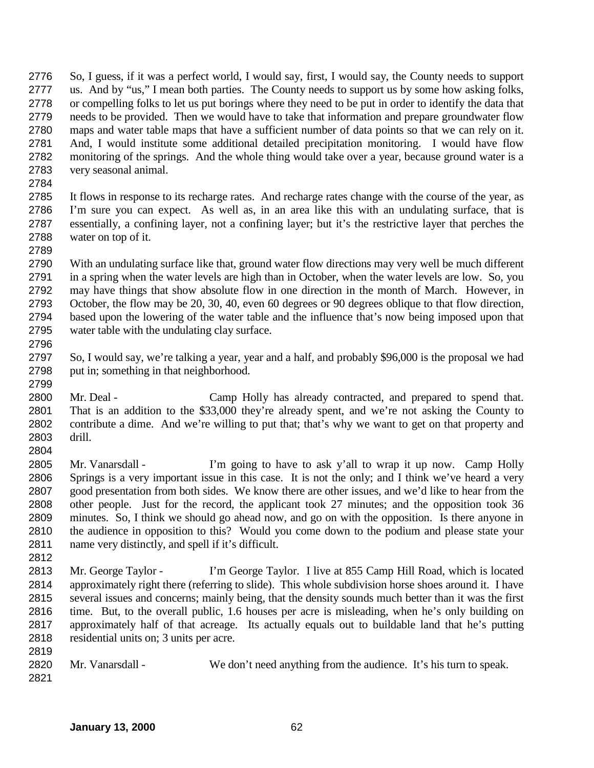So, I guess, if it was a perfect world, I would say, first, I would say, the County needs to support us. And by "us," I mean both parties. The County needs to support us by some how asking folks, or compelling folks to let us put borings where they need to be put in order to identify the data that needs to be provided. Then we would have to take that information and prepare groundwater flow maps and water table maps that have a sufficient number of data points so that we can rely on it. And, I would institute some additional detailed precipitation monitoring. I would have flow monitoring of the springs. And the whole thing would take over a year, because ground water is a very seasonal animal.

 It flows in response to its recharge rates. And recharge rates change with the course of the year, as I'm sure you can expect. As well as, in an area like this with an undulating surface, that is essentially, a confining layer, not a confining layer; but it's the restrictive layer that perches the water on top of it.

 With an undulating surface like that, ground water flow directions may very well be much different in a spring when the water levels are high than in October, when the water levels are low. So, you may have things that show absolute flow in one direction in the month of March. However, in October, the flow may be 20, 30, 40, even 60 degrees or 90 degrees oblique to that flow direction, based upon the lowering of the water table and the influence that's now being imposed upon that water table with the undulating clay surface.

- So, I would say, we're talking a year, year and a half, and probably \$96,000 is the proposal we had put in; something in that neighborhood.
- Mr. Deal Camp Holly has already contracted, and prepared to spend that. That is an addition to the \$33,000 they're already spent, and we're not asking the County to contribute a dime. And we're willing to put that; that's why we want to get on that property and drill.
- Mr. Vanarsdall I'm going to have to ask y'all to wrap it up now. Camp Holly Springs is a very important issue in this case. It is not the only; and I think we've heard a very good presentation from both sides. We know there are other issues, and we'd like to hear from the other people. Just for the record, the applicant took 27 minutes; and the opposition took 36 minutes. So, I think we should go ahead now, and go on with the opposition. Is there anyone in the audience in opposition to this? Would you come down to the podium and please state your name very distinctly, and spell if it's difficult.
- Mr. George Taylor I'm George Taylor. I live at 855 Camp Hill Road, which is located approximately right there (referring to slide). This whole subdivision horse shoes around it. I have several issues and concerns; mainly being, that the density sounds much better than it was the first time. But, to the overall public, 1.6 houses per acre is misleading, when he's only building on approximately half of that acreage. Its actually equals out to buildable land that he's putting residential units on; 3 units per acre.
- 

- Mr. Vanarsdall We don't need anything from the audience. It's his turn to speak.
	- **January 13, 2000** 62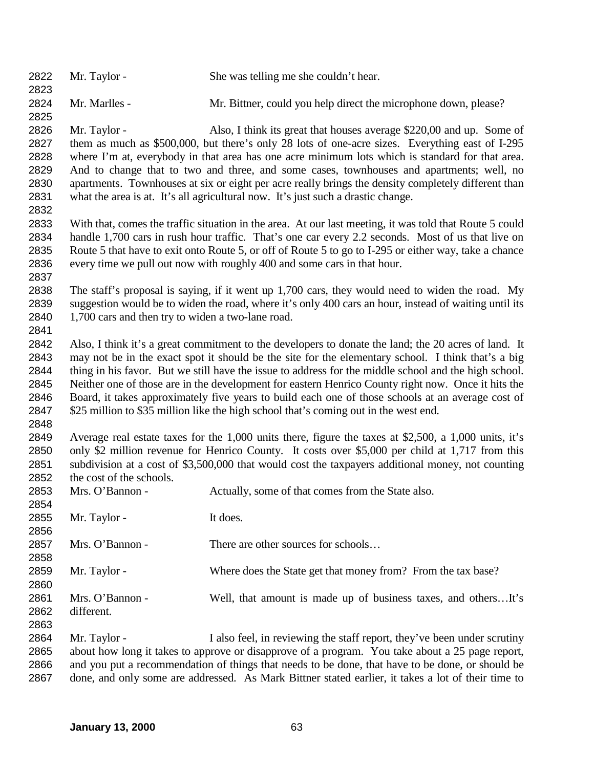| 2822<br>2823 | Mr. Taylor -                                      | She was telling me she couldn't hear.                                                                   |
|--------------|---------------------------------------------------|---------------------------------------------------------------------------------------------------------|
| 2824         | Mr. Marlles -                                     | Mr. Bittner, could you help direct the microphone down, please?                                         |
| 2825         |                                                   |                                                                                                         |
| 2826         | Mr. Taylor -                                      | Also, I think its great that houses average \$220,00 and up. Some of                                    |
| 2827         |                                                   | them as much as \$500,000, but there's only 28 lots of one-acre sizes. Everything east of I-295         |
| 2828         |                                                   | where I'm at, everybody in that area has one acre minimum lots which is standard for that area.         |
| 2829         |                                                   | And to change that to two and three, and some cases, townhouses and apartments; well, no                |
| 2830         |                                                   | apartments. Townhouses at six or eight per acre really brings the density completely different than     |
| 2831         |                                                   | what the area is at. It's all agricultural now. It's just such a drastic change.                        |
| 2832         |                                                   |                                                                                                         |
| 2833         |                                                   | With that, comes the traffic situation in the area. At our last meeting, it was told that Route 5 could |
| 2834         |                                                   | handle 1,700 cars in rush hour traffic. That's one car every 2.2 seconds. Most of us that live on       |
| 2835         |                                                   | Route 5 that have to exit onto Route 5, or off of Route 5 to go to I-295 or either way, take a chance   |
| 2836         |                                                   | every time we pull out now with roughly 400 and some cars in that hour.                                 |
| 2837         |                                                   |                                                                                                         |
| 2838         |                                                   | The staff's proposal is saying, if it went up 1,700 cars, they would need to widen the road. My         |
| 2839         |                                                   | suggestion would be to widen the road, where it's only 400 cars an hour, instead of waiting until its   |
| 2840         | 1,700 cars and then try to widen a two-lane road. |                                                                                                         |
| 2841         |                                                   |                                                                                                         |
| 2842         |                                                   | Also, I think it's a great commitment to the developers to donate the land; the 20 acres of land. It    |
| 2843         |                                                   | may not be in the exact spot it should be the site for the elementary school. I think that's a big      |
| 2844         |                                                   | thing in his favor. But we still have the issue to address for the middle school and the high school.   |
| 2845         |                                                   | Neither one of those are in the development for eastern Henrico County right now. Once it hits the      |
| 2846         |                                                   | Board, it takes approximately five years to build each one of those schools at an average cost of       |
| 2847         |                                                   | \$25 million to \$35 million like the high school that's coming out in the west end.                    |
| 2848         |                                                   |                                                                                                         |
| 2849         |                                                   | Average real estate taxes for the 1,000 units there, figure the taxes at \$2,500, a 1,000 units, it's   |
| 2850         |                                                   | only \$2 million revenue for Henrico County. It costs over \$5,000 per child at 1,717 from this         |
| 2851         |                                                   | subdivision at a cost of \$3,500,000 that would cost the taxpayers additional money, not counting       |
| 2852         | the cost of the schools.                          |                                                                                                         |
| 2853         | Mrs. O'Bannon -                                   | Actually, some of that comes from the State also.                                                       |
| 2854         |                                                   |                                                                                                         |
| 2855         | Mr. Taylor -                                      | It does.                                                                                                |
| 2856         |                                                   |                                                                                                         |
| 2857         | Mrs. O'Bannon -                                   | There are other sources for schools                                                                     |
| 2858         |                                                   |                                                                                                         |
| 2859         | Mr. Taylor -                                      | Where does the State get that money from? From the tax base?                                            |
| 2860         |                                                   |                                                                                                         |
| 2861         | Mrs. O'Bannon -                                   | Well, that amount is made up of business taxes, and othersIt's                                          |
| 2862         | different.                                        |                                                                                                         |
| 2863         |                                                   |                                                                                                         |
| 2864         | Mr. Taylor -                                      | I also feel, in reviewing the staff report, they've been under scrutiny                                 |
| 2865         |                                                   | about how long it takes to approve or disapprove of a program. You take about a 25 page report,         |
| 2866         |                                                   | and you put a recommendation of things that needs to be done, that have to be done, or should be        |
| 2867         |                                                   | done, and only some are addressed. As Mark Bittner stated earlier, it takes a lot of their time to      |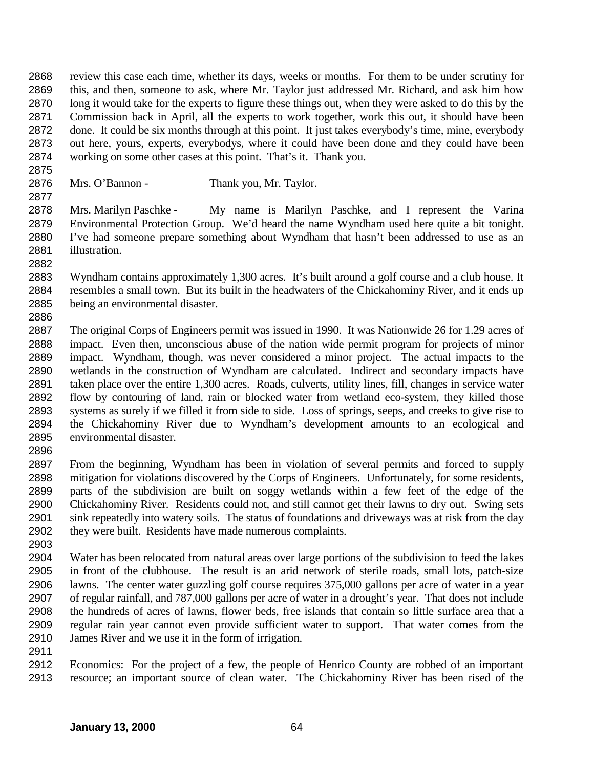review this case each time, whether its days, weeks or months. For them to be under scrutiny for this, and then, someone to ask, where Mr. Taylor just addressed Mr. Richard, and ask him how long it would take for the experts to figure these things out, when they were asked to do this by the Commission back in April, all the experts to work together, work this out, it should have been done. It could be six months through at this point. It just takes everybody's time, mine, everybody out here, yours, experts, everybodys, where it could have been done and they could have been working on some other cases at this point. That's it. Thank you.

Mrs. O'Bannon - Thank you, Mr. Taylor.

 Mrs. Marilyn Paschke - My name is Marilyn Paschke, and I represent the Varina Environmental Protection Group. We'd heard the name Wyndham used here quite a bit tonight. I've had someone prepare something about Wyndham that hasn't been addressed to use as an illustration.

- Wyndham contains approximately 1,300 acres. It's built around a golf course and a club house. It resembles a small town. But its built in the headwaters of the Chickahominy River, and it ends up being an environmental disaster.
- The original Corps of Engineers permit was issued in 1990. It was Nationwide 26 for 1.29 acres of impact. Even then, unconscious abuse of the nation wide permit program for projects of minor impact. Wyndham, though, was never considered a minor project. The actual impacts to the wetlands in the construction of Wyndham are calculated. Indirect and secondary impacts have taken place over the entire 1,300 acres. Roads, culverts, utility lines, fill, changes in service water flow by contouring of land, rain or blocked water from wetland eco-system, they killed those systems as surely if we filled it from side to side. Loss of springs, seeps, and creeks to give rise to the Chickahominy River due to Wyndham's development amounts to an ecological and environmental disaster.
- 

- From the beginning, Wyndham has been in violation of several permits and forced to supply mitigation for violations discovered by the Corps of Engineers. Unfortunately, for some residents, parts of the subdivision are built on soggy wetlands within a few feet of the edge of the Chickahominy River. Residents could not, and still cannot get their lawns to dry out. Swing sets sink repeatedly into watery soils. The status of foundations and driveways was at risk from the day they were built. Residents have made numerous complaints.
- 
- Water has been relocated from natural areas over large portions of the subdivision to feed the lakes in front of the clubhouse. The result is an arid network of sterile roads, small lots, patch-size lawns. The center water guzzling golf course requires 375,000 gallons per acre of water in a year of regular rainfall, and 787,000 gallons per acre of water in a drought's year. That does not include the hundreds of acres of lawns, flower beds, free islands that contain so little surface area that a regular rain year cannot even provide sufficient water to support. That water comes from the James River and we use it in the form of irrigation.
- 
- Economics: For the project of a few, the people of Henrico County are robbed of an important resource; an important source of clean water. The Chickahominy River has been rised of the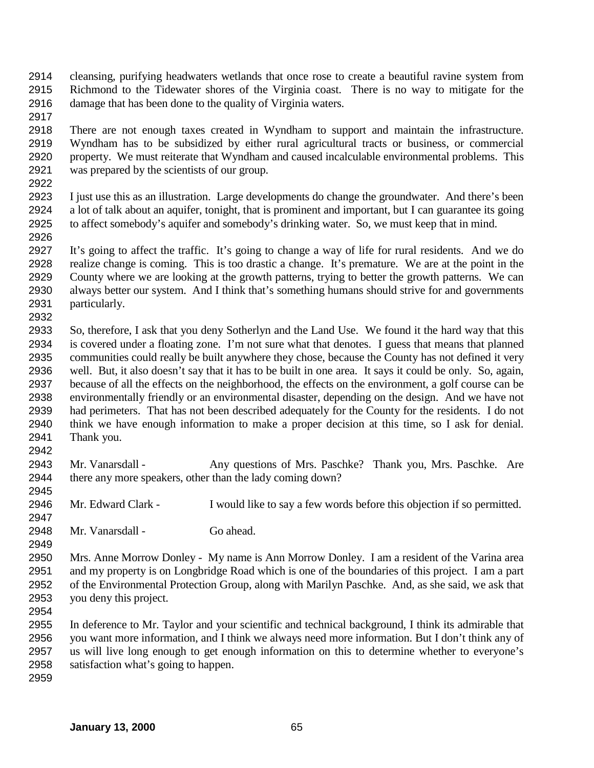- cleansing, purifying headwaters wetlands that once rose to create a beautiful ravine system from Richmond to the Tidewater shores of the Virginia coast. There is no way to mitigate for the damage that has been done to the quality of Virginia waters.
- 

 There are not enough taxes created in Wyndham to support and maintain the infrastructure. Wyndham has to be subsidized by either rural agricultural tracts or business, or commercial property. We must reiterate that Wyndham and caused incalculable environmental problems. This was prepared by the scientists of our group.

 I just use this as an illustration. Large developments do change the groundwater. And there's been a lot of talk about an aquifer, tonight, that is prominent and important, but I can guarantee its going to affect somebody's aquifer and somebody's drinking water. So, we must keep that in mind. 

 It's going to affect the traffic. It's going to change a way of life for rural residents. And we do realize change is coming. This is too drastic a change. It's premature. We are at the point in the County where we are looking at the growth patterns, trying to better the growth patterns. We can always better our system. And I think that's something humans should strive for and governments particularly. 

 So, therefore, I ask that you deny Sotherlyn and the Land Use. We found it the hard way that this is covered under a floating zone. I'm not sure what that denotes. I guess that means that planned communities could really be built anywhere they chose, because the County has not defined it very well. But, it also doesn't say that it has to be built in one area. It says it could be only. So, again, because of all the effects on the neighborhood, the effects on the environment, a golf course can be environmentally friendly or an environmental disaster, depending on the design. And we have not had perimeters. That has not been described adequately for the County for the residents. I do not think we have enough information to make a proper decision at this time, so I ask for denial. Thank you.

2943 Mr. Vanarsdall - Any questions of Mrs. Paschke? Thank you, Mrs. Paschke. Are there any more speakers, other than the lady coming down? 

Mr. Edward Clark - I would like to say a few words before this objection if so permitted.

Mr. Vanarsdall - Go ahead.

 Mrs. Anne Morrow Donley - My name is Ann Morrow Donley. I am a resident of the Varina area and my property is on Longbridge Road which is one of the boundaries of this project. I am a part of the Environmental Protection Group, along with Marilyn Paschke. And, as she said, we ask that you deny this project.

 In deference to Mr. Taylor and your scientific and technical background, I think its admirable that you want more information, and I think we always need more information. But I don't think any of us will live long enough to get enough information on this to determine whether to everyone's satisfaction what's going to happen.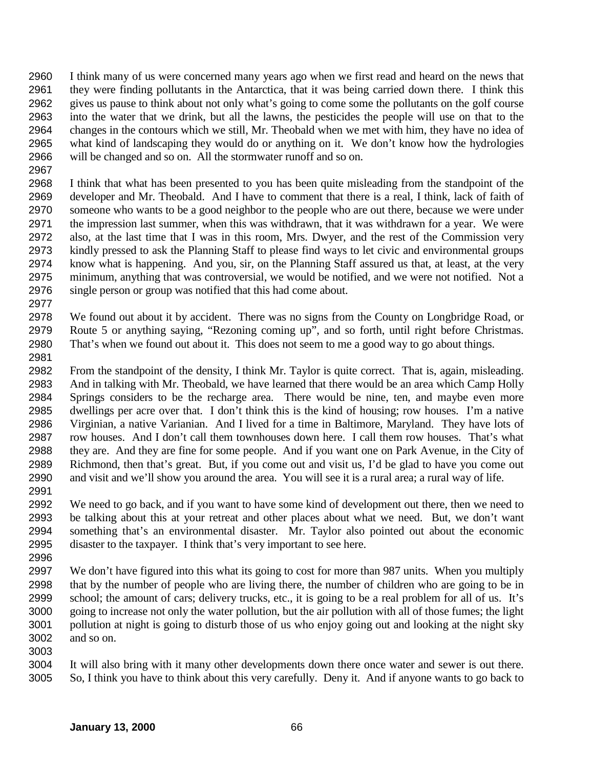I think many of us were concerned many years ago when we first read and heard on the news that they were finding pollutants in the Antarctica, that it was being carried down there. I think this gives us pause to think about not only what's going to come some the pollutants on the golf course into the water that we drink, but all the lawns, the pesticides the people will use on that to the changes in the contours which we still, Mr. Theobald when we met with him, they have no idea of what kind of landscaping they would do or anything on it. We don't know how the hydrologies will be changed and so on. All the stormwater runoff and so on.

 I think that what has been presented to you has been quite misleading from the standpoint of the developer and Mr. Theobald. And I have to comment that there is a real, I think, lack of faith of someone who wants to be a good neighbor to the people who are out there, because we were under the impression last summer, when this was withdrawn, that it was withdrawn for a year. We were also, at the last time that I was in this room, Mrs. Dwyer, and the rest of the Commission very kindly pressed to ask the Planning Staff to please find ways to let civic and environmental groups know what is happening. And you, sir, on the Planning Staff assured us that, at least, at the very minimum, anything that was controversial, we would be notified, and we were not notified. Not a single person or group was notified that this had come about.

 We found out about it by accident. There was no signs from the County on Longbridge Road, or Route 5 or anything saying, "Rezoning coming up", and so forth, until right before Christmas. That's when we found out about it. This does not seem to me a good way to go about things.

 From the standpoint of the density, I think Mr. Taylor is quite correct. That is, again, misleading. And in talking with Mr. Theobald, we have learned that there would be an area which Camp Holly Springs considers to be the recharge area. There would be nine, ten, and maybe even more dwellings per acre over that. I don't think this is the kind of housing; row houses. I'm a native Virginian, a native Varianian. And I lived for a time in Baltimore, Maryland. They have lots of row houses. And I don't call them townhouses down here. I call them row houses. That's what they are. And they are fine for some people. And if you want one on Park Avenue, in the City of Richmond, then that's great. But, if you come out and visit us, I'd be glad to have you come out and visit and we'll show you around the area. You will see it is a rural area; a rural way of life. 

 We need to go back, and if you want to have some kind of development out there, then we need to be talking about this at your retreat and other places about what we need. But, we don't want something that's an environmental disaster. Mr. Taylor also pointed out about the economic disaster to the taxpayer. I think that's very important to see here.

 We don't have figured into this what its going to cost for more than 987 units. When you multiply that by the number of people who are living there, the number of children who are going to be in school; the amount of cars; delivery trucks, etc., it is going to be a real problem for all of us. It's going to increase not only the water pollution, but the air pollution with all of those fumes; the light pollution at night is going to disturb those of us who enjoy going out and looking at the night sky and so on.

 It will also bring with it many other developments down there once water and sewer is out there. So, I think you have to think about this very carefully. Deny it. And if anyone wants to go back to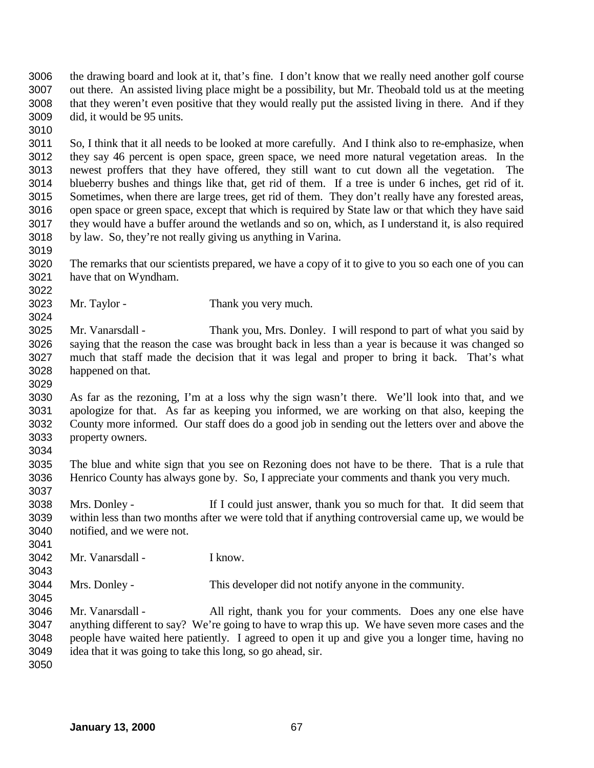the drawing board and look at it, that's fine. I don't know that we really need another golf course out there. An assisted living place might be a possibility, but Mr. Theobald told us at the meeting that they weren't even positive that they would really put the assisted living in there. And if they did, it would be 95 units. 

 So, I think that it all needs to be looked at more carefully. And I think also to re-emphasize, when they say 46 percent is open space, green space, we need more natural vegetation areas. In the newest proffers that they have offered, they still want to cut down all the vegetation. The blueberry bushes and things like that, get rid of them. If a tree is under 6 inches, get rid of it. Sometimes, when there are large trees, get rid of them. They don't really have any forested areas, open space or green space, except that which is required by State law or that which they have said they would have a buffer around the wetlands and so on, which, as I understand it, is also required by law. So, they're not really giving us anything in Varina.

- The remarks that our scientists prepared, we have a copy of it to give to you so each one of you can have that on Wyndham.
- Mr. Taylor Thank you very much.

 Mr. Vanarsdall - Thank you, Mrs. Donley. I will respond to part of what you said by saying that the reason the case was brought back in less than a year is because it was changed so much that staff made the decision that it was legal and proper to bring it back. That's what happened on that.

 As far as the rezoning, I'm at a loss why the sign wasn't there. We'll look into that, and we apologize for that. As far as keeping you informed, we are working on that also, keeping the County more informed. Our staff does do a good job in sending out the letters over and above the property owners. 

 The blue and white sign that you see on Rezoning does not have to be there. That is a rule that Henrico County has always gone by. So, I appreciate your comments and thank you very much. 

 Mrs. Donley - If I could just answer, thank you so much for that. It did seem that within less than two months after we were told that if anything controversial came up, we would be notified, and we were not.

Mr. Vanarsdall - I know.

Mrs. Donley - This developer did not notify anyone in the community.

 Mr. Vanarsdall - All right, thank you for your comments. Does any one else have anything different to say? We're going to have to wrap this up. We have seven more cases and the people have waited here patiently. I agreed to open it up and give you a longer time, having no idea that it was going to take this long, so go ahead, sir.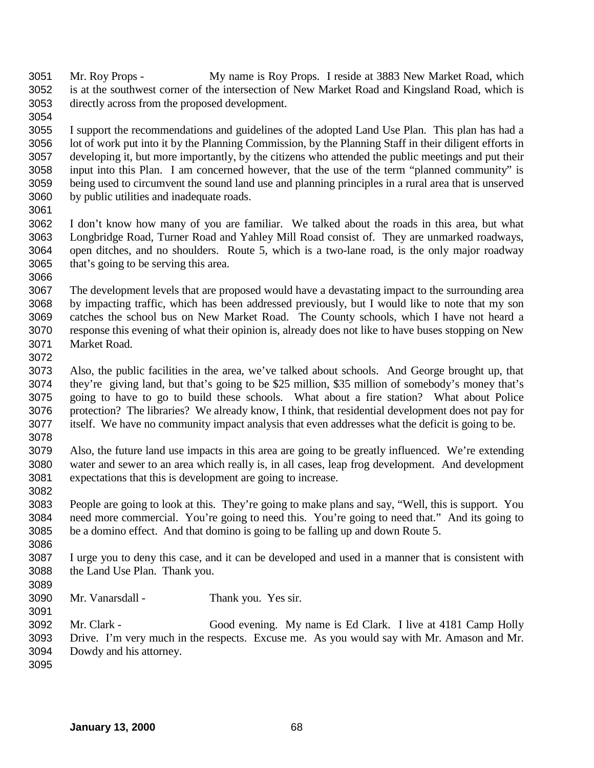- Mr. Roy Props My name is Roy Props. I reside at 3883 New Market Road, which is at the southwest corner of the intersection of New Market Road and Kingsland Road, which is directly across from the proposed development.
- I support the recommendations and guidelines of the adopted Land Use Plan. This plan has had a lot of work put into it by the Planning Commission, by the Planning Staff in their diligent efforts in developing it, but more importantly, by the citizens who attended the public meetings and put their input into this Plan. I am concerned however, that the use of the term "planned community" is being used to circumvent the sound land use and planning principles in a rural area that is unserved by public utilities and inadequate roads.
- I don't know how many of you are familiar. We talked about the roads in this area, but what Longbridge Road, Turner Road and Yahley Mill Road consist of. They are unmarked roadways, open ditches, and no shoulders. Route 5, which is a two-lane road, is the only major roadway that's going to be serving this area.
- The development levels that are proposed would have a devastating impact to the surrounding area by impacting traffic, which has been addressed previously, but I would like to note that my son catches the school bus on New Market Road. The County schools, which I have not heard a response this evening of what their opinion is, already does not like to have buses stopping on New Market Road.
- Also, the public facilities in the area, we've talked about schools. And George brought up, that they're giving land, but that's going to be \$25 million, \$35 million of somebody's money that's going to have to go to build these schools. What about a fire station? What about Police protection? The libraries? We already know, I think, that residential development does not pay for itself. We have no community impact analysis that even addresses what the deficit is going to be.
- Also, the future land use impacts in this area are going to be greatly influenced. We're extending water and sewer to an area which really is, in all cases, leap frog development. And development expectations that this is development are going to increase.
- People are going to look at this. They're going to make plans and say, "Well, this is support. You need more commercial. You're going to need this. You're going to need that." And its going to be a domino effect. And that domino is going to be falling up and down Route 5.
- I urge you to deny this case, and it can be developed and used in a manner that is consistent with the Land Use Plan. Thank you.
- 

- Mr. Vanarsdall Thank you. Yes sir.
- Mr. Clark Good evening. My name is Ed Clark. I live at 4181 Camp Holly Drive. I'm very much in the respects. Excuse me. As you would say with Mr. Amason and Mr. Dowdy and his attorney.
-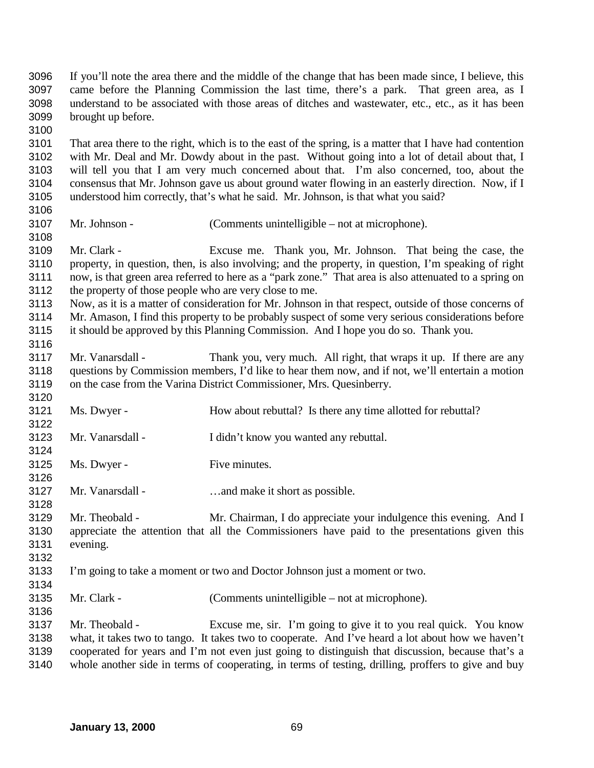If you'll note the area there and the middle of the change that has been made since, I believe, this came before the Planning Commission the last time, there's a park. That green area, as I understand to be associated with those areas of ditches and wastewater, etc., etc., as it has been brought up before. 

 That area there to the right, which is to the east of the spring, is a matter that I have had contention with Mr. Deal and Mr. Dowdy about in the past. Without going into a lot of detail about that, I will tell you that I am very much concerned about that. I'm also concerned, too, about the consensus that Mr. Johnson gave us about ground water flowing in an easterly direction. Now, if I understood him correctly, that's what he said. Mr. Johnson, is that what you said?

Mr. Johnson - (Comments unintelligible – not at microphone).

 Mr. Clark - Excuse me. Thank you, Mr. Johnson. That being the case, the property, in question, then, is also involving; and the property, in question, I'm speaking of right now, is that green area referred to here as a "park zone." That area is also attenuated to a spring on the property of those people who are very close to me.

 Now, as it is a matter of consideration for Mr. Johnson in that respect, outside of those concerns of Mr. Amason, I find this property to be probably suspect of some very serious considerations before it should be approved by this Planning Commission. And I hope you do so. Thank you.

- Mr. Vanarsdall Thank you, very much. All right, that wraps it up. If there are any questions by Commission members, I'd like to hear them now, and if not, we'll entertain a motion on the case from the Varina District Commissioner, Mrs. Quesinberry.
- 3121 Ms. Dwyer - How about rebuttal? Is there any time allotted for rebuttal? Mr. Vanarsdall - I didn't know you wanted any rebuttal.
- 
- 3125 Ms. Dwyer Five minutes.

Mr. Vanarsdall - …and make it short as possible.

- Mr. Theobald Mr. Chairman, I do appreciate your indulgence this evening. And I appreciate the attention that all the Commissioners have paid to the presentations given this evening.
- I'm going to take a moment or two and Doctor Johnson just a moment or two.
- Mr. Clark (Comments unintelligible not at microphone).
- Mr. Theobald Excuse me, sir. I'm going to give it to you real quick. You know what, it takes two to tango. It takes two to cooperate. And I've heard a lot about how we haven't cooperated for years and I'm not even just going to distinguish that discussion, because that's a whole another side in terms of cooperating, in terms of testing, drilling, proffers to give and buy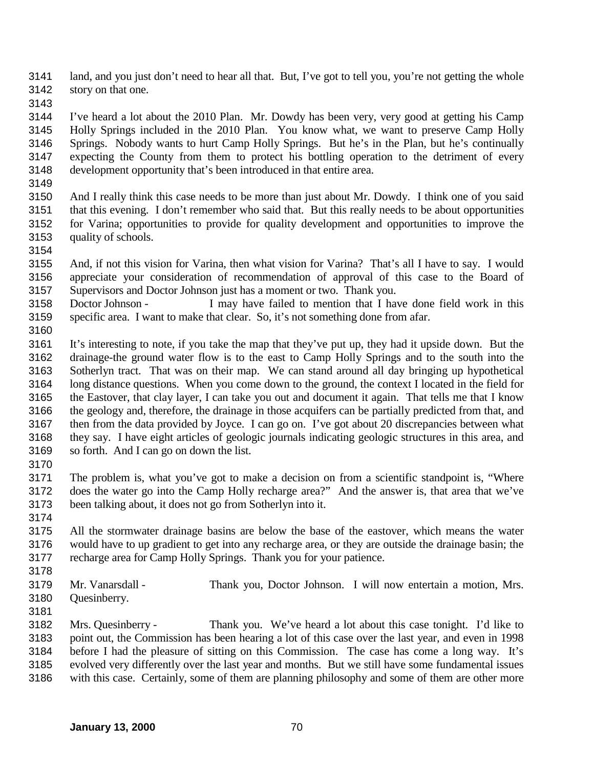land, and you just don't need to hear all that. But, I've got to tell you, you're not getting the whole story on that one.

 I've heard a lot about the 2010 Plan. Mr. Dowdy has been very, very good at getting his Camp Holly Springs included in the 2010 Plan. You know what, we want to preserve Camp Holly Springs. Nobody wants to hurt Camp Holly Springs. But he's in the Plan, but he's continually expecting the County from them to protect his bottling operation to the detriment of every development opportunity that's been introduced in that entire area.

 And I really think this case needs to be more than just about Mr. Dowdy. I think one of you said that this evening. I don't remember who said that. But this really needs to be about opportunities for Varina; opportunities to provide for quality development and opportunities to improve the quality of schools.

 And, if not this vision for Varina, then what vision for Varina? That's all I have to say. I would appreciate your consideration of recommendation of approval of this case to the Board of Supervisors and Doctor Johnson just has a moment or two. Thank you.

 Doctor Johnson - I may have failed to mention that I have done field work in this specific area. I want to make that clear. So, it's not something done from afar.

 It's interesting to note, if you take the map that they've put up, they had it upside down. But the drainage-the ground water flow is to the east to Camp Holly Springs and to the south into the Sotherlyn tract. That was on their map. We can stand around all day bringing up hypothetical long distance questions. When you come down to the ground, the context I located in the field for the Eastover, that clay layer, I can take you out and document it again. That tells me that I know the geology and, therefore, the drainage in those acquifers can be partially predicted from that, and then from the data provided by Joyce. I can go on. I've got about 20 discrepancies between what they say. I have eight articles of geologic journals indicating geologic structures in this area, and so forth. And I can go on down the list.

 The problem is, what you've got to make a decision on from a scientific standpoint is, "Where does the water go into the Camp Holly recharge area?" And the answer is, that area that we've been talking about, it does not go from Sotherlyn into it. 

 All the stormwater drainage basins are below the base of the eastover, which means the water would have to up gradient to get into any recharge area, or they are outside the drainage basin; the recharge area for Camp Holly Springs. Thank you for your patience.

Mr. Vanarsdall - Thank you, Doctor Johnson. I will now entertain a motion, Mrs.

- Quesinberry.
- 

 Mrs. Quesinberry - Thank you. We've heard a lot about this case tonight. I'd like to point out, the Commission has been hearing a lot of this case over the last year, and even in 1998 before I had the pleasure of sitting on this Commission. The case has come a long way. It's evolved very differently over the last year and months. But we still have some fundamental issues with this case. Certainly, some of them are planning philosophy and some of them are other more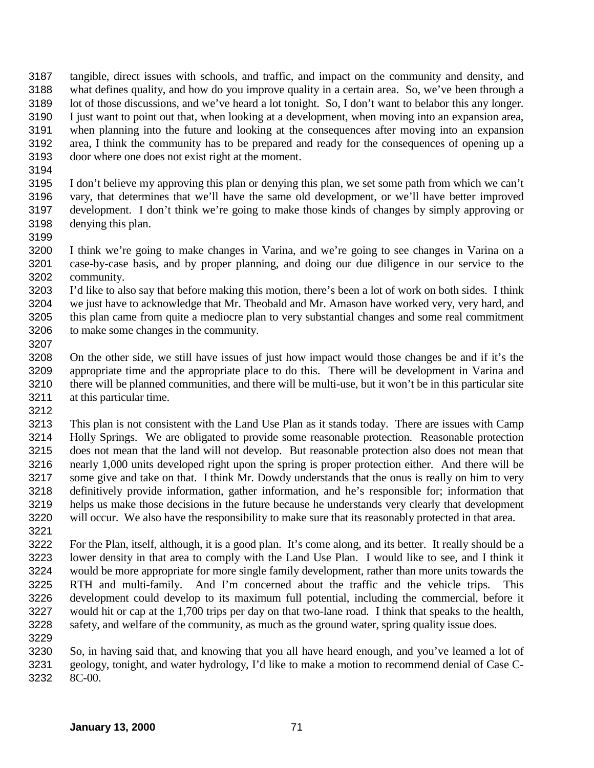tangible, direct issues with schools, and traffic, and impact on the community and density, and what defines quality, and how do you improve quality in a certain area. So, we've been through a lot of those discussions, and we've heard a lot tonight. So, I don't want to belabor this any longer. I just want to point out that, when looking at a development, when moving into an expansion area, when planning into the future and looking at the consequences after moving into an expansion area, I think the community has to be prepared and ready for the consequences of opening up a door where one does not exist right at the moment.

 I don't believe my approving this plan or denying this plan, we set some path from which we can't vary, that determines that we'll have the same old development, or we'll have better improved development. I don't think we're going to make those kinds of changes by simply approving or denying this plan.

 I think we're going to make changes in Varina, and we're going to see changes in Varina on a case-by-case basis, and by proper planning, and doing our due diligence in our service to the community.

 I'd like to also say that before making this motion, there's been a lot of work on both sides. I think we just have to acknowledge that Mr. Theobald and Mr. Amason have worked very, very hard, and this plan came from quite a mediocre plan to very substantial changes and some real commitment to make some changes in the community.

 On the other side, we still have issues of just how impact would those changes be and if it's the appropriate time and the appropriate place to do this. There will be development in Varina and there will be planned communities, and there will be multi-use, but it won't be in this particular site at this particular time.

 This plan is not consistent with the Land Use Plan as it stands today. There are issues with Camp Holly Springs. We are obligated to provide some reasonable protection. Reasonable protection does not mean that the land will not develop. But reasonable protection also does not mean that nearly 1,000 units developed right upon the spring is proper protection either. And there will be some give and take on that. I think Mr. Dowdy understands that the onus is really on him to very definitively provide information, gather information, and he's responsible for; information that helps us make those decisions in the future because he understands very clearly that development will occur. We also have the responsibility to make sure that its reasonably protected in that area. 

 For the Plan, itself, although, it is a good plan. It's come along, and its better. It really should be a lower density in that area to comply with the Land Use Plan. I would like to see, and I think it would be more appropriate for more single family development, rather than more units towards the RTH and multi-family. And I'm concerned about the traffic and the vehicle trips. This development could develop to its maximum full potential, including the commercial, before it would hit or cap at the 1,700 trips per day on that two-lane road. I think that speaks to the health, safety, and welfare of the community, as much as the ground water, spring quality issue does.

 So, in having said that, and knowing that you all have heard enough, and you've learned a lot of geology, tonight, and water hydrology, I'd like to make a motion to recommend denial of Case C-8C-00.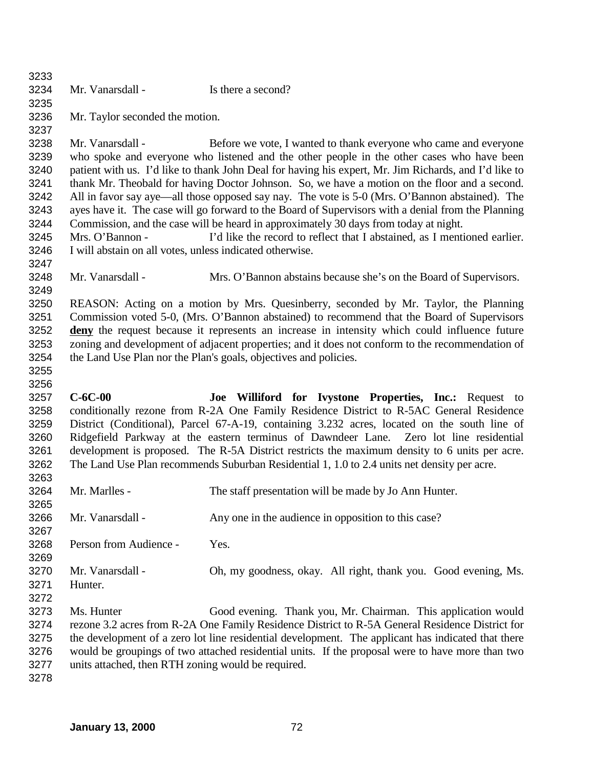| 3233         |                                                          |                                                                                                       |
|--------------|----------------------------------------------------------|-------------------------------------------------------------------------------------------------------|
| 3234         | Mr. Vanarsdall -                                         | Is there a second?                                                                                    |
| 3235         |                                                          |                                                                                                       |
| 3236         | Mr. Taylor seconded the motion.                          |                                                                                                       |
| 3237         |                                                          |                                                                                                       |
| 3238         | Mr. Vanarsdall -                                         | Before we vote, I wanted to thank everyone who came and everyone                                      |
| 3239         |                                                          | who spoke and everyone who listened and the other people in the other cases who have been             |
| 3240         |                                                          | patient with us. I'd like to thank John Deal for having his expert, Mr. Jim Richards, and I'd like to |
| 3241         |                                                          | thank Mr. Theobald for having Doctor Johnson. So, we have a motion on the floor and a second.         |
| 3242         |                                                          | All in favor say aye—all those opposed say nay. The vote is 5-0 (Mrs. O'Bannon abstained). The        |
| 3243         |                                                          | ayes have it. The case will go forward to the Board of Supervisors with a denial from the Planning    |
| 3244         |                                                          | Commission, and the case will be heard in approximately 30 days from today at night.                  |
| 3245         | Mrs. O'Bannon -                                          | I'd like the record to reflect that I abstained, as I mentioned earlier.                              |
| 3246         | I will abstain on all votes, unless indicated otherwise. |                                                                                                       |
| 3247         |                                                          |                                                                                                       |
| 3248         | Mr. Vanarsdall -                                         | Mrs. O'Bannon abstains because she's on the Board of Supervisors.                                     |
| 3249         |                                                          |                                                                                                       |
| 3250         |                                                          | REASON: Acting on a motion by Mrs. Quesinberry, seconded by Mr. Taylor, the Planning                  |
| 3251         |                                                          | Commission voted 5-0, (Mrs. O'Bannon abstained) to recommend that the Board of Supervisors            |
| 3252         |                                                          | deny the request because it represents an increase in intensity which could influence future          |
| 3253         |                                                          |                                                                                                       |
|              |                                                          | zoning and development of adjacent properties; and it does not conform to the recommendation of       |
| 3254         |                                                          | the Land Use Plan nor the Plan's goals, objectives and policies.                                      |
| 3255         |                                                          |                                                                                                       |
| 3256<br>3257 | $C-6C-00$                                                |                                                                                                       |
|              |                                                          | Joe Williford for Ivystone Properties, Inc.: Request to                                               |
| 3258         |                                                          | conditionally rezone from R-2A One Family Residence District to R-5AC General Residence               |
| 3259         |                                                          | District (Conditional), Parcel 67-A-19, containing 3.232 acres, located on the south line of          |
| 3260         |                                                          | Ridgefield Parkway at the eastern terminus of Dawndeer Lane. Zero lot line residential                |
| 3261         |                                                          | development is proposed. The R-5A District restricts the maximum density to 6 units per acre.         |
| 3262         |                                                          |                                                                                                       |
| 3263<br>3264 |                                                          | The Land Use Plan recommends Suburban Residential 1, 1.0 to 2.4 units net density per acre.           |
|              |                                                          |                                                                                                       |
|              | Mr. Marlles -                                            | The staff presentation will be made by Jo Ann Hunter.                                                 |
| 3265         |                                                          |                                                                                                       |
| 3266         | Mr. Vanarsdall -                                         | Any one in the audience in opposition to this case?                                                   |
| 3267         |                                                          |                                                                                                       |
| 3268         | Person from Audience -                                   | Yes.                                                                                                  |
| 3269         |                                                          |                                                                                                       |
| 3270         | Mr. Vanarsdall -                                         | Oh, my goodness, okay. All right, thank you. Good evening, Ms.                                        |
| 3271         | Hunter.                                                  |                                                                                                       |
| 3272         |                                                          |                                                                                                       |
| 3273         | Ms. Hunter                                               | Good evening. Thank you, Mr. Chairman. This application would                                         |
| 3274         |                                                          | rezone 3.2 acres from R-2A One Family Residence District to R-5A General Residence District for       |
| 3275         |                                                          | the development of a zero lot line residential development. The applicant has indicated that there    |
| 3276         |                                                          | would be groupings of two attached residential units. If the proposal were to have more than two      |
| 3277<br>3278 | units attached, then RTH zoning would be required.       |                                                                                                       |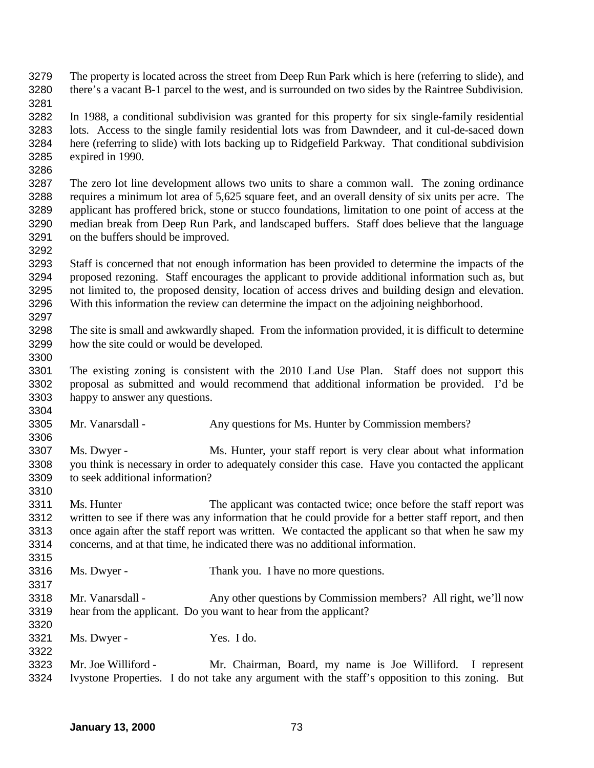The property is located across the street from Deep Run Park which is here (referring to slide), and there's a vacant B-1 parcel to the west, and is surrounded on two sides by the Raintree Subdivision. 

 In 1988, a conditional subdivision was granted for this property for six single-family residential lots. Access to the single family residential lots was from Dawndeer, and it cul-de-saced down here (referring to slide) with lots backing up to Ridgefield Parkway. That conditional subdivision expired in 1990.

 The zero lot line development allows two units to share a common wall. The zoning ordinance requires a minimum lot area of 5,625 square feet, and an overall density of six units per acre. The applicant has proffered brick, stone or stucco foundations, limitation to one point of access at the median break from Deep Run Park, and landscaped buffers. Staff does believe that the language on the buffers should be improved.

 Staff is concerned that not enough information has been provided to determine the impacts of the proposed rezoning. Staff encourages the applicant to provide additional information such as, but not limited to, the proposed density, location of access drives and building design and elevation. With this information the review can determine the impact on the adjoining neighborhood. 

 The site is small and awkwardly shaped. From the information provided, it is difficult to determine how the site could or would be developed.

 The existing zoning is consistent with the 2010 Land Use Plan. Staff does not support this proposal as submitted and would recommend that additional information be provided. I'd be happy to answer any questions. 

Mr. Vanarsdall - Any questions for Ms. Hunter by Commission members?

 Ms. Dwyer - Ms. Hunter, your staff report is very clear about what information you think is necessary in order to adequately consider this case. Have you contacted the applicant to seek additional information? 

 Ms. Hunter The applicant was contacted twice; once before the staff report was written to see if there was any information that he could provide for a better staff report, and then once again after the staff report was written. We contacted the applicant so that when he saw my concerns, and at that time, he indicated there was no additional information.

- Ms. Dwyer Thank you. I have no more questions.
- Mr. Vanarsdall Any other questions by Commission members? All right, we'll now hear from the applicant. Do you want to hear from the applicant?

Ms. Dwyer - Yes. I do.

 Mr. Joe Williford - Mr. Chairman, Board, my name is Joe Williford. I represent Ivystone Properties. I do not take any argument with the staff's opposition to this zoning. But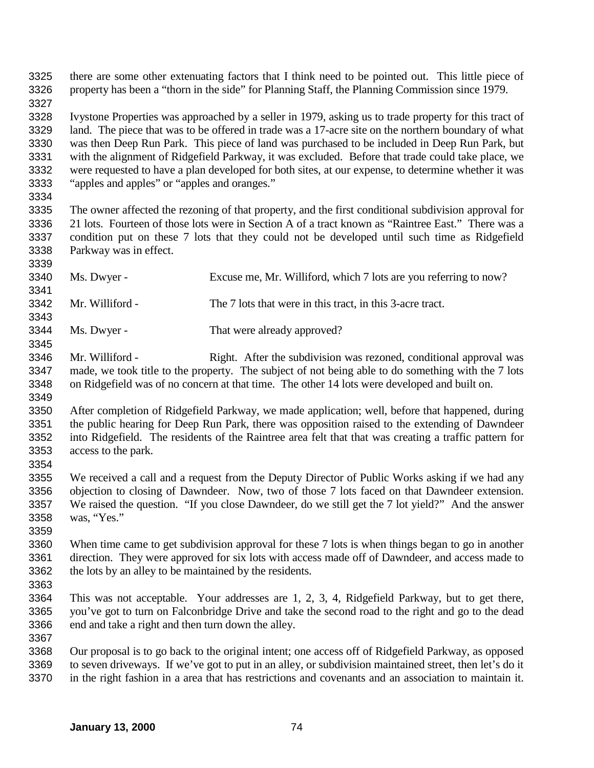there are some other extenuating factors that I think need to be pointed out. This little piece of property has been a "thorn in the side" for Planning Staff, the Planning Commission since 1979. 

 Ivystone Properties was approached by a seller in 1979, asking us to trade property for this tract of land. The piece that was to be offered in trade was a 17-acre site on the northern boundary of what was then Deep Run Park. This piece of land was purchased to be included in Deep Run Park, but with the alignment of Ridgefield Parkway, it was excluded. Before that trade could take place, we were requested to have a plan developed for both sites, at our expense, to determine whether it was "apples and apples" or "apples and oranges."

 The owner affected the rezoning of that property, and the first conditional subdivision approval for 21 lots. Fourteen of those lots were in Section A of a tract known as "Raintree East." There was a condition put on these 7 lots that they could not be developed until such time as Ridgefield Parkway was in effect.

 Ms. Dwyer - Excuse me, Mr. Williford, which 7 lots are you referring to now? Mr. Williford - The 7 lots that were in this tract, in this 3-acre tract.

Ms. Dwyer - That were already approved?

 Mr. Williford - Right. After the subdivision was rezoned, conditional approval was made, we took title to the property. The subject of not being able to do something with the 7 lots on Ridgefield was of no concern at that time. The other 14 lots were developed and built on.

- After completion of Ridgefield Parkway, we made application; well, before that happened, during the public hearing for Deep Run Park, there was opposition raised to the extending of Dawndeer into Ridgefield. The residents of the Raintree area felt that that was creating a traffic pattern for access to the park.
- 

 We received a call and a request from the Deputy Director of Public Works asking if we had any objection to closing of Dawndeer. Now, two of those 7 lots faced on that Dawndeer extension. We raised the question. "If you close Dawndeer, do we still get the 7 lot yield?" And the answer was, "Yes."

 When time came to get subdivision approval for these 7 lots is when things began to go in another direction. They were approved for six lots with access made off of Dawndeer, and access made to the lots by an alley to be maintained by the residents.

 This was not acceptable. Your addresses are 1, 2, 3, 4, Ridgefield Parkway, but to get there, you've got to turn on Falconbridge Drive and take the second road to the right and go to the dead end and take a right and then turn down the alley.

 Our proposal is to go back to the original intent; one access off of Ridgefield Parkway, as opposed to seven driveways. If we've got to put in an alley, or subdivision maintained street, then let's do it in the right fashion in a area that has restrictions and covenants and an association to maintain it.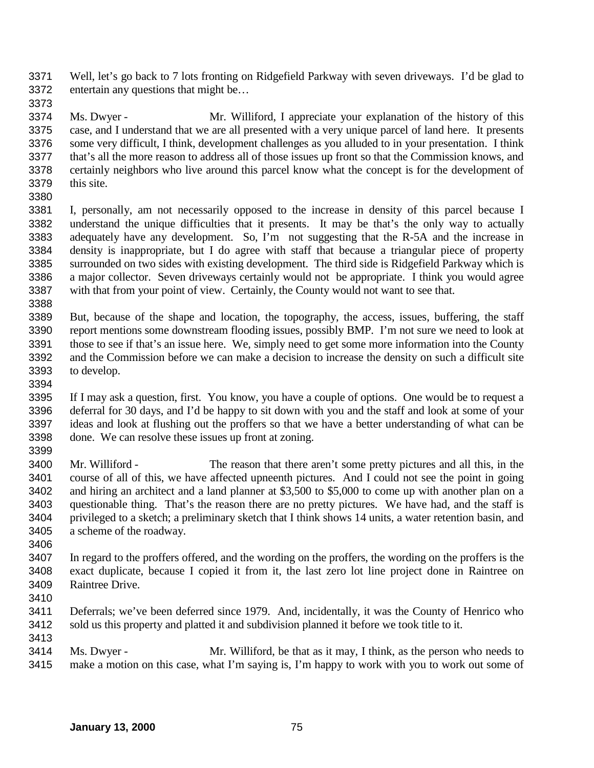Well, let's go back to 7 lots fronting on Ridgefield Parkway with seven driveways. I'd be glad to entertain any questions that might be…

 Ms. Dwyer - Mr. Williford, I appreciate your explanation of the history of this case, and I understand that we are all presented with a very unique parcel of land here. It presents some very difficult, I think, development challenges as you alluded to in your presentation. I think that's all the more reason to address all of those issues up front so that the Commission knows, and certainly neighbors who live around this parcel know what the concept is for the development of this site.

 I, personally, am not necessarily opposed to the increase in density of this parcel because I understand the unique difficulties that it presents. It may be that's the only way to actually adequately have any development. So, I'm not suggesting that the R-5A and the increase in density is inappropriate, but I do agree with staff that because a triangular piece of property surrounded on two sides with existing development. The third side is Ridgefield Parkway which is a major collector. Seven driveways certainly would not be appropriate. I think you would agree with that from your point of view. Certainly, the County would not want to see that.

 But, because of the shape and location, the topography, the access, issues, buffering, the staff report mentions some downstream flooding issues, possibly BMP. I'm not sure we need to look at those to see if that's an issue here. We, simply need to get some more information into the County and the Commission before we can make a decision to increase the density on such a difficult site to develop.

 If I may ask a question, first. You know, you have a couple of options. One would be to request a deferral for 30 days, and I'd be happy to sit down with you and the staff and look at some of your ideas and look at flushing out the proffers so that we have a better understanding of what can be done. We can resolve these issues up front at zoning. 

 Mr. Williford - The reason that there aren't some pretty pictures and all this, in the course of all of this, we have affected upneenth pictures. And I could not see the point in going 3402 and hiring an architect and a land planner at \$3,500 to \$5,000 to come up with another plan on a questionable thing. That's the reason there are no pretty pictures. We have had, and the staff is privileged to a sketch; a preliminary sketch that I think shows 14 units, a water retention basin, and a scheme of the roadway.

 In regard to the proffers offered, and the wording on the proffers, the wording on the proffers is the exact duplicate, because I copied it from it, the last zero lot line project done in Raintree on Raintree Drive.

 Deferrals; we've been deferred since 1979. And, incidentally, it was the County of Henrico who sold us this property and platted it and subdivision planned it before we took title to it. 

 Ms. Dwyer - Mr. Williford, be that as it may, I think, as the person who needs to make a motion on this case, what I'm saying is, I'm happy to work with you to work out some of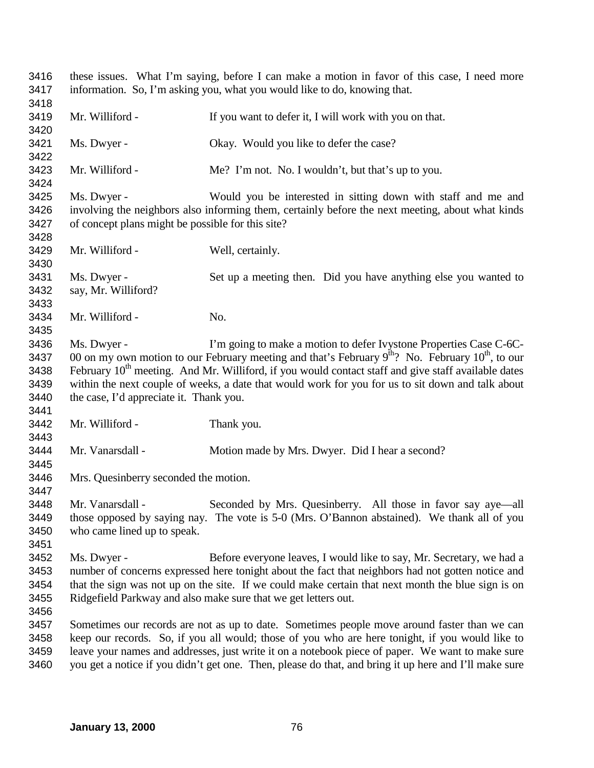these issues. What I'm saying, before I can make a motion in favor of this case, I need more information. So, I'm asking you, what you would like to do, knowing that. 3419 Mr. Williford - If you want to defer it, I will work with you on that. Ms. Dwyer - Okay. Would you like to defer the case? Mr. Williford - Me? I'm not. No. I wouldn't, but that's up to you. Ms. Dwyer - Would you be interested in sitting down with staff and me and involving the neighbors also informing them, certainly before the next meeting, about what kinds of concept plans might be possible for this site? Mr. Williford - Well, certainly. Ms. Dwyer - Set up a meeting then. Did you have anything else you wanted to say, Mr. Williford? Mr. Williford - No. Ms. Dwyer - I'm going to make a motion to defer Ivystone Properties Case C-6C-3437 00 on my own motion to our February meeting and that's February  $9^{th}$ ? No. February  $10^{th}$ , to our 3438 February  $10^{th}$  meeting. And Mr. Williford, if you would contact staff and give staff available dates February  $10<sup>th</sup>$  meeting. And Mr. Williford, if you would contact staff and give staff available dates within the next couple of weeks, a date that would work for you for us to sit down and talk about the case, I'd appreciate it. Thank you. Mr. Williford - Thank you. Mr. Vanarsdall - Motion made by Mrs. Dwyer. Did I hear a second? Mrs. Quesinberry seconded the motion. Mr. Vanarsdall - Seconded by Mrs. Quesinberry. All those in favor say aye—all those opposed by saying nay. The vote is 5-0 (Mrs. O'Bannon abstained). We thank all of you who came lined up to speak. Ms. Dwyer - Before everyone leaves, I would like to say, Mr. Secretary, we had a number of concerns expressed here tonight about the fact that neighbors had not gotten notice and that the sign was not up on the site. If we could make certain that next month the blue sign is on Ridgefield Parkway and also make sure that we get letters out. Sometimes our records are not as up to date. Sometimes people move around faster than we can keep our records. So, if you all would; those of you who are here tonight, if you would like to leave your names and addresses, just write it on a notebook piece of paper. We want to make sure you get a notice if you didn't get one. Then, please do that, and bring it up here and I'll make sure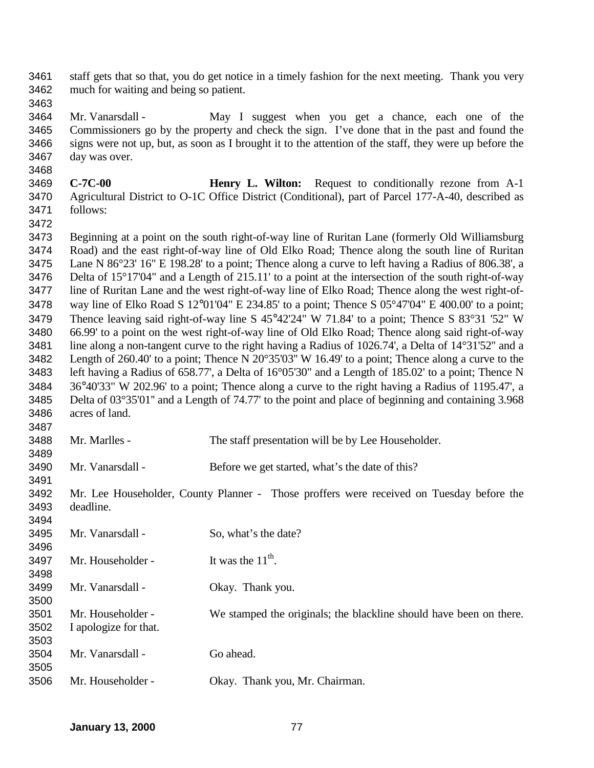staff gets that so that, you do get notice in a timely fashion for the next meeting. Thank you very much for waiting and being so patient.

3464 Mr. Vanarsdall - May I suggest when you get a chance, each one of the Commissioners go by the property and check the sign. I've done that in the past and found the signs were not up, but, as soon as I brought it to the attention of the staff, they were up before the day was over.

- **C-7C-00 Henry L. Wilton:** Request to conditionally rezone from A-1 Agricultural District to O-1C Office District (Conditional), part of Parcel 177-A-40, described as follows:
- 

 Beginning at a point on the south right-of-way line of Ruritan Lane (formerly Old Williamsburg Road) and the east right-of-way line of Old Elko Road; Thence along the south line of Ruritan Lane N 86°23' 16" E 198.28' to a point; Thence along a curve to left having a Radius of 806.38', a Delta of 15°17'04" and a Length of 215.11' to a point at the intersection of the south right-of-way line of Ruritan Lane and the west right-of-way line of Elko Road; Thence along the west right-of- way line of Elko Road S 12°01'04" E 234.85' to a point; Thence S 05°47'04" E 400.00' to a point; Thence leaving said right-of-way line S 45°42'24" W 71.84' to a point; Thence S 83°31 '52" W 66.99' to a point on the west right-of-way line of Old Elko Road; Thence along said right-of-way line along a non-tangent curve to the right having a Radius of 1026.74', a Delta of 14°31'52'' and a Length of 260.40' to a point; Thence N 20°35'03'' W 16.49' to a point; Thence along a curve to the left having a Radius of 658.77', a Delta of 16°05'30" and a Length of 185.02' to a point; Thence N 36°40'33" W 202.96' to a point; Thence along a curve to the right having a Radius of 1195.47', a Delta of 03°35'01'' and a Length of 74.77' to the point and place of beginning and containing 3.968 acres of land. 

- Mr. Marlles The staff presentation will be by Lee Householder.
- Mr. Vanarsdall Before we get started, what's the date of this?

 Mr. Lee Householder, County Planner - Those proffers were received on Tuesday before the deadline. 

| 3495 | Mr. Vanarsdall -      | So, what's the date?                                               |
|------|-----------------------|--------------------------------------------------------------------|
| 3496 |                       |                                                                    |
| 3497 | Mr. Householder -     | It was the $11^{th}$ .                                             |
| 3498 |                       |                                                                    |
| 3499 | Mr. Vanarsdall -      | Okay. Thank you.                                                   |
| 3500 |                       |                                                                    |
| 3501 | Mr. Householder -     | We stamped the originals; the blackline should have been on there. |
| 3502 | I apologize for that. |                                                                    |
| 3503 |                       |                                                                    |
| 3504 | Mr. Vanarsdall -      | Go ahead.                                                          |
| 3505 |                       |                                                                    |
| 3506 | Mr. Householder -     | Okay. Thank you, Mr. Chairman.                                     |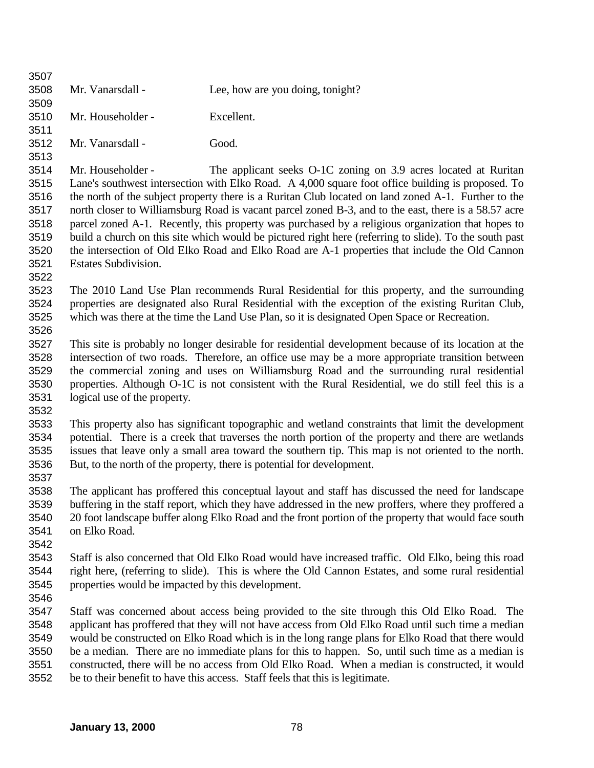| 3509 |                                                                                                    |                                                                                                        |  |
|------|----------------------------------------------------------------------------------------------------|--------------------------------------------------------------------------------------------------------|--|
| 3510 | Mr. Householder -                                                                                  | Excellent.                                                                                             |  |
| 3511 |                                                                                                    |                                                                                                        |  |
| 3512 | Mr. Vanarsdall -                                                                                   | Good.                                                                                                  |  |
| 3513 |                                                                                                    |                                                                                                        |  |
| 3514 | Mr. Householder -                                                                                  | The applicant seeks O-1C zoning on 3.9 acres located at Ruritan                                        |  |
| 3515 |                                                                                                    | Lane's southwest intersection with Elko Road. A 4,000 square foot office building is proposed. To      |  |
| 3516 |                                                                                                    | the north of the subject property there is a Ruritan Club located on land zoned A-1. Further to the    |  |
| 3517 |                                                                                                    | north closer to Williamsburg Road is vacant parcel zoned B-3, and to the east, there is a 58.57 acre   |  |
| 3518 |                                                                                                    | parcel zoned A-1. Recently, this property was purchased by a religious organization that hopes to      |  |
| 3519 |                                                                                                    | build a church on this site which would be pictured right here (referring to slide). To the south past |  |
| 3520 |                                                                                                    | the intersection of Old Elko Road and Elko Road are A-1 properties that include the Old Cannon         |  |
| 3521 | <b>Estates Subdivision.</b>                                                                        |                                                                                                        |  |
| 3522 |                                                                                                    |                                                                                                        |  |
| 3523 |                                                                                                    | The 2010 Land Use Plan recommends Rural Residential for this property, and the surrounding             |  |
| 3524 |                                                                                                    | properties are designated also Rural Residential with the exception of the existing Ruritan Club,      |  |
| 3525 |                                                                                                    | which was there at the time the Land Use Plan, so it is designated Open Space or Recreation.           |  |
| 3526 |                                                                                                    |                                                                                                        |  |
| 3527 |                                                                                                    | This site is probably no longer desirable for residential development because of its location at the   |  |
| 3528 |                                                                                                    | intersection of two roads. Therefore, an office use may be a more appropriate transition between       |  |
| 3529 | the commercial zoning and uses on Williamsburg Road and the surrounding rural residential          |                                                                                                        |  |
| 3530 | properties. Although O-1C is not consistent with the Rural Residential, we do still feel this is a |                                                                                                        |  |
| 3531 | logical use of the property.                                                                       |                                                                                                        |  |
| 3532 |                                                                                                    |                                                                                                        |  |
| 3533 |                                                                                                    | This property also has significant topographic and wetland constraints that limit the development      |  |
| 3534 |                                                                                                    | potential. There is a creek that traverses the north portion of the property and there are wetlands    |  |
| 3535 |                                                                                                    | issues that leave only a small area toward the southern tip. This map is not oriented to the north.    |  |
| 3536 |                                                                                                    | But, to the north of the property, there is potential for development.                                 |  |
| 3537 |                                                                                                    |                                                                                                        |  |
| 3538 |                                                                                                    | The applicant has proffered this conceptual layout and staff has discussed the need for landscape      |  |
| 3539 |                                                                                                    | buffering in the staff report, which they have addressed in the new proffers, where they proffered a   |  |
| 3540 |                                                                                                    | 20 foot landscape buffer along Elko Road and the front portion of the property that would face south   |  |
| 3541 | on Elko Road.                                                                                      |                                                                                                        |  |
| 3542 |                                                                                                    |                                                                                                        |  |
| 3543 |                                                                                                    | Staff is also concerned that Old Elko Road would have increased traffic. Old Elko, being this road     |  |
| 3544 |                                                                                                    | right here, (referring to slide). This is where the Old Cannon Estates, and some rural residential     |  |
| 3545 | properties would be impacted by this development.                                                  |                                                                                                        |  |
| 3546 |                                                                                                    |                                                                                                        |  |
| 3547 |                                                                                                    | Staff was concerned about access being provided to the site through this Old Elko Road. The            |  |
| 3548 |                                                                                                    | applicant has proffered that they will not have access from Old Elko Road until such time a median     |  |
| 3549 |                                                                                                    | would be constructed on Elko Road which is in the long range plans for Elko Road that there would      |  |
| 3550 |                                                                                                    | be a median. There are no immediate plans for this to happen. So, until such time as a median is       |  |
| 3551 |                                                                                                    | constructed, there will be no access from Old Elko Road. When a median is constructed, it would        |  |
| 3552 |                                                                                                    | be to their benefit to have this access. Staff feels that this is legitimate.                          |  |
|      |                                                                                                    |                                                                                                        |  |
|      |                                                                                                    |                                                                                                        |  |

Mr. Vanarsdall - Lee, how are you doing, tonight?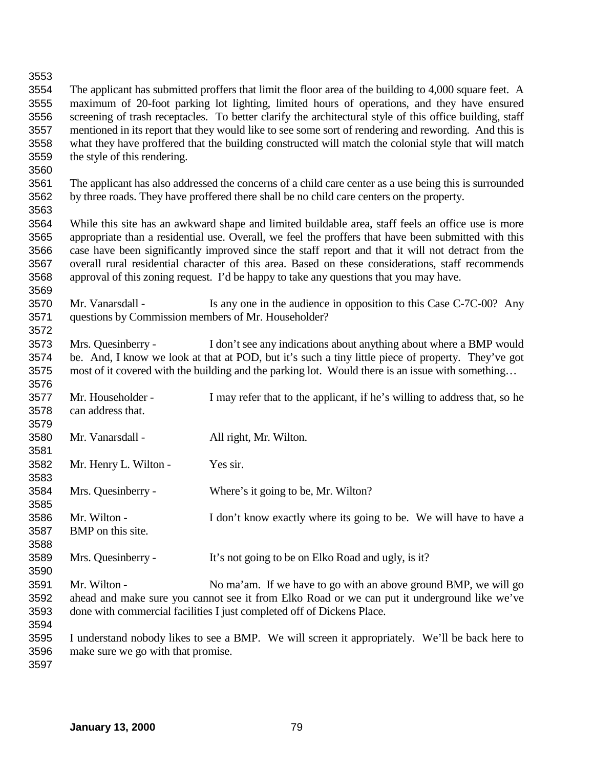## The applicant has submitted proffers that limit the floor area of the building to 4,000 square feet. A maximum of 20-foot parking lot lighting, limited hours of operations, and they have ensured screening of trash receptacles. To better clarify the architectural style of this office building, staff mentioned in its report that they would like to see some sort of rendering and rewording. And this is what they have proffered that the building constructed will match the colonial style that will match the style of this rendering. The applicant has also addressed the concerns of a child care center as a use being this is surrounded by three roads. They have proffered there shall be no child care centers on the property. While this site has an awkward shape and limited buildable area, staff feels an office use is more appropriate than a residential use. Overall, we feel the proffers that have been submitted with this case have been significantly improved since the staff report and that it will not detract from the overall rural residential character of this area. Based on these considerations, staff recommends approval of this zoning request. I'd be happy to take any questions that you may have. 3570 Mr. Vanarsdall - Is any one in the audience in opposition to this Case C-7C-00? Any questions by Commission members of Mr. Householder? Mrs. Quesinberry - I don't see any indications about anything about where a BMP would be. And, I know we look at that at POD, but it's such a tiny little piece of property. They've got most of it covered with the building and the parking lot. Would there is an issue with something… Mr. Householder - I may refer that to the applicant, if he's willing to address that, so he can address that. Mr. Vanarsdall - All right, Mr. Wilton. Mr. Henry L. Wilton - Yes sir. Mrs. Quesinberry - Where's it going to be, Mr. Wilton? Mr. Wilton - I don't know exactly where its going to be. We will have to have a BMP on this site. Mrs. Quesinberry - It's not going to be on Elko Road and ugly, is it? Mr. Wilton - No ma'am. If we have to go with an above ground BMP, we will go ahead and make sure you cannot see it from Elko Road or we can put it underground like we've done with commercial facilities I just completed off of Dickens Place. I understand nobody likes to see a BMP. We will screen it appropriately. We'll be back here to make sure we go with that promise.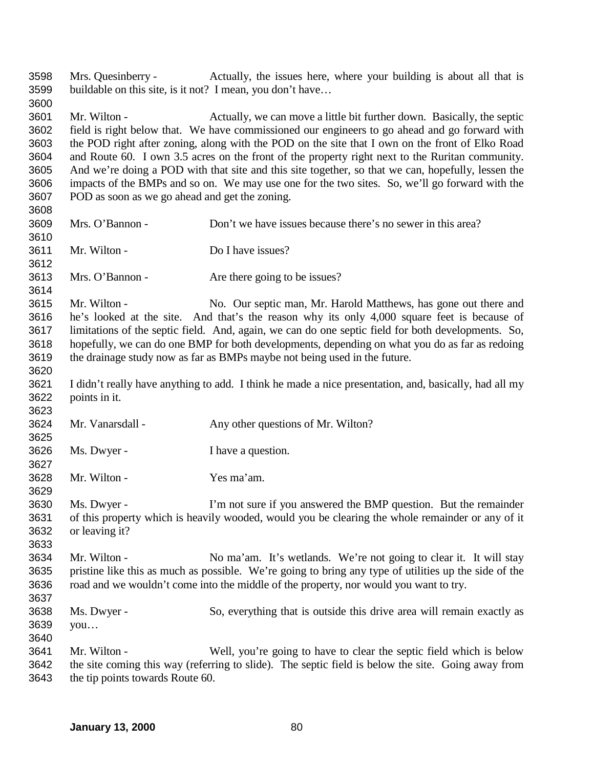Mrs. Quesinberry - Actually, the issues here, where your building is about all that is buildable on this site, is it not? I mean, you don't have… Mr. Wilton - Actually, we can move a little bit further down. Basically, the septic field is right below that. We have commissioned our engineers to go ahead and go forward with the POD right after zoning, along with the POD on the site that I own on the front of Elko Road and Route 60. I own 3.5 acres on the front of the property right next to the Ruritan community. And we're doing a POD with that site and this site together, so that we can, hopefully, lessen the impacts of the BMPs and so on. We may use one for the two sites. So, we'll go forward with the POD as soon as we go ahead and get the zoning. Mrs. O'Bannon - Don't we have issues because there's no sewer in this area? Mr. Wilton - Do I have issues? 3613 Mrs. O'Bannon - Are there going to be issues? Mr. Wilton - No. Our septic man, Mr. Harold Matthews, has gone out there and he's looked at the site. And that's the reason why its only 4,000 square feet is because of limitations of the septic field. And, again, we can do one septic field for both developments. So, hopefully, we can do one BMP for both developments, depending on what you do as far as redoing the drainage study now as far as BMPs maybe not being used in the future. I didn't really have anything to add. I think he made a nice presentation, and, basically, had all my points in it. Mr. Vanarsdall - Any other questions of Mr. Wilton? Ms. Dwyer - I have a question. Mr. Wilton - Yes ma'am. Ms. Dwyer - I'm not sure if you answered the BMP question. But the remainder of this property which is heavily wooded, would you be clearing the whole remainder or any of it or leaving it? Mr. Wilton - No ma'am. It's wetlands. We're not going to clear it. It will stay pristine like this as much as possible. We're going to bring any type of utilities up the side of the road and we wouldn't come into the middle of the property, nor would you want to try. Ms. Dwyer - So, everything that is outside this drive area will remain exactly as you… Mr. Wilton - Well, you're going to have to clear the septic field which is below the site coming this way (referring to slide). The septic field is below the site. Going away from the tip points towards Route 60.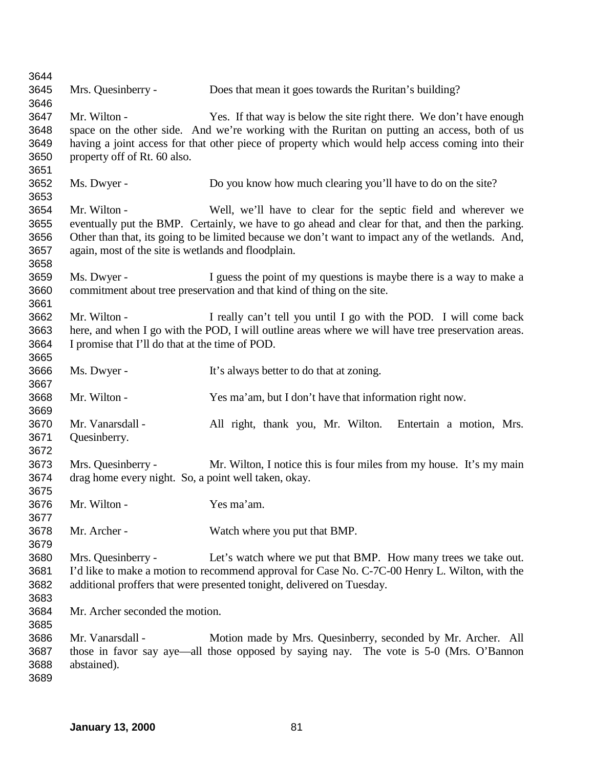| 3644 |                                                      |                                                                                                    |
|------|------------------------------------------------------|----------------------------------------------------------------------------------------------------|
| 3645 | Mrs. Quesinberry -                                   | Does that mean it goes towards the Ruritan's building?                                             |
| 3646 |                                                      |                                                                                                    |
| 3647 | Mr. Wilton -                                         | Yes. If that way is below the site right there. We don't have enough                               |
| 3648 |                                                      | space on the other side. And we're working with the Ruritan on putting an access, both of us       |
| 3649 |                                                      | having a joint access for that other piece of property which would help access coming into their   |
| 3650 | property off of Rt. 60 also.                         |                                                                                                    |
| 3651 |                                                      |                                                                                                    |
| 3652 | Ms. Dwyer -                                          | Do you know how much clearing you'll have to do on the site?                                       |
| 3653 |                                                      |                                                                                                    |
| 3654 | Mr. Wilton -                                         | Well, we'll have to clear for the septic field and wherever we                                     |
| 3655 |                                                      | eventually put the BMP. Certainly, we have to go ahead and clear for that, and then the parking.   |
| 3656 |                                                      | Other than that, its going to be limited because we don't want to impact any of the wetlands. And, |
| 3657 | again, most of the site is wetlands and floodplain.  |                                                                                                    |
| 3658 |                                                      |                                                                                                    |
| 3659 | Ms. Dwyer -                                          | I guess the point of my questions is maybe there is a way to make a                                |
| 3660 |                                                      | commitment about tree preservation and that kind of thing on the site.                             |
| 3661 |                                                      |                                                                                                    |
| 3662 | Mr. Wilton -                                         | I really can't tell you until I go with the POD. I will come back                                  |
| 3663 |                                                      | here, and when I go with the POD, I will outline areas where we will have tree preservation areas. |
| 3664 | I promise that I'll do that at the time of POD.      |                                                                                                    |
| 3665 |                                                      |                                                                                                    |
| 3666 | Ms. Dwyer -                                          | It's always better to do that at zoning.                                                           |
| 3667 |                                                      |                                                                                                    |
| 3668 | Mr. Wilton -                                         | Yes ma'am, but I don't have that information right now.                                            |
| 3669 |                                                      |                                                                                                    |
| 3670 | Mr. Vanarsdall -                                     | All right, thank you, Mr. Wilton. Entertain a motion, Mrs.                                         |
| 3671 | Quesinberry.                                         |                                                                                                    |
| 3672 |                                                      |                                                                                                    |
| 3673 | Mrs. Quesinberry -                                   | Mr. Wilton, I notice this is four miles from my house. It's my main                                |
| 3674 | drag home every night. So, a point well taken, okay. |                                                                                                    |
| 3675 |                                                      |                                                                                                    |
| 3676 | Mr. Wilton -                                         | Yes ma'am.                                                                                         |
| 3677 |                                                      |                                                                                                    |
| 3678 | Mr. Archer -                                         | Watch where you put that BMP.                                                                      |
| 3679 |                                                      |                                                                                                    |
| 3680 | Mrs. Quesinberry -                                   | Let's watch where we put that BMP. How many trees we take out.                                     |
| 3681 |                                                      | I'd like to make a motion to recommend approval for Case No. C-7C-00 Henry L. Wilton, with the     |
| 3682 |                                                      | additional proffers that were presented tonight, delivered on Tuesday.                             |
| 3683 |                                                      |                                                                                                    |
| 3684 | Mr. Archer seconded the motion.                      |                                                                                                    |
| 3685 |                                                      |                                                                                                    |
| 3686 | Mr. Vanarsdall -                                     | Motion made by Mrs. Quesinberry, seconded by Mr. Archer. All                                       |
| 3687 |                                                      | those in favor say aye—all those opposed by saying nay. The vote is 5-0 (Mrs. O'Bannon             |
| 3688 | abstained).                                          |                                                                                                    |
| 3689 |                                                      |                                                                                                    |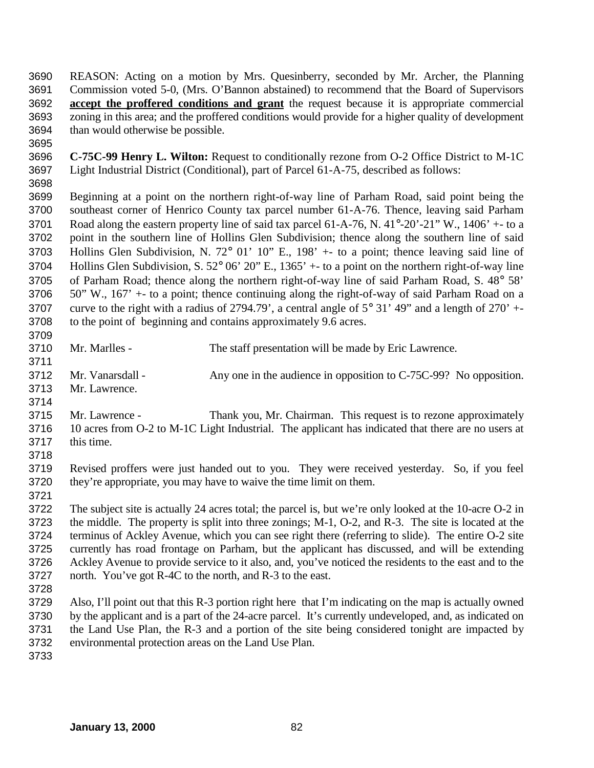REASON: Acting on a motion by Mrs. Quesinberry, seconded by Mr. Archer, the Planning Commission voted 5-0, (Mrs. O'Bannon abstained) to recommend that the Board of Supervisors **accept the proffered conditions and grant** the request because it is appropriate commercial zoning in this area; and the proffered conditions would provide for a higher quality of development than would otherwise be possible. 

 **C-75C-99 Henry L. Wilton:** Request to conditionally rezone from O-2 Office District to M-1C Light Industrial District (Conditional), part of Parcel 61-A-75, described as follows: 

 Beginning at a point on the northern right-of-way line of Parham Road, said point being the southeast corner of Henrico County tax parcel number 61-A-76. Thence, leaving said Parham 3701 Road along the eastern property line of said tax parcel 61-A-76, N. 41°-20'-21" W., 1406' +- to a point in the southern line of Hollins Glen Subdivision; thence along the southern line of said Hollins Glen Subdivision, N. 72° 01' 10" E., 198' +- to a point; thence leaving said line of Hollins Glen Subdivision, S. 52° 06' 20" E., 1365' +- to a point on the northern right-of-way line of Parham Road; thence along the northern right-of-way line of said Parham Road, S. 48° 58' 50" W., 167' +- to a point; thence continuing along the right-of-way of said Parham Road on a 3707 curve to the right with a radius of 2794.79', a central angle of  $5^{\circ}$  31' 49" and a length of 270' +-to the point of beginning and contains approximately 9.6 acres.

 Mr. Marlles - The staff presentation will be made by Eric Lawrence. 3712 Mr. Vanarsdall - Any one in the audience in opposition to C-75C-99? No opposition. Mr. Lawrence. Mr. Lawrence - Thank you, Mr. Chairman. This request is to rezone approximately 10 acres from O-2 to M-1C Light Industrial. The applicant has indicated that there are no users at this time. Revised proffers were just handed out to you. They were received yesterday. So, if you feel they're appropriate, you may have to waive the time limit on them. The subject site is actually 24 acres total; the parcel is, but we're only looked at the 10-acre O-2 in the middle. The property is split into three zonings; M-1, O-2, and R-3. The site is located at the

 terminus of Ackley Avenue, which you can see right there (referring to slide). The entire O-2 site currently has road frontage on Parham, but the applicant has discussed, and will be extending Ackley Avenue to provide service to it also, and, you've noticed the residents to the east and to the north. You've got R-4C to the north, and R-3 to the east. 

 Also, I'll point out that this R-3 portion right here that I'm indicating on the map is actually owned by the applicant and is a part of the 24-acre parcel. It's currently undeveloped, and, as indicated on the Land Use Plan, the R-3 and a portion of the site being considered tonight are impacted by environmental protection areas on the Land Use Plan.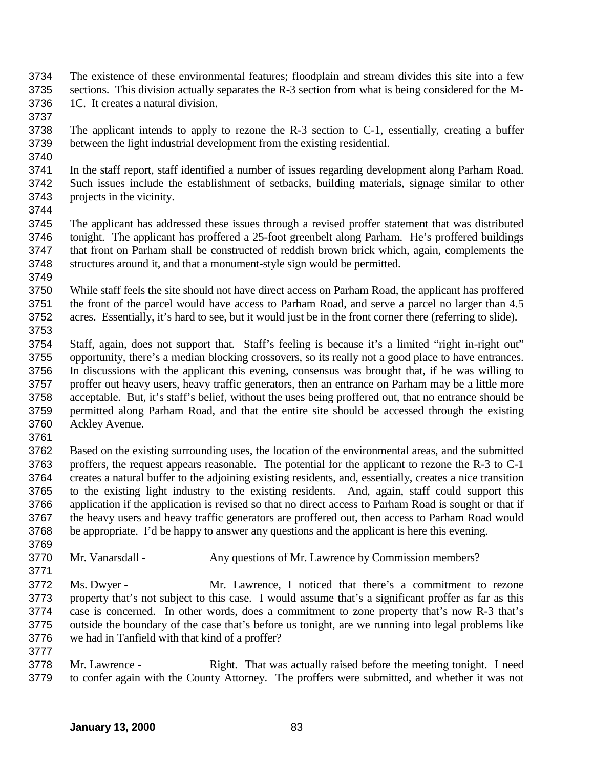- The existence of these environmental features; floodplain and stream divides this site into a few sections. This division actually separates the R-3 section from what is being considered for the M-1C. It creates a natural division.
- 
- The applicant intends to apply to rezone the R-3 section to C-1, essentially, creating a buffer between the light industrial development from the existing residential.
- 

 In the staff report, staff identified a number of issues regarding development along Parham Road. Such issues include the establishment of setbacks, building materials, signage similar to other projects in the vicinity.

 The applicant has addressed these issues through a revised proffer statement that was distributed tonight. The applicant has proffered a 25-foot greenbelt along Parham. He's proffered buildings that front on Parham shall be constructed of reddish brown brick which, again, complements the structures around it, and that a monument-style sign would be permitted. 

 While staff feels the site should not have direct access on Parham Road, the applicant has proffered 3751 the front of the parcel would have access to Parham Road, and serve a parcel no larger than 4.5<br>3752 acres. Essentially, it's hard to see, but it would just be in the front corner there (referring to slide). acres. Essentially, it's hard to see, but it would just be in the front corner there (referring to slide). 

 Staff, again, does not support that. Staff's feeling is because it's a limited "right in-right out" opportunity, there's a median blocking crossovers, so its really not a good place to have entrances. In discussions with the applicant this evening, consensus was brought that, if he was willing to proffer out heavy users, heavy traffic generators, then an entrance on Parham may be a little more acceptable. But, it's staff's belief, without the uses being proffered out, that no entrance should be permitted along Parham Road, and that the entire site should be accessed through the existing Ackley Avenue.

 Based on the existing surrounding uses, the location of the environmental areas, and the submitted proffers, the request appears reasonable. The potential for the applicant to rezone the R-3 to C-1 creates a natural buffer to the adjoining existing residents, and, essentially, creates a nice transition to the existing light industry to the existing residents. And, again, staff could support this application if the application is revised so that no direct access to Parham Road is sought or that if the heavy users and heavy traffic generators are proffered out, then access to Parham Road would be appropriate. I'd be happy to answer any questions and the applicant is here this evening.

- Mr. Vanarsdall Any questions of Mr. Lawrence by Commission members?
- Ms. Dwyer - Mr. Lawrence, I noticed that there's a commitment to rezone property that's not subject to this case. I would assume that's a significant proffer as far as this case is concerned. In other words, does a commitment to zone property that's now R-3 that's outside the boundary of the case that's before us tonight, are we running into legal problems like we had in Tanfield with that kind of a proffer?
- Mr. Lawrence Right. That was actually raised before the meeting tonight. I need to confer again with the County Attorney. The proffers were submitted, and whether it was not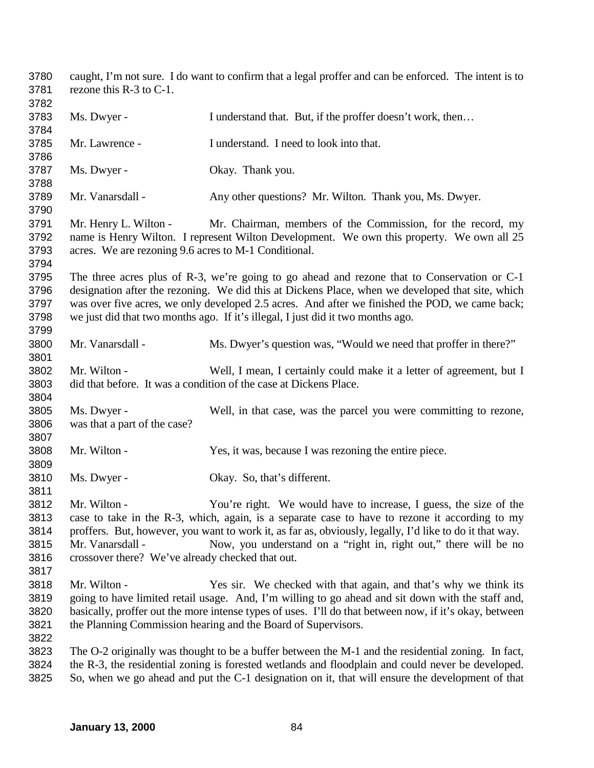caught, I'm not sure. I do want to confirm that a legal proffer and can be enforced. The intent is to rezone this R-3 to C-1. 3783 Ms. Dwyer - I understand that. But, if the proffer doesn't work, then... Mr. Lawrence - I understand. I need to look into that. Ms. Dwyer - Okay. Thank you. 3789 Mr. Vanarsdall - Any other questions? Mr. Wilton. Thank you, Ms. Dwyer. Mr. Henry L. Wilton - Mr. Chairman, members of the Commission, for the record, my name is Henry Wilton. I represent Wilton Development. We own this property. We own all 25 acres. We are rezoning 9.6 acres to M-1 Conditional. The three acres plus of R-3, we're going to go ahead and rezone that to Conservation or C-1 designation after the rezoning. We did this at Dickens Place, when we developed that site, which was over five acres, we only developed 2.5 acres. And after we finished the POD, we came back; we just did that two months ago. If it's illegal, I just did it two months ago. Mr. Vanarsdall - Ms. Dwyer's question was, "Would we need that proffer in there?" Mr. Wilton - Well, I mean, I certainly could make it a letter of agreement, but I did that before. It was a condition of the case at Dickens Place. Ms. Dwyer - Well, in that case, was the parcel you were committing to rezone, was that a part of the case? Mr. Wilton - Yes, it was, because I was rezoning the entire piece. Ms. Dwyer - Okay. So, that's different. Mr. Wilton - You're right. We would have to increase, I guess, the size of the case to take in the R-3, which, again, is a separate case to have to rezone it according to my proffers. But, however, you want to work it, as far as, obviously, legally, I'd like to do it that way. Mr. Vanarsdall - Now, you understand on a "right in, right out," there will be no crossover there? We've already checked that out. Mr. Wilton - Yes sir. We checked with that again, and that's why we think its going to have limited retail usage. And, I'm willing to go ahead and sit down with the staff and, basically, proffer out the more intense types of uses. I'll do that between now, if it's okay, between the Planning Commission hearing and the Board of Supervisors. The O-2 originally was thought to be a buffer between the M-1 and the residential zoning. In fact, the R-3, the residential zoning is forested wetlands and floodplain and could never be developed. So, when we go ahead and put the C-1 designation on it, that will ensure the development of that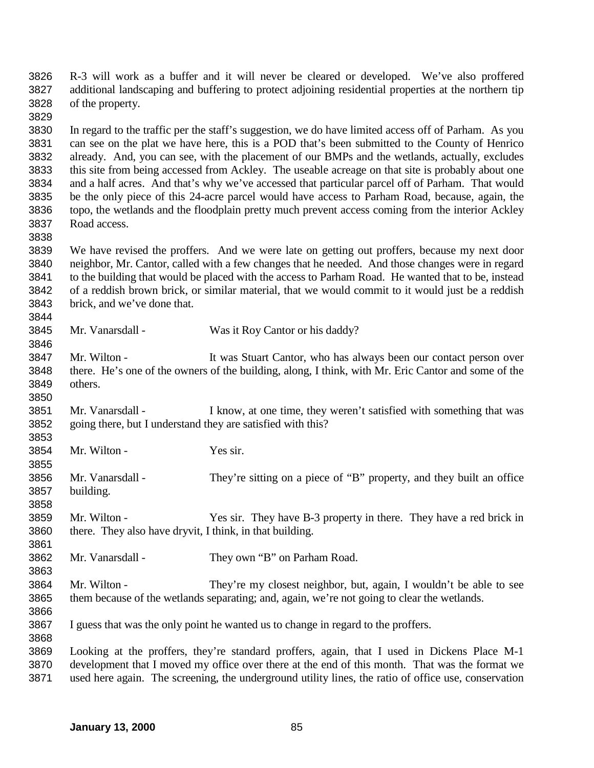R-3 will work as a buffer and it will never be cleared or developed. We've also proffered additional landscaping and buffering to protect adjoining residential properties at the northern tip of the property. In regard to the traffic per the staff's suggestion, we do have limited access off of Parham. As you can see on the plat we have here, this is a POD that's been submitted to the County of Henrico already. And, you can see, with the placement of our BMPs and the wetlands, actually, excludes this site from being accessed from Ackley. The useable acreage on that site is probably about one and a half acres. And that's why we've accessed that particular parcel off of Parham. That would be the only piece of this 24-acre parcel would have access to Parham Road, because, again, the topo, the wetlands and the floodplain pretty much prevent access coming from the interior Ackley Road access. We have revised the proffers. And we were late on getting out proffers, because my next door neighbor, Mr. Cantor, called with a few changes that he needed. And those changes were in regard to the building that would be placed with the access to Parham Road. He wanted that to be, instead of a reddish brown brick, or similar material, that we would commit to it would just be a reddish brick, and we've done that. 

 Mr. Wilton - It was Stuart Cantor, who has always been our contact person over there. He's one of the owners of the building, along, I think, with Mr. Eric Cantor and some of the others. 

 Mr. Vanarsdall - I know, at one time, they weren't satisfied with something that was going there, but I understand they are satisfied with this?

Mr. Wilton - Yes sir.

 Mr. Vanarsdall - They're sitting on a piece of "B" property, and they built an office building. 

 Mr. Wilton - Yes sir. They have B-3 property in there. They have a red brick in there. They also have dryvit, I think, in that building. 

Mr. Vanarsdall - They own "B" on Parham Road.

Mr. Vanarsdall - Was it Roy Cantor or his daddy?

 Mr. Wilton - They're my closest neighbor, but, again, I wouldn't be able to see them because of the wetlands separating; and, again, we're not going to clear the wetlands. 

I guess that was the only point he wanted us to change in regard to the proffers.

 Looking at the proffers, they're standard proffers, again, that I used in Dickens Place M-1 development that I moved my office over there at the end of this month. That was the format we used here again. The screening, the underground utility lines, the ratio of office use, conservation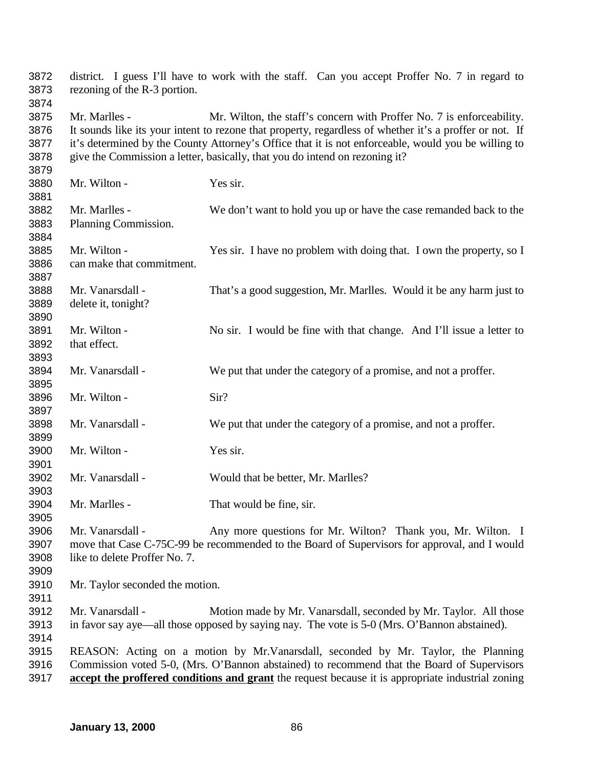| 3872<br>3873 | rezoning of the R-3 portion.    | district. I guess I'll have to work with the staff. Can you accept Proffer No. 7 in regard to           |
|--------------|---------------------------------|---------------------------------------------------------------------------------------------------------|
| 3874         |                                 |                                                                                                         |
| 3875         | Mr. Marlles -                   | Mr. Wilton, the staff's concern with Proffer No. 7 is enforceability.                                   |
| 3876         |                                 | It sounds like its your intent to rezone that property, regardless of whether it's a proffer or not. If |
| 3877         |                                 | it's determined by the County Attorney's Office that it is not enforceable, would you be willing to     |
| 3878         |                                 | give the Commission a letter, basically, that you do intend on rezoning it?                             |
| 3879         |                                 |                                                                                                         |
| 3880         | Mr. Wilton -                    | Yes sir.                                                                                                |
| 3881         |                                 |                                                                                                         |
| 3882         | Mr. Marlles -                   | We don't want to hold you up or have the case remanded back to the                                      |
| 3883         | Planning Commission.            |                                                                                                         |
| 3884         |                                 |                                                                                                         |
| 3885         | Mr. Wilton -                    | Yes sir. I have no problem with doing that. I own the property, so I                                    |
| 3886         | can make that commitment.       |                                                                                                         |
| 3887         |                                 |                                                                                                         |
| 3888         | Mr. Vanarsdall -                | That's a good suggestion, Mr. Marlles. Would it be any harm just to                                     |
| 3889         | delete it, tonight?             |                                                                                                         |
| 3890         |                                 |                                                                                                         |
| 3891         | Mr. Wilton -                    | No sir. I would be fine with that change. And I'll issue a letter to                                    |
| 3892         | that effect.                    |                                                                                                         |
| 3893         |                                 |                                                                                                         |
| 3894         | Mr. Vanarsdall -                | We put that under the category of a promise, and not a proffer.                                         |
| 3895         |                                 |                                                                                                         |
| 3896         | Mr. Wilton -                    | Sir?                                                                                                    |
| 3897         |                                 |                                                                                                         |
| 3898<br>3899 | Mr. Vanarsdall -                | We put that under the category of a promise, and not a proffer.                                         |
| 3900         | Mr. Wilton -                    | Yes sir.                                                                                                |
| 3901         |                                 |                                                                                                         |
| 3902         | Mr. Vanarsdall -                | Would that be better, Mr. Marlles?                                                                      |
| 3903         |                                 |                                                                                                         |
| 3904         | Mr. Marlles -                   | That would be fine, sir.                                                                                |
| 3905         |                                 |                                                                                                         |
| 3906         | Mr. Vanarsdall -                | Any more questions for Mr. Wilton? Thank you, Mr. Wilton. I                                             |
| 3907         |                                 | move that Case C-75C-99 be recommended to the Board of Supervisors for approval, and I would            |
| 3908         | like to delete Proffer No. 7.   |                                                                                                         |
| 3909         |                                 |                                                                                                         |
| 3910         | Mr. Taylor seconded the motion. |                                                                                                         |
| 3911         |                                 |                                                                                                         |
| 3912         | Mr. Vanarsdall -                | Motion made by Mr. Vanarsdall, seconded by Mr. Taylor. All those                                        |
| 3913         |                                 | in favor say aye—all those opposed by saying nay. The vote is 5-0 (Mrs. O'Bannon abstained).            |
| 3914         |                                 |                                                                                                         |
| 3915         |                                 | REASON: Acting on a motion by Mr. Vanarsdall, seconded by Mr. Taylor, the Planning                      |
| 3916         |                                 | Commission voted 5-0, (Mrs. O'Bannon abstained) to recommend that the Board of Supervisors              |
| 3917         |                                 | accept the proffered conditions and grant the request because it is appropriate industrial zoning       |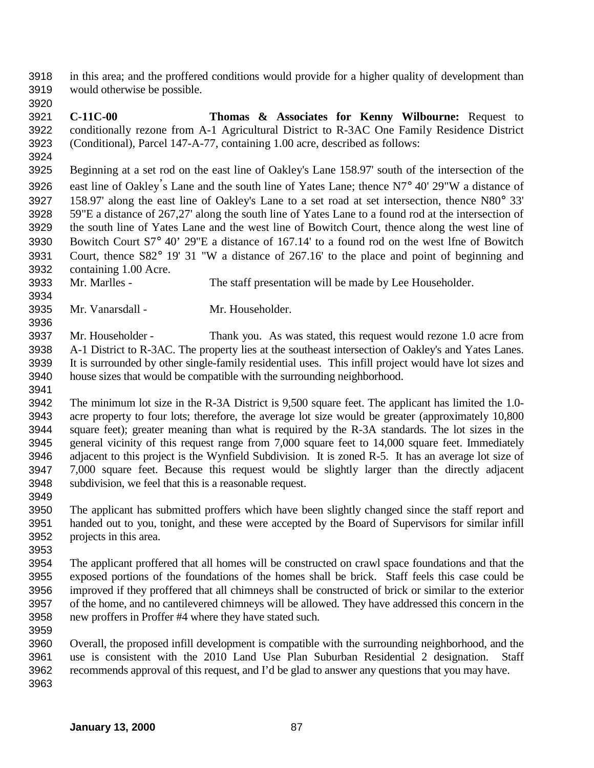in this area; and the proffered conditions would provide for a higher quality of development than would otherwise be possible.

 **C-11C-00 Thomas & Associates for Kenny Wilbourne:** Request to conditionally rezone from A-1 Agricultural District to R-3AC One Family Residence District (Conditional), Parcel 147-A-77, containing 1.00 acre, described as follows:

 Beginning at a set rod on the east line of Oakley's Lane 158.97' south of the intersection of the 3926 east line of Oakley's Lane and the south line of Yates Lane; thence  $N7^{\circ}$  40' 29"W a distance of 158.97' along the east line of Oakley's Lane to a set road at set intersection, thence N80° 33' 59"E a distance of 267,27' along the south line of Yates Lane to a found rod at the intersection of the south line of Yates Lane and the west line of Bowitch Court, thence along the west line of Bowitch Court S7° 40' 29"E a distance of 167.14' to a found rod on the west lfne of Bowitch Court, thence S82° 19' 31 "W a distance of 267.16' to the place and point of beginning and containing 1.00 Acre.

- Mr. Marlles The staff presentation will be made by Lee Householder.
- Mr. Vanarsdall Mr. Householder.
- 

 Mr. Householder - Thank you. As was stated, this request would rezone 1.0 acre from A-1 District to R-3AC. The property lies at the southeast intersection of Oakley's and Yates Lanes. It is surrounded by other single-family residential uses. This infill project would have lot sizes and house sizes that would be compatible with the surrounding neighborhood.

 The minimum lot size in the R-3A District is 9,500 square feet. The applicant has limited the 1.0- acre property to four lots; therefore, the average lot size would be greater (approximately 10,800 square feet); greater meaning than what is required by the R-3A standards. The lot sizes in the general vicinity of this request range from 7,000 square feet to 14,000 square feet. Immediately adjacent to this project is the Wynfield Subdivision. It is zoned R-5. It has an average lot size of 7,000 square feet. Because this request would be slightly larger than the directly adjacent subdivision, we feel that this is a reasonable request.

 The applicant has submitted proffers which have been slightly changed since the staff report and handed out to you, tonight, and these were accepted by the Board of Supervisors for similar infill projects in this area.

 The applicant proffered that all homes will be constructed on crawl space foundations and that the exposed portions of the foundations of the homes shall be brick. Staff feels this case could be improved if they proffered that all chimneys shall be constructed of brick or similar to the exterior of the home, and no cantilevered chimneys will be allowed. They have addressed this concern in the new proffers in Proffer #4 where they have stated such.

 Overall, the proposed infill development is compatible with the surrounding neighborhood, and the use is consistent with the 2010 Land Use Plan Suburban Residential 2 designation. Staff recommends approval of this request, and I'd be glad to answer any questions that you may have.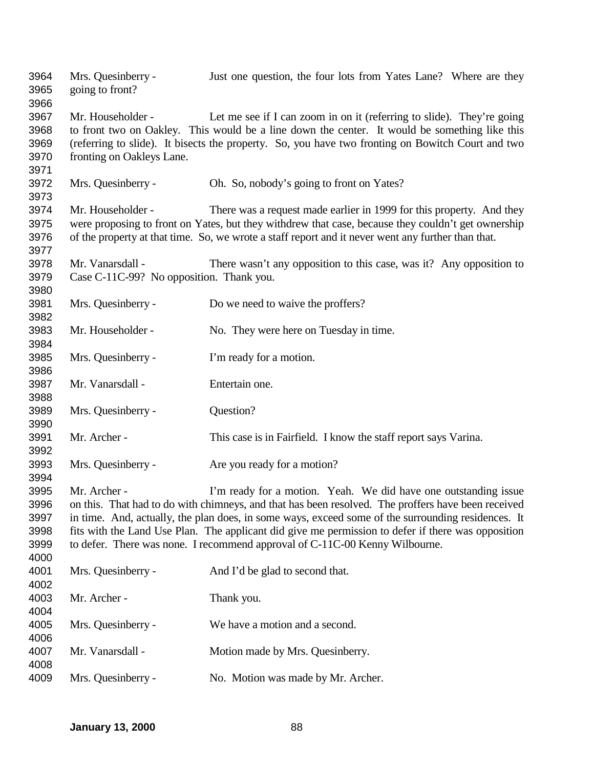| 3964<br>3965<br>3966                         | Mrs. Quesinberry -<br>going to front?                                                                                                                                                                                                                                                                                                                                                                                                                                            | Just one question, the four lots from Yates Lane? Where are they                                                                                                                                                                                                                 |
|----------------------------------------------|----------------------------------------------------------------------------------------------------------------------------------------------------------------------------------------------------------------------------------------------------------------------------------------------------------------------------------------------------------------------------------------------------------------------------------------------------------------------------------|----------------------------------------------------------------------------------------------------------------------------------------------------------------------------------------------------------------------------------------------------------------------------------|
| 3967<br>3968<br>3969<br>3970<br>3971         | Mr. Householder -<br>fronting on Oakleys Lane.                                                                                                                                                                                                                                                                                                                                                                                                                                   | Let me see if I can zoom in on it (referring to slide). They're going<br>to front two on Oakley. This would be a line down the center. It would be something like this<br>(referring to slide). It bisects the property. So, you have two fronting on Bowitch Court and two      |
| 3972<br>3973                                 | Mrs. Quesinberry -                                                                                                                                                                                                                                                                                                                                                                                                                                                               | Oh. So, nobody's going to front on Yates?                                                                                                                                                                                                                                        |
| 3974<br>3975<br>3976<br>3977                 | Mr. Householder -                                                                                                                                                                                                                                                                                                                                                                                                                                                                | There was a request made earlier in 1999 for this property. And they<br>were proposing to front on Yates, but they withdrew that case, because they couldn't get ownership<br>of the property at that time. So, we wrote a staff report and it never went any further than that. |
| 3978<br>3979<br>3980                         | Mr. Vanarsdall -<br>Case C-11C-99? No opposition. Thank you.                                                                                                                                                                                                                                                                                                                                                                                                                     | There wasn't any opposition to this case, was it? Any opposition to                                                                                                                                                                                                              |
| 3981<br>3982                                 | Mrs. Quesinberry -                                                                                                                                                                                                                                                                                                                                                                                                                                                               | Do we need to waive the proffers?                                                                                                                                                                                                                                                |
| 3983<br>3984                                 | Mr. Householder -                                                                                                                                                                                                                                                                                                                                                                                                                                                                | No. They were here on Tuesday in time.                                                                                                                                                                                                                                           |
| 3985<br>3986                                 | Mrs. Quesinberry -                                                                                                                                                                                                                                                                                                                                                                                                                                                               | I'm ready for a motion.                                                                                                                                                                                                                                                          |
| 3987<br>3988                                 | Mr. Vanarsdall -                                                                                                                                                                                                                                                                                                                                                                                                                                                                 | Entertain one.                                                                                                                                                                                                                                                                   |
| 3989<br>3990                                 | Mrs. Quesinberry -                                                                                                                                                                                                                                                                                                                                                                                                                                                               | Question?                                                                                                                                                                                                                                                                        |
| 3991<br>3992                                 | Mr. Archer -                                                                                                                                                                                                                                                                                                                                                                                                                                                                     | This case is in Fairfield. I know the staff report says Varina.                                                                                                                                                                                                                  |
| 3993<br>3994                                 | Mrs. Quesinberry -                                                                                                                                                                                                                                                                                                                                                                                                                                                               | Are you ready for a motion?                                                                                                                                                                                                                                                      |
| 3995<br>3996<br>3997<br>3998<br>3999<br>4000 | Mr. Archer -<br>I'm ready for a motion. Yeah. We did have one outstanding issue<br>on this. That had to do with chimneys, and that has been resolved. The proffers have been received<br>in time. And, actually, the plan does, in some ways, exceed some of the surrounding residences. It<br>fits with the Land Use Plan. The applicant did give me permission to defer if there was opposition<br>to defer. There was none. I recommend approval of C-11C-00 Kenny Wilbourne. |                                                                                                                                                                                                                                                                                  |
| 4001<br>4002                                 | Mrs. Quesinberry -                                                                                                                                                                                                                                                                                                                                                                                                                                                               | And I'd be glad to second that.                                                                                                                                                                                                                                                  |
| 4003<br>4004                                 | Mr. Archer -                                                                                                                                                                                                                                                                                                                                                                                                                                                                     | Thank you.                                                                                                                                                                                                                                                                       |
| 4005<br>4006                                 | Mrs. Quesinberry -                                                                                                                                                                                                                                                                                                                                                                                                                                                               | We have a motion and a second.                                                                                                                                                                                                                                                   |
| 4007<br>4008                                 | Mr. Vanarsdall -                                                                                                                                                                                                                                                                                                                                                                                                                                                                 | Motion made by Mrs. Quesinberry.                                                                                                                                                                                                                                                 |
| 4009                                         | Mrs. Quesinberry -                                                                                                                                                                                                                                                                                                                                                                                                                                                               | No. Motion was made by Mr. Archer.                                                                                                                                                                                                                                               |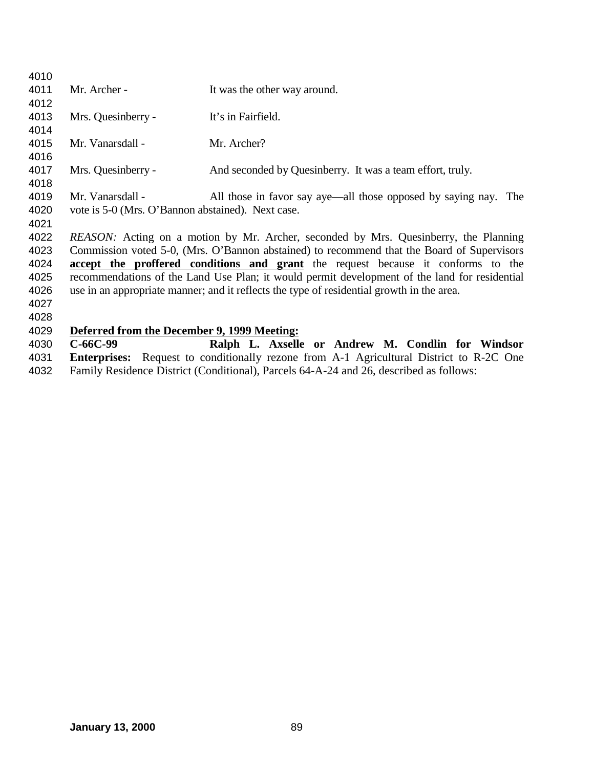| 4010 |                                                   |                                                                                                |
|------|---------------------------------------------------|------------------------------------------------------------------------------------------------|
| 4011 | Mr. Archer -                                      | It was the other way around.                                                                   |
| 4012 |                                                   |                                                                                                |
| 4013 | Mrs. Quesinberry -                                | It's in Fairfield.                                                                             |
| 4014 |                                                   |                                                                                                |
| 4015 | Mr. Vanarsdall -                                  | Mr. Archer?                                                                                    |
| 4016 |                                                   |                                                                                                |
| 4017 | Mrs. Quesinberry -                                | And seconded by Quesinberry. It was a team effort, truly.                                      |
| 4018 |                                                   |                                                                                                |
| 4019 | Mr. Vanarsdall -                                  | All those in favor say aye—all those opposed by saying nay. The                                |
| 4020 | vote is 5-0 (Mrs. O'Bannon abstained). Next case. |                                                                                                |
| 4021 |                                                   |                                                                                                |
| 4022 |                                                   | REASON: Acting on a motion by Mr. Archer, seconded by Mrs. Quesinberry, the Planning           |
| 4023 |                                                   | Commission voted 5-0, (Mrs. O'Bannon abstained) to recommend that the Board of Supervisors     |
| 4024 |                                                   | <b>accept the proffered conditions and grant</b> the request because it conforms to the        |
| 4025 |                                                   | recommendations of the Land Use Plan; it would permit development of the land for residential  |
| 4026 |                                                   | use in an appropriate manner; and it reflects the type of residential growth in the area.      |
| 4027 |                                                   |                                                                                                |
| 4028 |                                                   |                                                                                                |
| 4029 | Deferred from the December 9, 1999 Meeting:       |                                                                                                |
| 4030 | $C-66C-99$                                        | Ralph L. Axselle or Andrew M. Condlin for Windsor                                              |
| 4031 |                                                   | <b>Enterprises:</b> Request to conditionally rezone from A-1 Agricultural District to R-2C One |
| 4032 |                                                   | Family Residence District (Conditional), Parcels 64-A-24 and 26, described as follows:         |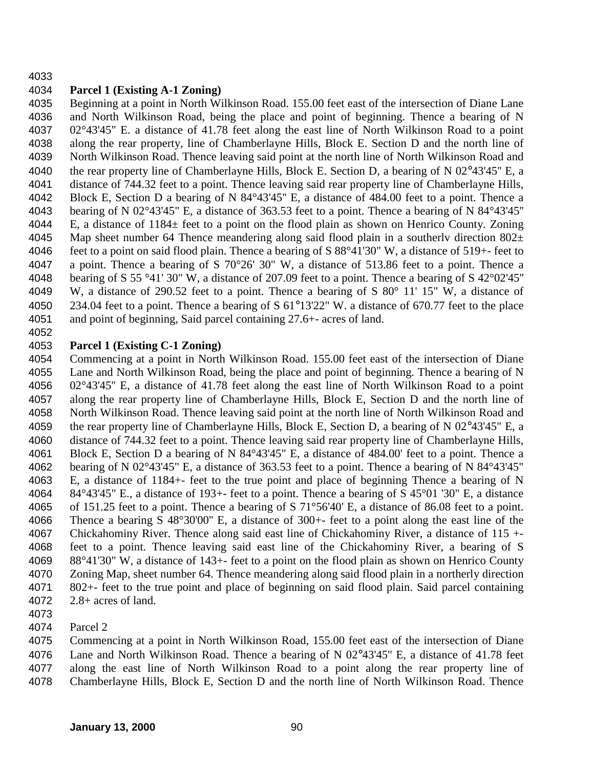## 

## **Parcel 1 (Existing A-1 Zoning)**

 Beginning at a point in North Wilkinson Road. 155.00 feet east of the intersection of Diane Lane and North Wilkinson Road, being the place and point of beginning. Thence a bearing of N 02°43'45" E. a distance of 41.78 feet along the east line of North Wilkinson Road to a point along the rear property, line of Chamberlayne Hills, Block E. Section D and the north line of North Wilkinson Road. Thence leaving said point at the north line of North Wilkinson Road and the rear property line of Chamberlayne Hills, Block E. Section D, a bearing of N 02°43'45'' E, a distance of 744.32 feet to a point. Thence leaving said rear property line of Chamberlayne Hills, Block E, Section D a bearing of N 84°43'45'' E, a distance of 484.00 feet to a point. Thence a bearing of N 02°43'45" E, a distance of 363.53 feet to a point. Thence a bearing of N 84°43'45'' 4044 E, a distance of  $1184 \pm$  feet to a point on the flood plain as shown on Henrico County. Zoning 4045 Map sheet number 64 Thence meandering along said flood plain in a southerly direction  $802\pm$  feet to a point on said flood plain. Thence a bearing of S 88°41'30" W, a distance of 519+- feet to a point. Thence a bearing of S 70°26' 30" W, a distance of 513.86 feet to a point. Thence a bearing of S 55 °41' 30" W, a distance of 207.09 feet to a point. Thence a bearing of S 42°02'45'' W, a distance of 290.52 feet to a point. Thence a bearing of S 80° 11' 15" W, a distance of 234.04 feet to a point. Thence a bearing of S 61°13'22" W. a distance of 670.77 feet to the place and point of beginning, Said parcel containing 27.6+- acres of land. 

## **Parcel 1 (Existing C-1 Zoning)**

 Commencing at a point in North Wilkinson Road. 155.00 feet east of the intersection of Diane Lane and North Wilkinson Road, being the place and point of beginning. Thence a bearing of N 02°43'45'' E, a distance of 41.78 feet along the east line of North Wilkinson Road to a point along the rear property line of Chamberlayne Hills, Block E, Section D and the north line of North Wilkinson Road. Thence leaving said point at the north line of North Wilkinson Road and the rear property line of Chamberlayne Hills, Block E, Section D, a bearing of N 02°43'45" E, a distance of 744.32 feet to a point. Thence leaving said rear property line of Chamberlayne Hills, Block E, Section D a bearing of N 84°43'45" E, a distance of 484.00' feet to a point. Thence a bearing of N 02°43'45" E, a distance of 363.53 feet to a point. Thence a bearing of N 84°43'45" E, a distance of 1184+- feet to the true point and place of beginning Thence a bearing of N 84°43'45" E., a distance of 193+- feet to a point. Thence a bearing of S 45°01 '30" E, a distance of 151.25 feet to a point. Thence a bearing of S 71°56'40' E, a distance of 86.08 feet to a point. Thence a bearing S 48°30'00'' E, a distance of 300+- feet to a point along the east line of the Chickahominy River. Thence along said east line of Chickahominy River, a distance of 115 +- feet to a point. Thence leaving said east line of the Chickahominy River, a bearing of S 88°41'30" W, a distance of 143+- feet to a point on the flood plain as shown on Henrico County Zoning Map, sheet number 64. Thence meandering along said flood plain in a northerly direction 802+- feet to the true point and place of beginning on said flood plain. Said parcel containing 2.8+ acres of land.

Parcel 2

 Commencing at a point in North Wilkinson Road, 155.00 feet east of the intersection of Diane Lane and North Wilkinson Road. Thence a bearing of N 02°43'45'' E, a distance of 41.78 feet along the east line of North Wilkinson Road to a point along the rear property line of Chamberlayne Hills, Block E, Section D and the north line of North Wilkinson Road. Thence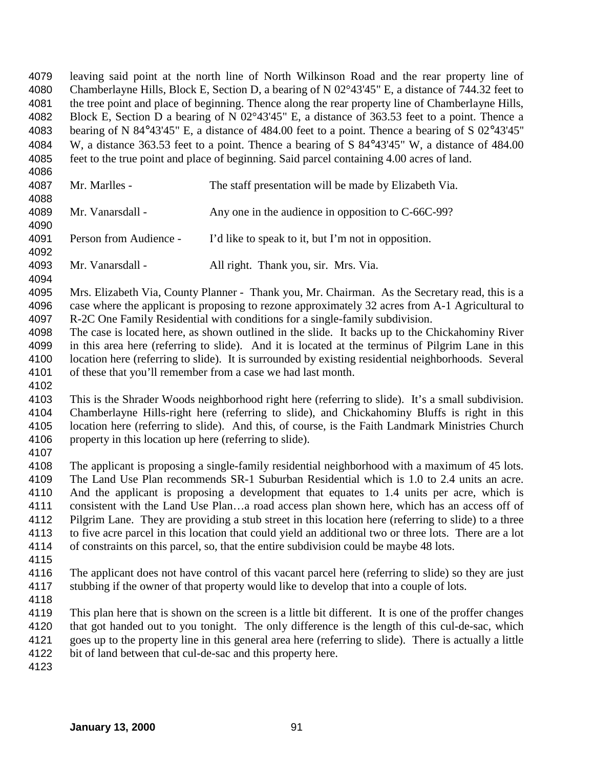leaving said point at the north line of North Wilkinson Road and the rear property line of Chamberlayne Hills, Block E, Section D, a bearing of N 02°43'45" E, a distance of 744.32 feet to the tree point and place of beginning. Thence along the rear property line of Chamberlayne Hills, Block E, Section D a bearing of N 02°43'45" E, a distance of 363.53 feet to a point. Thence a bearing of N 84°43'45" E, a distance of 484.00 feet to a point. Thence a bearing of S 02°43'45'' W, a distance 363.53 feet to a point. Thence a bearing of S 84°43'45" W, a distance of 484.00 feet to the true point and place of beginning. Said parcel containing 4.00 acres of land. 

| 4087 | Mr. Marlles -          | The staff presentation will be made by Elizabeth Via. |
|------|------------------------|-------------------------------------------------------|
| 4088 |                        |                                                       |
| 4089 | Mr. Vanarsdall -       | Any one in the audience in opposition to C-66C-99?    |
| 4090 |                        |                                                       |
| 4091 | Person from Audience - | I'd like to speak to it, but I'm not in opposition.   |
| 4092 |                        |                                                       |
| 4093 | Mr. Vanarsdall -       | All right. Thank you, sir. Mrs. Via.                  |

 Mrs. Elizabeth Via, County Planner - Thank you, Mr. Chairman. As the Secretary read, this is a case where the applicant is proposing to rezone approximately 32 acres from A-1 Agricultural to R-2C One Family Residential with conditions for a single-family subdivision.

 The case is located here, as shown outlined in the slide. It backs up to the Chickahominy River in this area here (referring to slide). And it is located at the terminus of Pilgrim Lane in this location here (referring to slide). It is surrounded by existing residential neighborhoods. Several of these that you'll remember from a case we had last month.

 This is the Shrader Woods neighborhood right here (referring to slide). It's a small subdivision. Chamberlayne Hills-right here (referring to slide), and Chickahominy Bluffs is right in this location here (referring to slide). And this, of course, is the Faith Landmark Ministries Church property in this location up here (referring to slide).

 The applicant is proposing a single-family residential neighborhood with a maximum of 45 lots. The Land Use Plan recommends SR-1 Suburban Residential which is 1.0 to 2.4 units an acre. And the applicant is proposing a development that equates to 1.4 units per acre, which is consistent with the Land Use Plan…a road access plan shown here, which has an access off of Pilgrim Lane. They are providing a stub street in this location here (referring to slide) to a three to five acre parcel in this location that could yield an additional two or three lots. There are a lot of constraints on this parcel, so, that the entire subdivision could be maybe 48 lots.

 The applicant does not have control of this vacant parcel here (referring to slide) so they are just stubbing if the owner of that property would like to develop that into a couple of lots.

 This plan here that is shown on the screen is a little bit different. It is one of the proffer changes that got handed out to you tonight. The only difference is the length of this cul-de-sac, which goes up to the property line in this general area here (referring to slide). There is actually a little bit of land between that cul-de-sac and this property here.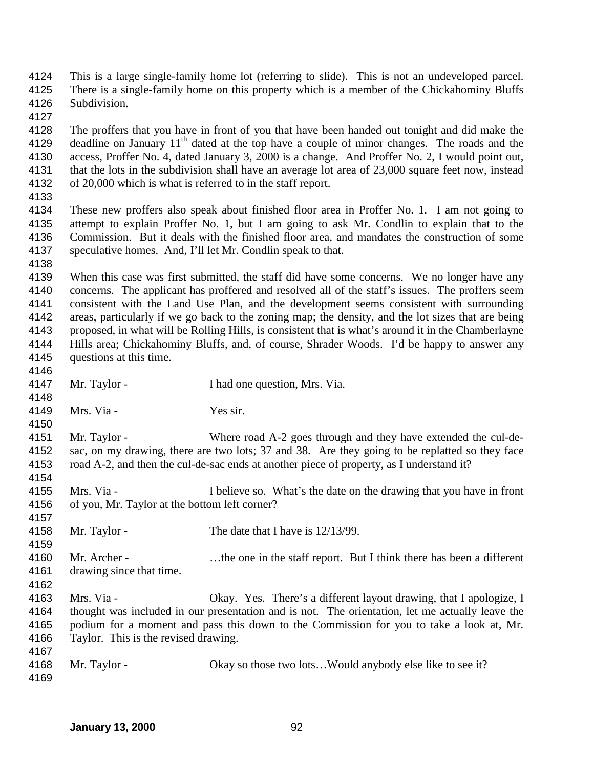- This is a large single-family home lot (referring to slide). This is not an undeveloped parcel. There is a single-family home on this property which is a member of the Chickahominy Bluffs Subdivision.
- 

 The proffers that you have in front of you that have been handed out tonight and did make the 4129 deadline on January  $11<sup>th</sup>$  dated at the top have a couple of minor changes. The roads and the access, Proffer No. 4, dated January 3, 2000 is a change. And Proffer No. 2, I would point out, that the lots in the subdivision shall have an average lot area of 23,000 square feet now, instead of 20,000 which is what is referred to in the staff report.

 These new proffers also speak about finished floor area in Proffer No. 1. I am not going to attempt to explain Proffer No. 1, but I am going to ask Mr. Condlin to explain that to the Commission. But it deals with the finished floor area, and mandates the construction of some speculative homes. And, I'll let Mr. Condlin speak to that.

 When this case was first submitted, the staff did have some concerns. We no longer have any concerns. The applicant has proffered and resolved all of the staff's issues. The proffers seem consistent with the Land Use Plan, and the development seems consistent with surrounding areas, particularly if we go back to the zoning map; the density, and the lot sizes that are being proposed, in what will be Rolling Hills, is consistent that is what's around it in the Chamberlayne Hills area; Chickahominy Bluffs, and, of course, Shrader Woods. I'd be happy to answer any questions at this time. 

 Mr. Taylor - I had one question, Mrs. Via. Mrs. Via - Yes sir. 4151 Mr. Taylor - Where road A-2 goes through and they have extended the cul-de- sac, on my drawing, there are two lots; 37 and 38. Are they going to be replatted so they face road A-2, and then the cul-de-sac ends at another piece of property, as I understand it? Mrs. Via - I believe so. What's the date on the drawing that you have in front of you, Mr. Taylor at the bottom left corner? 4158 Mr. Taylor - The date that I have is  $12/13/99$ . Mr. Archer - …the one in the staff report. But I think there has been a different drawing since that time. Mrs. Via - Okay. Yes. There's a different layout drawing, that I apologize, I thought was included in our presentation and is not. The orientation, let me actually leave the podium for a moment and pass this down to the Commission for you to take a look at, Mr. Taylor. This is the revised drawing. 4168 Mr. Taylor - Okay so those two lots... Would anybody else like to see it?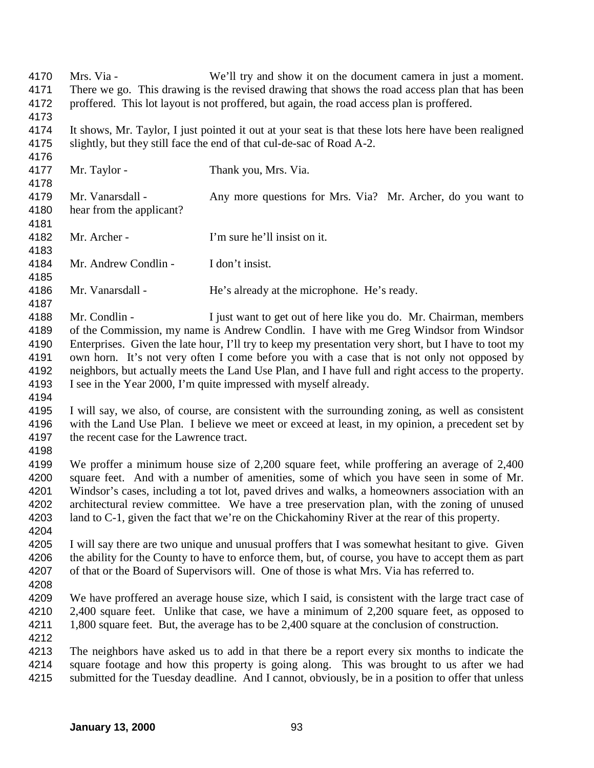Mrs. Via - We'll try and show it on the document camera in just a moment. There we go. This drawing is the revised drawing that shows the road access plan that has been proffered. This lot layout is not proffered, but again, the road access plan is proffered. It shows, Mr. Taylor, I just pointed it out at your seat is that these lots here have been realigned slightly, but they still face the end of that cul-de-sac of Road A-2. 4177 Mr. Taylor - Thank you, Mrs. Via. 4179 Mr. Vanarsdall - Any more questions for Mrs. Via? Mr. Archer, do you want to hear from the applicant? Mr. Archer - I'm sure he'll insist on it. Mr. Andrew Condlin - I don't insist. Mr. Vanarsdall - He's already at the microphone. He's ready. Mr. Condlin - I just want to get out of here like you do. Mr. Chairman, members of the Commission, my name is Andrew Condlin. I have with me Greg Windsor from Windsor Enterprises. Given the late hour, I'll try to keep my presentation very short, but I have to toot my own horn. It's not very often I come before you with a case that is not only not opposed by neighbors, but actually meets the Land Use Plan, and I have full and right access to the property. I see in the Year 2000, I'm quite impressed with myself already. I will say, we also, of course, are consistent with the surrounding zoning, as well as consistent with the Land Use Plan. I believe we meet or exceed at least, in my opinion, a precedent set by the recent case for the Lawrence tract. We proffer a minimum house size of 2,200 square feet, while proffering an average of 2,400 square feet. And with a number of amenities, some of which you have seen in some of Mr. Windsor's cases, including a tot lot, paved drives and walks, a homeowners association with an architectural review committee. We have a tree preservation plan, with the zoning of unused land to C-1, given the fact that we're on the Chickahominy River at the rear of this property. I will say there are two unique and unusual proffers that I was somewhat hesitant to give. Given the ability for the County to have to enforce them, but, of course, you have to accept them as part of that or the Board of Supervisors will. One of those is what Mrs. Via has referred to. We have proffered an average house size, which I said, is consistent with the large tract case of 4210 2.400 square feet. Unlike that case, we have a minimum of 2.200 square feet, as opposed to 4211 1,800 square feet. But, the average has to be 2,400 square at the conclusion of construction. The neighbors have asked us to add in that there be a report every six months to indicate the square footage and how this property is going along. This was brought to us after we had submitted for the Tuesday deadline. And I cannot, obviously, be in a position to offer that unless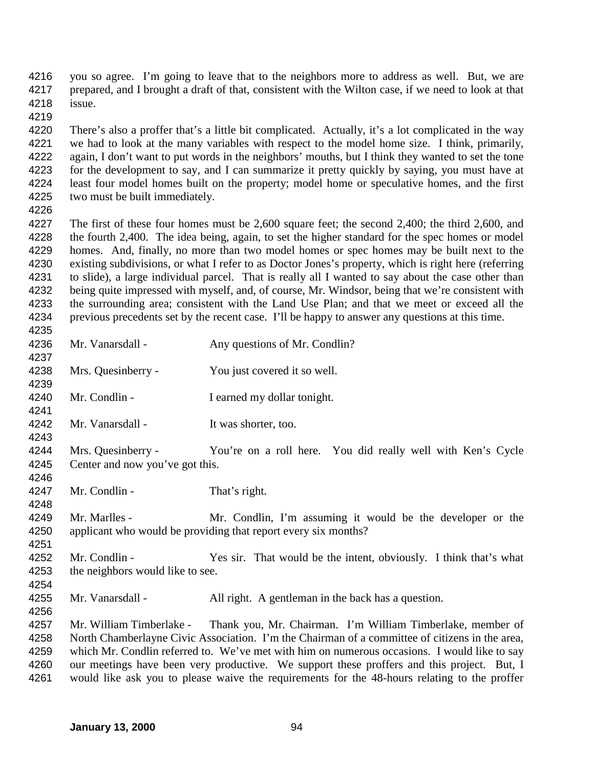you so agree. I'm going to leave that to the neighbors more to address as well. But, we are prepared, and I brought a draft of that, consistent with the Wilton case, if we need to look at that issue.

 There's also a proffer that's a little bit complicated. Actually, it's a lot complicated in the way we had to look at the many variables with respect to the model home size. I think, primarily, again, I don't want to put words in the neighbors' mouths, but I think they wanted to set the tone for the development to say, and I can summarize it pretty quickly by saying, you must have at least four model homes built on the property; model home or speculative homes, and the first two must be built immediately.

 The first of these four homes must be 2,600 square feet; the second 2,400; the third 2,600, and the fourth 2,400. The idea being, again, to set the higher standard for the spec homes or model homes. And, finally, no more than two model homes or spec homes may be built next to the existing subdivisions, or what I refer to as Doctor Jones's property, which is right here (referring to slide), a large individual parcel. That is really all I wanted to say about the case other than being quite impressed with myself, and, of course, Mr. Windsor, being that we're consistent with the surrounding area; consistent with the Land Use Plan; and that we meet or exceed all the previous precedents set by the recent case. I'll be happy to answer any questions at this time.

| 4236 | Mr. Vanarsdall -                                               | Any questions of Mr. Condlin?                                        |
|------|----------------------------------------------------------------|----------------------------------------------------------------------|
| 4237 |                                                                |                                                                      |
| 4238 | Mrs. Quesinberry -                                             | You just covered it so well.                                         |
| 4239 |                                                                |                                                                      |
| 4240 | Mr. Condlin -                                                  | I earned my dollar tonight.                                          |
| 4241 |                                                                |                                                                      |
| 4242 | Mr. Vanarsdall -                                               | It was shorter, too.                                                 |
| 4243 |                                                                |                                                                      |
| 4244 | Mrs. Quesinberry -                                             | You're on a roll here. You did really well with Ken's Cycle          |
| 4245 | Center and now you've got this.                                |                                                                      |
| 4246 |                                                                |                                                                      |
| 4247 | Mr. Condlin -                                                  | That's right.                                                        |
| 4248 |                                                                |                                                                      |
| 4249 | Mr. Marlles -                                                  | Mr. Condlin, I'm assuming it would be the developer or the           |
| 4250 | applicant who would be providing that report every six months? |                                                                      |
| 4251 |                                                                |                                                                      |
| 4252 | Mr. Condlin -                                                  | Yes sir. That would be the intent, obviously. I think that's what    |
| 4253 | the neighbors would like to see.                               |                                                                      |
| 4254 |                                                                |                                                                      |
| 4255 | Mr. Vanarsdall -                                               | All right. A gentleman in the back has a question.                   |
| 4256 |                                                                |                                                                      |
|      | $T = 1$                                                        | $\mathbf{m}$ 1 $\mathbf{r}$ $\mathbf{r}$<br>$\ldots$<br>$m! \t1 \t1$ |

 Mr. William Timberlake - Thank you, Mr. Chairman. I'm William Timberlake, member of North Chamberlayne Civic Association. I'm the Chairman of a committee of citizens in the area, which Mr. Condlin referred to. We've met with him on numerous occasions. I would like to say our meetings have been very productive. We support these proffers and this project. But, I would like ask you to please waive the requirements for the 48-hours relating to the proffer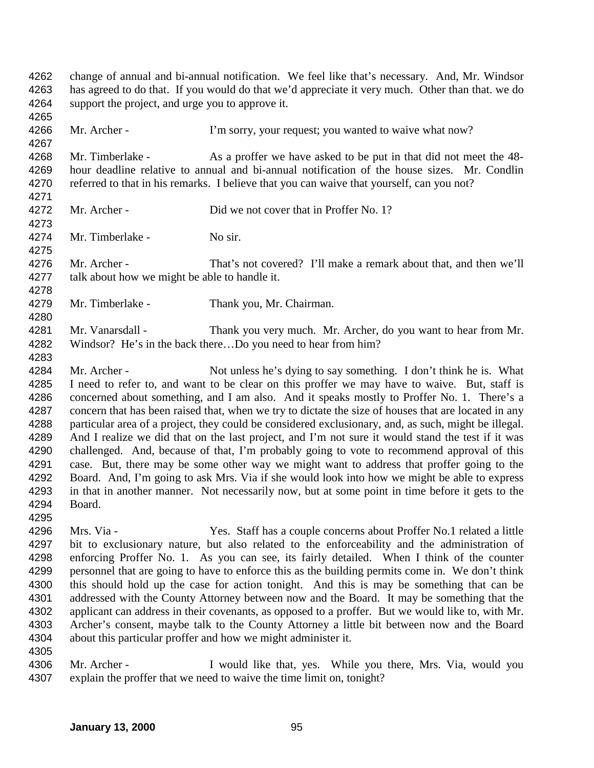change of annual and bi-annual notification. We feel like that's necessary. And, Mr. Windsor has agreed to do that. If you would do that we'd appreciate it very much. Other than that. we do support the project, and urge you to approve it. 4266 Mr. Archer - I'm sorry, your request; you wanted to waive what now? 4268 Mr. Timberlake - As a proffer we have asked to be put in that did not meet the 48- hour deadline relative to annual and bi-annual notification of the house sizes. Mr. Condlin 4270 referred to that in his remarks. I believe that you can waive that yourself, can you not? Mr. Archer - Did we not cover that in Proffer No. 1? 4274 Mr. Timberlake - No sir. Mr. Archer - That's not covered? I'll make a remark about that, and then we'll talk about how we might be able to handle it. Mr. Timberlake - Thank you, Mr. Chairman. Mr. Vanarsdall - Thank you very much. Mr. Archer, do you want to hear from Mr. Windsor? He's in the back there…Do you need to hear from him? Mr. Archer - Not unless he's dying to say something. I don't think he is. What I need to refer to, and want to be clear on this proffer we may have to waive. But, staff is concerned about something, and I am also. And it speaks mostly to Proffer No. 1. There's a concern that has been raised that, when we try to dictate the size of houses that are located in any particular area of a project, they could be considered exclusionary, and, as such, might be illegal. And I realize we did that on the last project, and I'm not sure it would stand the test if it was 4290 challenged. And, because of that, I'm probably going to vote to recommend approval of this case. But, there may be some other way we might want to address that proffer going to the Board. And, I'm going to ask Mrs. Via if she would look into how we might be able to express in that in another manner. Not necessarily now, but at some point in time before it gets to the Board. Mrs. Via - Yes. Staff has a couple concerns about Proffer No.1 related a little

 bit to exclusionary nature, but also related to the enforceability and the administration of enforcing Proffer No. 1. As you can see, its fairly detailed. When I think of the counter personnel that are going to have to enforce this as the building permits come in. We don't think this should hold up the case for action tonight. And this is may be something that can be addressed with the County Attorney between now and the Board. It may be something that the applicant can address in their covenants, as opposed to a proffer. But we would like to, with Mr. Archer's consent, maybe talk to the County Attorney a little bit between now and the Board about this particular proffer and how we might administer it. 

4306 Mr. Archer - I would like that, yes. While you there, Mrs. Via, would you explain the proffer that we need to waive the time limit on, tonight?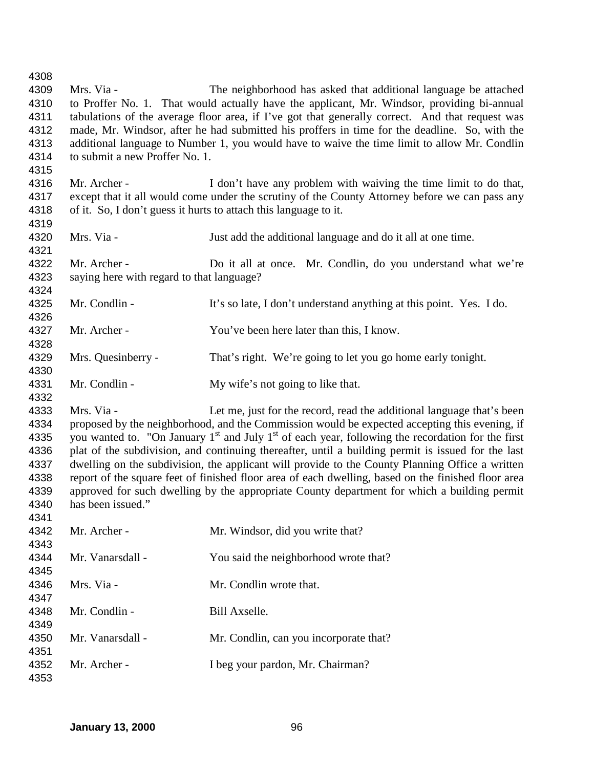Mrs. Via - The neighborhood has asked that additional language be attached to Proffer No. 1. That would actually have the applicant, Mr. Windsor, providing bi-annual tabulations of the average floor area, if I've got that generally correct. And that request was made, Mr. Windsor, after he had submitted his proffers in time for the deadline. So, with the additional language to Number 1, you would have to waive the time limit to allow Mr. Condlin 4314 to submit a new Proffer No. 1. 4316 Mr. Archer - I don't have any problem with waiving the time limit to do that, except that it all would come under the scrutiny of the County Attorney before we can pass any of it. So, I don't guess it hurts to attach this language to it. Mrs. Via - Just add the additional language and do it all at one time. 4322 Mr. Archer - Do it all at once. Mr. Condlin, do you understand what we're saying here with regard to that language? Mr. Condlin - It's so late, I don't understand anything at this point. Yes. I do. 4327 Mr. Archer - You've been here later than this, I know. Mrs. Quesinberry - That's right. We're going to let you go home early tonight. 4331 Mr. Condlin - My wife's not going to like that. Mrs. Via - Let me, just for the record, read the additional language that's been proposed by the neighborhood, and the Commission would be expected accepting this evening, if 4335 you wanted to. "On January  $1<sup>st</sup>$  and July  $1<sup>st</sup>$  of each year, following the recordation for the first plat of the subdivision, and continuing thereafter, until a building permit is issued for the last dwelling on the subdivision, the applicant will provide to the County Planning Office a written report of the square feet of finished floor area of each dwelling, based on the finished floor area approved for such dwelling by the appropriate County department for which a building permit has been issued." 4342 Mr. Archer - Mr. Windsor, did you write that? 4344 Mr. Vanarsdall - You said the neighborhood wrote that? Mrs. Via - Mr. Condlin wrote that. 4348 Mr. Condlin - Bill Axselle. 4350 Mr. Vanarsdall - Mr. Condlin, can you incorporate that? Mr. Archer - I beg your pardon, Mr. Chairman?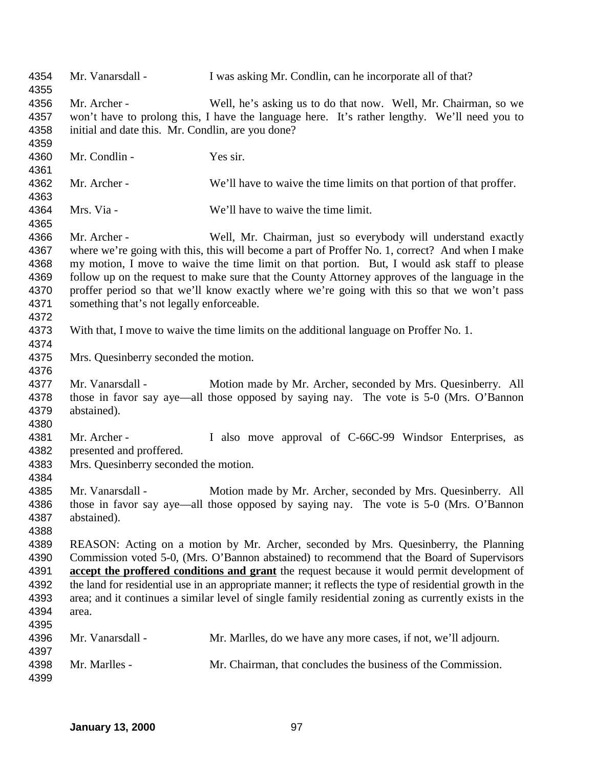| 4354<br>4355                                         | Mr. Vanarsdall -                                                                                                                                                                                                                                                                                                                                                                                                                                                                                                 | I was asking Mr. Condlin, can be incorporate all of that?                                                                                                                                                                                                                                                                                                                                                                                                        |
|------------------------------------------------------|------------------------------------------------------------------------------------------------------------------------------------------------------------------------------------------------------------------------------------------------------------------------------------------------------------------------------------------------------------------------------------------------------------------------------------------------------------------------------------------------------------------|------------------------------------------------------------------------------------------------------------------------------------------------------------------------------------------------------------------------------------------------------------------------------------------------------------------------------------------------------------------------------------------------------------------------------------------------------------------|
| 4356<br>4357<br>4358<br>4359                         | Mr. Archer -<br>initial and date this. Mr. Condlin, are you done?                                                                                                                                                                                                                                                                                                                                                                                                                                                | Well, he's asking us to do that now. Well, Mr. Chairman, so we<br>won't have to prolong this, I have the language here. It's rather lengthy. We'll need you to                                                                                                                                                                                                                                                                                                   |
| 4360<br>4361                                         | Mr. Condlin -                                                                                                                                                                                                                                                                                                                                                                                                                                                                                                    | Yes sir.                                                                                                                                                                                                                                                                                                                                                                                                                                                         |
| 4362<br>4363                                         | Mr. Archer -                                                                                                                                                                                                                                                                                                                                                                                                                                                                                                     | We'll have to waive the time limits on that portion of that proffer.                                                                                                                                                                                                                                                                                                                                                                                             |
| 4364<br>4365                                         | Mrs. Via -                                                                                                                                                                                                                                                                                                                                                                                                                                                                                                       | We'll have to waive the time limit.                                                                                                                                                                                                                                                                                                                                                                                                                              |
| 4366<br>4367<br>4368<br>4369<br>4370<br>4371<br>4372 | Mr. Archer -<br>something that's not legally enforceable.                                                                                                                                                                                                                                                                                                                                                                                                                                                        | Well, Mr. Chairman, just so everybody will understand exactly<br>where we're going with this, this will become a part of Proffer No. 1, correct? And when I make<br>my motion, I move to waive the time limit on that portion. But, I would ask staff to please<br>follow up on the request to make sure that the County Attorney approves of the language in the<br>proffer period so that we'll know exactly where we're going with this so that we won't pass |
| 4373<br>4374                                         |                                                                                                                                                                                                                                                                                                                                                                                                                                                                                                                  | With that, I move to waive the time limits on the additional language on Proffer No. 1.                                                                                                                                                                                                                                                                                                                                                                          |
| 4375<br>4376                                         | Mrs. Quesinberry seconded the motion.                                                                                                                                                                                                                                                                                                                                                                                                                                                                            |                                                                                                                                                                                                                                                                                                                                                                                                                                                                  |
| 4377<br>4378<br>4379<br>4380                         | Mr. Vanarsdall -<br>abstained).                                                                                                                                                                                                                                                                                                                                                                                                                                                                                  | Motion made by Mr. Archer, seconded by Mrs. Quesinberry. All<br>those in favor say aye—all those opposed by saying nay. The vote is 5-0 (Mrs. O'Bannon                                                                                                                                                                                                                                                                                                           |
| 4381<br>4382<br>4383<br>4384                         | Mr. Archer -<br>presented and proffered.<br>Mrs. Quesinberry seconded the motion.                                                                                                                                                                                                                                                                                                                                                                                                                                | I also move approval of C-66C-99 Windsor Enterprises, as                                                                                                                                                                                                                                                                                                                                                                                                         |
| 4385<br>4386<br>4387<br>4388                         | Mr. Vanarsdall -<br>abstained).                                                                                                                                                                                                                                                                                                                                                                                                                                                                                  | Motion made by Mr. Archer, seconded by Mrs. Quesinberry. All<br>those in favor say aye—all those opposed by saying nay. The vote is 5-0 (Mrs. O'Bannon                                                                                                                                                                                                                                                                                                           |
| 4389<br>4390<br>4391<br>4392<br>4393<br>4394<br>4395 | REASON: Acting on a motion by Mr. Archer, seconded by Mrs. Quesinberry, the Planning<br>Commission voted 5-0, (Mrs. O'Bannon abstained) to recommend that the Board of Supervisors<br>accept the proffered conditions and grant the request because it would permit development of<br>the land for residential use in an appropriate manner; it reflects the type of residential growth in the<br>area; and it continues a similar level of single family residential zoning as currently exists in the<br>area. |                                                                                                                                                                                                                                                                                                                                                                                                                                                                  |
| 4396<br>4397                                         | Mr. Vanarsdall -                                                                                                                                                                                                                                                                                                                                                                                                                                                                                                 | Mr. Marlles, do we have any more cases, if not, we'll adjourn.                                                                                                                                                                                                                                                                                                                                                                                                   |
| 4398<br>4399                                         | Mr. Marlles -                                                                                                                                                                                                                                                                                                                                                                                                                                                                                                    | Mr. Chairman, that concludes the business of the Commission.                                                                                                                                                                                                                                                                                                                                                                                                     |